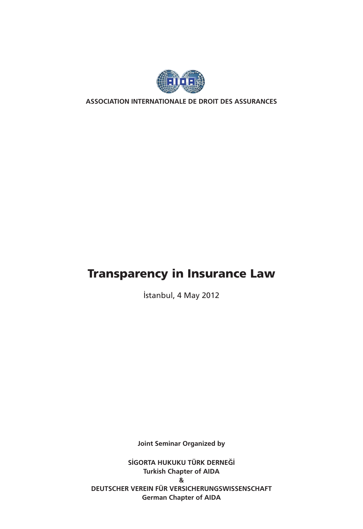

**ASSOCIATION INTERNATIONALE DE DROIT DES ASSURANCES**

## Transparency in Insurance Law

İstanbul, 4 May 2012

**Joint Seminar Organized by**

**SİGORTA HUKUKU TÜRK DERNEĞİ Turkish Chapter of AIDA & DEUTSCHER VEREIN FÜR VERSICHERUNGSWISSENSCHAFT German Chapter of AIDA**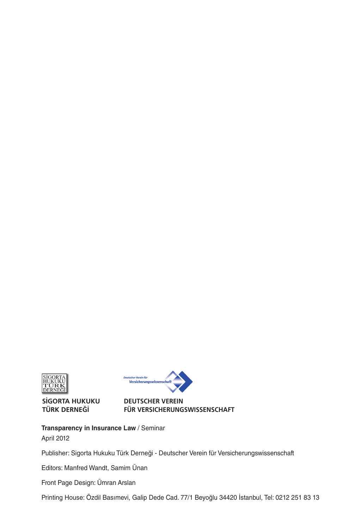

**SİGORTA HUKUKU TÜRK DERNEĞİ**



#### **DEUTSCHER VEREIN FÜR VERSICHERUNGSWISSENSCHAFT**

**Transparency in Insurance Law** / Seminar April 2012

Publisher: Sigorta Hukuku Türk Derneği - Deutscher Verein für Versicherungswissenschaft

Editors: Manfred Wandt, Samim Ünan

Front Page Design: Ümran Arslan

Printing House: Özdil Basımevi, Galip Dede Cad. 77/1 Beyoğlu 34420 İstanbul, Tel: 0212 251 83 13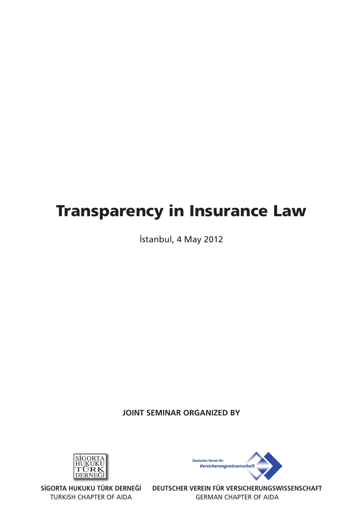# Transparency in Insurance Law

İstanbul, 4 May 2012

## **JOINT SEMINAR ORGANIZED BY**



TURKISH CHAPTER OF AIDA



SIGORTA HUKUKU TURK DERNEGI DEUTSCHER VEREIN FUR VERSICHERUNGSWISSENSCHAFT GERMAN CHAPTER OF AIDA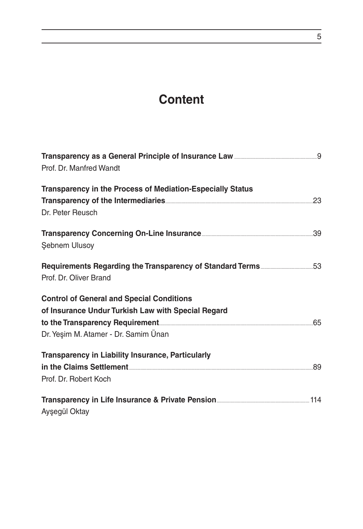## **Content**

| Prof. Dr. Manfred Wandt                                    |  |
|------------------------------------------------------------|--|
| Transparency in the Process of Mediation-Especially Status |  |
|                                                            |  |
| Dr. Peter Reusch                                           |  |
|                                                            |  |
| <b>Şebnem Ulusoy</b>                                       |  |
|                                                            |  |
| Prof. Dr. Oliver Brand                                     |  |
| <b>Control of General and Special Conditions</b>           |  |
| of Insurance Undur Turkish Law with Special Regard         |  |
|                                                            |  |
| Dr. Yeşim M. Atamer - Dr. Samim Ünan                       |  |
| Transparency in Liability Insurance, Particularly          |  |
|                                                            |  |
| Prof. Dr. Robert Koch                                      |  |
|                                                            |  |
| Ayşegül Oktay                                              |  |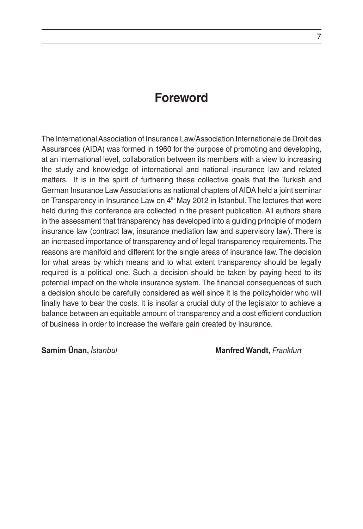## **Foreword**

The International Association of Insurance Law/Association Internationale de Droit des Assurances (AIDA) was formed in 1960 for the purpose of promoting and developing, at an international level, collaboration between its members with a view to increasing the study and knowledge of international and national insurance law and related matters. It is in the spirit of furthering these collective goals that the Turkish and German Insurance Law Associations as national chapters of AIDA held a joint seminar on Transparency in Insurance Law on  $4<sup>th</sup>$  May 2012 in Istanbul. The lectures that were held during this conference are collected in the present publication. All authors share in the assessment that transparency has developed into a guiding principle of modern insurance law (contract law, insurance mediation law and supervisory law). There is an increased importance of transparency and of legal transparency requirements. The reasons are manifold and different for the single areas of insurance law. The decision for what areas by which means and to what extent transparency should be legally required is a political one. Such a decision should be taken by paying heed to its potential impact on the whole insurance system. The financial consequences of such a decision should be carefully considered as well since it is the policyholder who will finally have to bear the costs. It is insofar a crucial duty of the legislator to achieve a balance between an equitable amount of transparency and a cost efficient conduction of business in order to increase the welfare gain created by insurance.

**Samim Ünan,** *İstanbul* **Manfred Wandt,** *Frankfurt*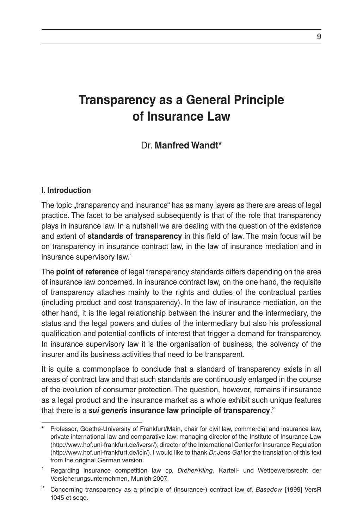## **Transparency as a General Principle of Insurance Law**

## Dr. **Manfred Wandt\***

#### **I. Introduction**

The topic "transparency and insurance" has as many layers as there are areas of legal practice. The facet to be analysed subsequently is that of the role that transparency plays in insurance law. In a nutshell we are dealing with the question of the existence and extent of **standards of transparency** in this field of law. The main focus will be on transparency in insurance contract law, in the law of insurance mediation and in insurance supervisory law.1

The **point of reference** of legal transparency standards differs depending on the area of insurance law concerned. In insurance contract law, on the one hand, the requisite of transparency attaches mainly to the rights and duties of the contractual parties (including product and cost transparency). In the law of insurance mediation, on the other hand, it is the legal relationship between the insurer and the intermediary, the status and the legal powers and duties of the intermediary but also his professional qualification and potential conflicts of interest that trigger a demand for transparency. In insurance supervisory law it is the organisation of business, the solvency of the insurer and its business activities that need to be transparent.

It is quite a commonplace to conclude that a standard of transparency exists in all areas of contract law and that such standards are continuously enlarged in the course of the evolution of consumer protection. The question, however, remains if insurance as a legal product and the insurance market as a whole exhibit such unique features that there is a *sui generis* **insurance law principle of transparency**. 2

**<sup>\*</sup>** Professor, Goethe-University of Frankfurt/Main, chair for civil law, commercial and insurance law, private international law and comparative law; managing director of the Institute of Insurance Law (http://www.hof.uni-frankfurt.de/iversr/); director of the International Center for Insurance Regulation (http://www.hof.uni-frankfurt.de/icir/). I would like to thank *Dr. Jens Gal* for the translation of this text from the original German version.

<sup>1</sup> Regarding insurance competition law cp. *Dreher/Kling*, Kartell- und Wettbewerbsrecht der Versicherungsunternehmen, Munich 2007.

<sup>2</sup> Concerning transparency as a principle of (insurance-) contract law cf. *Basedow* [1999] VersR 1045 et seqq.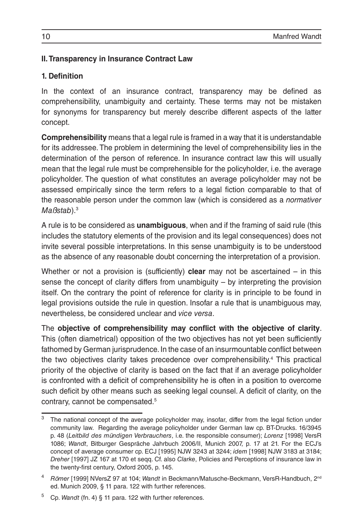## **II. Transparency in Insurance Contract Law**

## **1. Definition**

In the context of an insurance contract, transparency may be defined as comprehensibility, unambiguity and certainty. These terms may not be mistaken for synonyms for transparency but merely describe different aspects of the latter concept.

**Comprehensibility** means that a legal rule is framed in a way that it is understandable for its addressee. The problem in determining the level of comprehensibility lies in the determination of the person of reference. In insurance contract law this will usually mean that the legal rule must be comprehensible for the policyholder, i.e. the average policyholder. The question of what constitutes an average policyholder may not be assessed empirically since the term refers to a legal fiction comparable to that of the reasonable person under the common law (which is considered as a *normativer Maßstab*).3

A rule is to be considered as **unambiguous**, when and if the framing of said rule (this includes the statutory elements of the provision and its legal consequences) does not invite several possible interpretations. In this sense unambiguity is to be understood as the absence of any reasonable doubt concerning the interpretation of a provision.

Whether or not a provision is (sufficiently) **clear** may not be ascertained – in this sense the concept of clarity differs from unambiguity – by interpreting the provision itself. On the contrary the point of reference for clarity is in principle to be found in legal provisions outside the rule in question. Insofar a rule that is unambiguous may, nevertheless, be considered unclear and *vice versa*.

The **objective of comprehensibility may conflict with the objective of clarity**. This (often diametrical) opposition of the two objectives has not yet been sufficiently fathomed by German jurisprudence. In the case of an insurmountable conflict between the two objectives clarity takes precedence over comprehensibility.<sup>4</sup> This practical priority of the objective of clarity is based on the fact that if an average policyholder is confronted with a deficit of comprehensibility he is often in a position to overcome such deficit by other means such as seeking legal counsel. A deficit of clarity, on the contrary, cannot be compensated.5

The national concept of the average policyholder may, insofar, differ from the legal fiction under community law. Regarding the average policyholder under German law cp. BT-Drucks. 16/3945 p. 48 (*Leitbild des mündigen Verbrauchers*, i.e. the responsible consumer); *Lorenz* [1998] VersR 1086; *Wandt*, Bitburger Gespräche Jahrbuch 2006/II, Munich 2007, p. 17 at 21. For the ECJ's concept of average consumer cp. ECJ [1995] NJW 3243 at 3244; *idem* [1998] NJW 3183 at 3184; *Dreher* [1997] JZ 167 at 170 et seqq. Cf. also *Clarke*, Policies and Perceptions of insurance law in the twenty-first century, Oxford 2005, p. 145.

<sup>4</sup> *Römer* [1999] NVersZ 97 at 104; *Wandt* in Beckmann/Matusche-Beckmann, VersR-Handbuch, 2nd ed. Munich 2009, § 11 para. 122 with further references.

<sup>5</sup> Cp. *Wandt* (fn. 4) § 11 para. 122 with further references.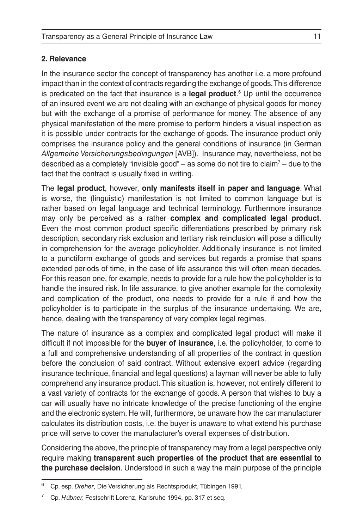### **2. Relevance**

In the insurance sector the concept of transparency has another i.e. a more profound impact than in the context of contracts regarding the exchange of goods. This difference is predicated on the fact that insurance is a **legal product**. 6 Up until the occurrence of an insured event we are not dealing with an exchange of physical goods for money but with the exchange of a promise of performance for money. The absence of any physical manifestation of the mere promise to perform hinders a visual inspection as it is possible under contracts for the exchange of goods. The insurance product only comprises the insurance policy and the general conditions of insurance (in German *Allgemeine Versicherungsbedingungen* [AVB]). Insurance may, nevertheless, not be described as a completely "invisible good" – as some do not tire to claim<sup>7</sup> – due to the fact that the contract is usually fixed in writing.

The **legal product**, however, **only manifests itself in paper and language**. What is worse, the (linguistic) manifestation is not limited to common language but is rather based on legal language and technical terminology. Furthermore insurance may only be perceived as a rather **complex and complicated legal product**. Even the most common product specific differentiations prescribed by primary risk description, secondary risk exclusion and tertiary risk reinclusion will pose a difficulty in comprehension for the average policyholder. Additionally insurance is not limited to a punctiform exchange of goods and services but regards a promise that spans extended periods of time, in the case of life assurance this will often mean decades. For this reason one, for example, needs to provide for a rule how the policyholder is to handle the insured risk. In life assurance, to give another example for the complexity and complication of the product, one needs to provide for a rule if and how the policyholder is to participate in the surplus of the insurance undertaking. We are, hence, dealing with the transparency of very complex legal regimes.

The nature of insurance as a complex and complicated legal product will make it difficult if not impossible for the **buyer of insurance**, i.e. the policyholder, to come to a full and comprehensive understanding of all properties of the contract in question before the conclusion of said contract. Without extensive expert advice (regarding insurance technique, financial and legal questions) a layman will never be able to fully comprehend any insurance product. This situation is, however, not entirely different to a vast variety of contracts for the exchange of goods. A person that wishes to buy a car will usually have no intricate knowledge of the precise functioning of the engine and the electronic system. He will, furthermore, be unaware how the car manufacturer calculates its distribution costs, i.e. the buyer is unaware to what extend his purchase price will serve to cover the manufacturer's overall expenses of distribution.

Considering the above, the principle of transparency may from a legal perspective only require making **transparent such properties of the product that are essential to the purchase decision**. Understood in such a way the main purpose of the principle

<sup>6</sup> Cp. esp. *Dreher*, Die Versicherung als Rechtsprodukt, Tübingen 1991.

<sup>7</sup> Cp. *Hübner,* Festschrift Lorenz, Karlsruhe 1994, pp. 317 et seq.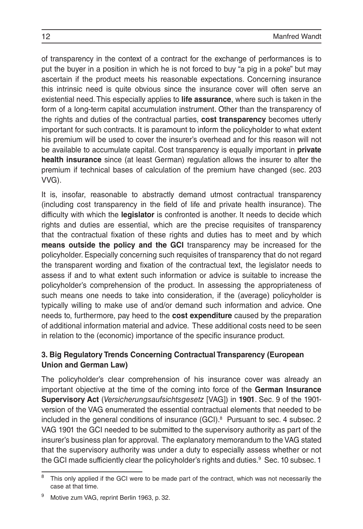of transparency in the context of a contract for the exchange of performances is to put the buyer in a position in which he is not forced to buy "a pig in a poke" but may ascertain if the product meets his reasonable expectations. Concerning insurance this intrinsic need is quite obvious since the insurance cover will often serve an existential need. This especially applies to **life assurance**, where such is taken in the form of a long-term capital accumulation instrument. Other than the transparency of the rights and duties of the contractual parties, **cost transparency** becomes utterly important for such contracts. It is paramount to inform the policyholder to what extent his premium will be used to cover the insurer's overhead and for this reason will not be available to accumulate capital. Cost transparency is equally important in **private health insurance** since (at least German) regulation allows the insurer to alter the premium if technical bases of calculation of the premium have changed (sec. 203 VVG).

It is, insofar, reasonable to abstractly demand utmost contractual transparency (including cost transparency in the field of life and private health insurance). The difficulty with which the **legislator** is confronted is another. It needs to decide which rights and duties are essential, which are the precise requisites of transparency that the contractual fixation of these rights and duties has to meet and by which **means outside the policy and the GCI** transparency may be increased for the policyholder. Especially concerning such requisites of transparency that do not regard the transparent wording and fixation of the contractual text, the legislator needs to assess if and to what extent such information or advice is suitable to increase the policyholder's comprehension of the product. In assessing the appropriateness of such means one needs to take into consideration, if the (average) policyholder is typically willing to make use of and/or demand such information and advice. One needs to, furthermore, pay heed to the **cost expenditure** caused by the preparation of additional information material and advice. These additional costs need to be seen in relation to the (economic) importance of the specific insurance product.

## **3. Big Regulatory Trends Concerning Contractual Transparency (European Union and German Law)**

The policyholder's clear comprehension of his insurance cover was already an important objective at the time of the coming into force of the **German Insurance Supervisory Act** (*Versicherungsaufsichtsgesetz* [VAG]) in **1901**. Sec. 9 of the 1901 version of the VAG enumerated the essential contractual elements that needed to be included in the general conditions of insurance  $(GCl)<sup>8</sup>$  Pursuant to sec. 4 subsec. 2 VAG 1901 the GCI needed to be submitted to the supervisory authority as part of the insurer's business plan for approval. The explanatory memorandum to the VAG stated that the supervisory authority was under a duty to especially assess whether or not the GCI made sufficiently clear the policyholder's rights and duties.<sup>9</sup> Sec. 10 subsec. 1

This only applied if the GCI were to be made part of the contract, which was not necessarily the case at that time.

Motive zum VAG, reprint Berlin 1963, p. 32.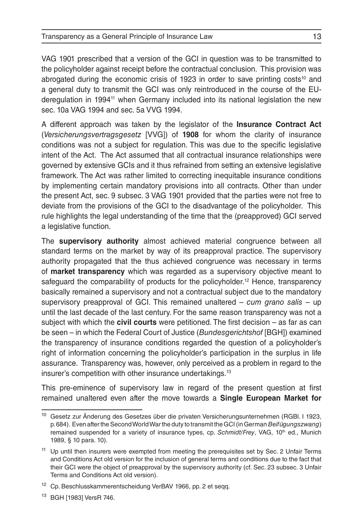VAG 1901 prescribed that a version of the GCI in question was to be transmitted to the policyholder against receipt before the contractual conclusion. This provision was abrogated during the economic crisis of 1923 in order to save printing costs<sup>10</sup> and a general duty to transmit the GCI was only reintroduced in the course of the EUderegulation in 1994<sup>11</sup> when Germany included into its national legislation the new sec. 10a VAG 1994 and sec. 5a VVG 1994.

A different approach was taken by the legislator of the **Insurance Contract Act**  (*Versicherungsvertragsgesetz* [VVG]) of **1908** for whom the clarity of insurance conditions was not a subject for regulation. This was due to the specific legislative intent of the Act. The Act assumed that all contractual insurance relationships were governed by extensive GCIs and it thus refrained from setting an extensive legislative framework. The Act was rather limited to correcting inequitable insurance conditions by implementing certain mandatory provisions into all contracts. Other than under the present Act, sec. 9 subsec. 3 VAG 1901 provided that the parties were not free to deviate from the provisions of the GCI to the disadvantage of the policyholder. This rule highlights the legal understanding of the time that the (preapproved) GCI served a legislative function.

The **supervisory authority** almost achieved material congruence between all standard terms on the market by way of its preapproval practice. The supervisory authority propagated that the thus achieved congruence was necessary in terms of **market transparency** which was regarded as a supervisory objective meant to safeguard the comparability of products for the policyholder.12 Hence, transparency basically remained a supervisory and not a contractual subject due to the mandatory supervisory preapproval of GCI. This remained unaltered – *cum grano salis* – up until the last decade of the last century. For the same reason transparency was not a subject with which the **civil courts** were petitioned. The first decision – as far as can be seen – in which the Federal Court of Justice (*Bundesgerichtshof* [BGH]) examined the transparency of insurance conditions regarded the question of a policyholder's right of information concerning the policyholder's participation in the surplus in life assurance. Transparency was, however, only perceived as a problem in regard to the insurer's competition with other insurance undertakings.<sup>13</sup>

This pre-eminence of supervisory law in regard of the present question at first remained unaltered even after the move towards a **Single European Market for** 

<sup>&</sup>lt;sup>10</sup> Gesetz zur Änderung des Gesetzes über die privaten Versicherungsunternehmen (RGBI. I 1923, p.684). Even after the Second World War the duty to transmit the GCI (in German *Beifügungszwang*) remained suspended for a variety of insurance types, cp. *Schmidt/Frey*, VAG, 10<sup>th</sup> ed., Munich 1989, § 10 para. 10).

<sup>&</sup>lt;sup>11</sup> Up until then insurers were exempted from meeting the prerequisites set by Sec. 2 Unfair Terms and Conditions Act old version for the inclusion of general terms and conditions due to the fact that their GCI were the object of preapproval by the supervisory authority (cf. Sec. 23 subsec. 3 Unfair Terms and Conditions Act old version).

<sup>&</sup>lt;sup>12</sup> Cp. Beschlusskammerentscheidung VerBAV 1966, pp. 2 et seqq.

<sup>13</sup> BGH [1983] VersR 746.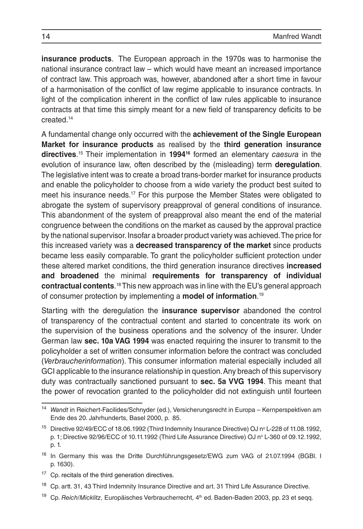**insurance products**. The European approach in the 1970s was to harmonise the national insurance contract law – which would have meant an increased importance of contract law. This approach was, however, abandoned after a short time in favour of a harmonisation of the conflict of law regime applicable to insurance contracts. In light of the complication inherent in the conflict of law rules applicable to insurance contracts at that time this simply meant for a new field of transparency deficits to be created.14

A fundamental change only occurred with the **achievement of the Single European Market for insurance products** as realised by the **third generation insurance directives**. 15 Their implementation in **199416** formed an elementary *caesura* in the evolution of insurance law, often described by the (misleading) term **deregulation**. The legislative intent was to create a broad trans-border market for insurance products and enable the policyholder to choose from a wide variety the product best suited to meet his insurance needs.17 For this purpose the Member States were obligated to abrogate the system of supervisory preapproval of general conditions of insurance. This abandonment of the system of preapproval also meant the end of the material congruence between the conditions on the market as caused by the approval practice by the national supervisor. Insofar a broader product variety was achieved. The price for this increased variety was a **decreased transparency of the market** since products became less easily comparable. To grant the policyholder sufficient protection under these altered market conditions, the third generation insurance directives **increased and broadened** the minimal **requirements for transparency of individual contractual contents**. 18 This new approach was in line with the EU's general approach of consumer protection by implementing a **model of information**. 19

Starting with the deregulation the **insurance supervisor** abandoned the control of transparency of the contractual content and started to concentrate its work on the supervision of the business operations and the solvency of the insurer. Under German law **sec. 10a VAG 1994** was enacted requiring the insurer to transmit to the policyholder a set of written consumer information before the contract was concluded (*Verbraucherinformation*). This consumer information material especially included all GCI applicable to the insurance relationship in question. Any breach of this supervisory duty was contractually sanctioned pursuant to **sec. 5a VVG 1994**. This meant that the power of revocation granted to the policyholder did not extinguish until fourteen

<sup>14</sup> *Wandt* in Reichert-Facilides/Schnyder (ed.), Versicherungsrecht in Europa – Kernperspektiven am Ende des 20. Jahrhunderts, Basel 2000, p. 85.

<sup>&</sup>lt;sup>15</sup> Directive 92/49/ECC of 18.06.1992 (Third Indemnity Insurance Directive) OJ n° L-228 of 11.08.1992, p. 1; Directive 92/96/ECC of 10.11.1992 (Third Life Assurance Directive) OJ nº L-360 of 09.12.1992, p. 1.

<sup>&</sup>lt;sup>16</sup> In Germany this was the Dritte Durchführungsgesetz/EWG zum VAG of 21.07.1994 (BGBI. I p. 1630).

 $17$  Cp. recitals of the third generation directives.

<sup>&</sup>lt;sup>18</sup> Cp. artt. 31, 43 Third Indemnity Insurance Directive and art. 31 Third Life Assurance Directive.

Cp. Reich/Micklitz, Europäisches Verbraucherrecht, 4<sup>th</sup> ed. Baden-Baden 2003, pp. 23 et seqq.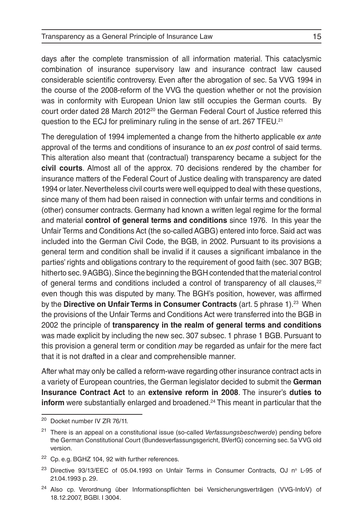days after the complete transmission of all information material. This cataclysmic combination of insurance supervisory law and insurance contract law caused considerable scientific controversy. Even after the abrogation of sec. 5a VVG 1994 in the course of the 2008-reform of the VVG the question whether or not the provision was in conformity with European Union law still occupies the German courts. By court order dated 28 March 2012<sup>20</sup> the German Federal Court of Justice referred this question to the ECJ for preliminary ruling in the sense of art. 267 TFEU.<sup>21</sup>

The deregulation of 1994 implemented a change from the hitherto applicable *ex ante*  approval of the terms and conditions of insurance to an *ex post* control of said terms. This alteration also meant that (contractual) transparency became a subject for the **civil courts**. Almost all of the approx. 70 decisions rendered by the chamber for insurance matters of the Federal Court of Justice dealing with transparency are dated 1994 or later. Nevertheless civil courts were well equipped to deal with these questions, since many of them had been raised in connection with unfair terms and conditions in (other) consumer contracts. Germany had known a written legal regime for the formal and material **control of general terms and conditions** since 1976. In this year the Unfair Terms and Conditions Act (the so-called AGBG) entered into force. Said act was included into the German Civil Code, the BGB, in 2002. Pursuant to its provisions a general term and condition shall be invalid if it causes a significant imbalance in the parties' rights and obligations contrary to the requirement of good faith (sec. 307 BGB; hitherto sec.9 AGBG). Since the beginning the BGH contended that the material control of general terms and conditions included a control of transparency of all clauses, $22$ even though this was disputed by many. The BGH's position, however, was affirmed by the **Directive on Unfair Terms in Consumer Contracts** (art. 5 phrase 1).<sup>23</sup> When the provisions of the Unfair Terms and Conditions Act were transferred into the BGB in 2002 the principle of **transparency in the realm of general terms and conditions** was made explicit by including the new sec. 307 subsec. 1 phrase 1 BGB. Pursuant to this provision a general term or condition *may* be regarded as unfair for the mere fact that it is not drafted in a clear and comprehensible manner.

After what may only be called a reform-wave regarding other insurance contract acts in a variety of European countries, the German legislator decided to submit the **German Insurance Contract Act** to an **extensive reform in 2008**. The insurer's **duties to inform** were substantially enlarged and broadened.<sup>24</sup> This meant in particular that the

<sup>20</sup> Docket number IV ZR 76/11.

<sup>21</sup> There is an appeal on a constitutional issue (so-called *Verfassungsbeschwerde*) pending before the German Constitutional Court (Bundesverfassungsgericht, BVerfG) concerning sec. 5a VVG old version.

<sup>&</sup>lt;sup>22</sup> Cp. e.g. BGHZ 104, 92 with further references.

<sup>&</sup>lt;sup>23</sup> Directive 93/13/EEC of 05.04.1993 on Unfair Terms in Consumer Contracts, OJ n° L-95 of 21.04.1993 p. 29.

<sup>24</sup> Also cp. Verordnung über Informationspflichten bei Versicherungsverträgen (VVG-InfoV) of 18.12.2007, BGBl. I 3004.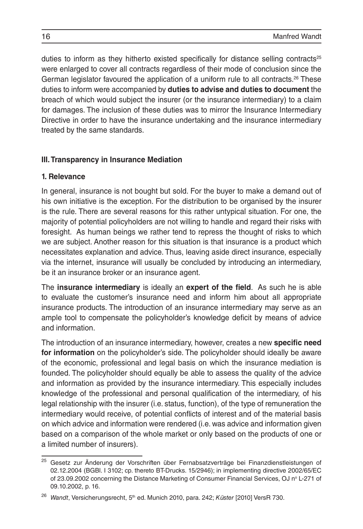duties to inform as they hitherto existed specifically for distance selling contracts<sup>25</sup> were enlarged to cover all contracts regardless of their mode of conclusion since the German legislator favoured the application of a uniform rule to all contracts.<sup>26</sup> These duties to inform were accompanied by **duties to advise and duties to document** the breach of which would subject the insurer (or the insurance intermediary) to a claim for damages. The inclusion of these duties was to mirror the Insurance Intermediary Directive in order to have the insurance undertaking and the insurance intermediary treated by the same standards.

### **III. Transparency in Insurance Mediation**

#### **1. Relevance**

In general, insurance is not bought but sold. For the buyer to make a demand out of his own initiative is the exception. For the distribution to be organised by the insurer is the rule. There are several reasons for this rather untypical situation. For one, the majority of potential policyholders are not willing to handle and regard their risks with foresight. As human beings we rather tend to repress the thought of risks to which we are subject. Another reason for this situation is that insurance is a product which necessitates explanation and advice. Thus, leaving aside direct insurance, especially via the internet, insurance will usually be concluded by introducing an intermediary, be it an insurance broker or an insurance agent.

The **insurance intermediary** is ideally an **expert of the field**. As such he is able to evaluate the customer's insurance need and inform him about all appropriate insurance products. The introduction of an insurance intermediary may serve as an ample tool to compensate the policyholder's knowledge deficit by means of advice and information.

The introduction of an insurance intermediary, however, creates a new **specific need for information** on the policyholder's side. The policyholder should ideally be aware of the economic, professional and legal basis on which the insurance mediation is founded. The policyholder should equally be able to assess the quality of the advice and information as provided by the insurance intermediary. This especially includes knowledge of the professional and personal qualification of the intermediary, of his legal relationship with the insurer (i.e. status, function), of the type of remuneration the intermediary would receive, of potential conflicts of interest and of the material basis on which advice and information were rendered (i.e. was advice and information given based on a comparison of the whole market or only based on the products of one or a limited number of insurers).

<sup>&</sup>lt;sup>25</sup> Gesetz zur Änderung der Vorschriften über Fernabsatzverträge bei Finanzdienstleistungen of 02.12.2004 (BGBl. I 3102; cp. thereto BT-Drucks. 15/2946); in implementing directive 2002/65/EC of 23.09.2002 concerning the Distance Marketing of Consumer Financial Services, OJ nº L-271 of 09.10.2002, p. 16.

<sup>&</sup>lt;sup>26</sup> Wandt, Versicherungsrecht, 5<sup>th</sup> ed. Munich 2010, para. 242; *Küster* [2010] VersR 730.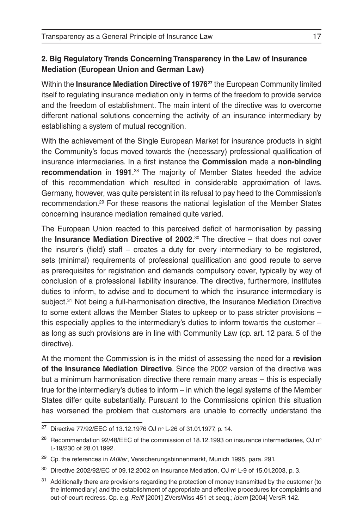## **2. Big Regulatory Trends Concerning Transparency in the Law of Insurance Mediation (European Union and German Law)**

Within the **Insurance Mediation Directive of 197627** the European Community limited itself to regulating insurance mediation only in terms of the freedom to provide service and the freedom of establishment. The main intent of the directive was to overcome different national solutions concerning the activity of an insurance intermediary by establishing a system of mutual recognition.

With the achievement of the Single European Market for insurance products in sight the Community's focus moved towards the (necessary) professional qualification of insurance intermediaries. In a first instance the **Commission** made a **non-binding recommendation** in 1991.<sup>28</sup> The majority of Member States heeded the advice of this recommendation which resulted in considerable approximation of laws. Germany, however, was quite persistent in its refusal to pay heed to the Commission's recommendation.29 For these reasons the national legislation of the Member States concerning insurance mediation remained quite varied.

The European Union reacted to this perceived deficit of harmonisation by passing the **Insurance Mediation Directive of 2002**. 30 The directive – that does not cover the insurer's (field) staff – creates a duty for every intermediary to be registered, sets (minimal) requirements of professional qualification and good repute to serve as prerequisites for registration and demands compulsory cover, typically by way of conclusion of a professional liability insurance. The directive, furthermore, institutes duties to inform, to advise and to document to which the insurance intermediary is subject.<sup>31</sup> Not being a full-harmonisation directive, the Insurance Mediation Directive to some extent allows the Member States to upkeep or to pass stricter provisions – this especially applies to the intermediary's duties to inform towards the customer – as long as such provisions are in line with Community Law (cp. art. 12 para. 5 of the directive).

At the moment the Commission is in the midst of assessing the need for a **revision of the Insurance Mediation Directive**. Since the 2002 version of the directive was but a minimum harmonisation directive there remain many areas – this is especially true for the intermediary's duties to inform – in which the legal systems of the Member States differ quite substantially. Pursuant to the Commissions opinion this situation has worsened the problem that customers are unable to correctly understand the

<sup>&</sup>lt;sup>27</sup> Directive 77/92/EEC of 13.12.1976 OJ nº L-26 of 31.01.1977, p. 14.

<sup>&</sup>lt;sup>28</sup> Recommendation 92/48/EEC of the commission of 18.12.1993 on insurance intermediaries, OJ n<sup>o</sup> L-19/230 of 28.01.1992.

<sup>29</sup> Cp. the references in *Müller*, Versicherungsbinnenmarkt, Munich 1995, para. 291.

<sup>&</sup>lt;sup>30</sup> Directive 2002/92/EC of 09.12.2002 on Insurance Mediation, OJ n° L-9 of 15.01.2003, p. 3.

<sup>&</sup>lt;sup>31</sup> Additionally there are provisions regarding the protection of money transmitted by the customer (to the intermediary) and the establishment of appropriate and effective procedures for complaints and out-of-court redress. Cp. e.g. *Reiff* [2001] ZVersWiss 451 et seqq.; *idem* [2004] VersR 142.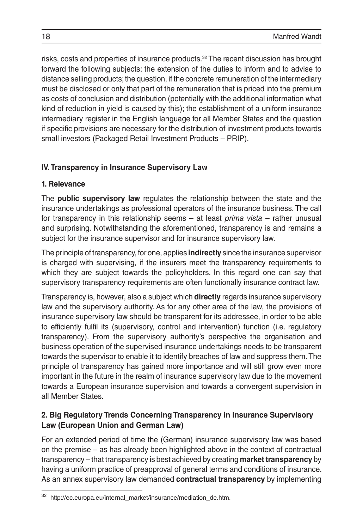risks, costs and properties of insurance products.32 The recent discussion has brought forward the following subjects: the extension of the duties to inform and to advise to distance selling products; the question, if the concrete remuneration of the intermediary must be disclosed or only that part of the remuneration that is priced into the premium as costs of conclusion and distribution (potentially with the additional information what kind of reduction in yield is caused by this); the establishment of a uniform insurance intermediary register in the English language for all Member States and the question if specific provisions are necessary for the distribution of investment products towards small investors (Packaged Retail Investment Products – PRIP).

## **IV. Transparency in Insurance Supervisory Law**

## **1. Relevance**

The **public supervisory law** regulates the relationship between the state and the insurance undertakings as professional operators of the insurance business. The call for transparency in this relationship seems – at least *prima vista* – rather unusual and surprising. Notwithstanding the aforementioned, transparency is and remains a subject for the insurance supervisor and for insurance supervisory law.

The principle of transparency, for one, applies **indirectly** since the insurance supervisor is charged with supervising, if the insurers meet the transparency requirements to which they are subject towards the policyholders. In this regard one can say that supervisory transparency requirements are often functionally insurance contract law.

Transparency is, however, also a subject which **directly** regards insurance supervisory law and the supervisory authority. As for any other area of the law, the provisions of insurance supervisory law should be transparent for its addressee, in order to be able to efficiently fulfil its (supervisory, control and intervention) function (i.e. regulatory transparency). From the supervisory authority's perspective the organisation and business operation of the supervised insurance undertakings needs to be transparent towards the supervisor to enable it to identify breaches of law and suppress them. The principle of transparency has gained more importance and will still grow even more important in the future in the realm of insurance supervisory law due to the movement towards a European insurance supervision and towards a convergent supervision in all Member States.

## **2. Big Regulatory Trends Concerning Transparency in Insurance Supervisory Law (European Union and German Law)**

For an extended period of time the (German) insurance supervisory law was based on the premise – as has already been highlighted above in the context of contractual transparency – that transparency is best achieved by creating **market transparency** by having a uniform practice of preapproval of general terms and conditions of insurance. As an annex supervisory law demanded **contractual transparency** by implementing

<sup>32</sup> http://ec.europa.eu/internal\_market/insurance/mediation\_de.htm.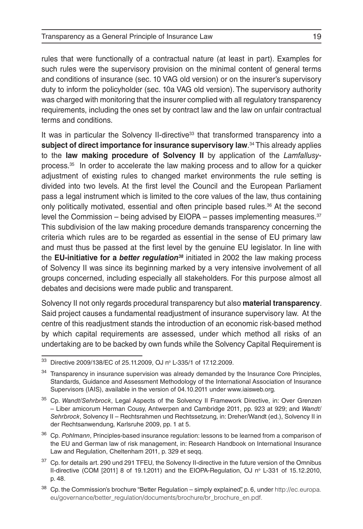rules that were functionally of a contractual nature (at least in part). Examples for such rules were the supervisory provision on the minimal content of general terms and conditions of insurance (sec. 10 VAG old version) or on the insurer's supervisory duty to inform the policyholder (sec. 10a VAG old version). The supervisory authority was charged with monitoring that the insurer complied with all regulatory transparency requirements, including the ones set by contract law and the law on unfair contractual terms and conditions.

It was in particular the Solvency II-directive<sup>33</sup> that transformed transparency into a **subject of direct importance for insurance supervisory law**. 34 This already applies to the **law making procedure of Solvency II** by application of the *Lamfallusy*process.35 In order to accelerate the law making process and to allow for a quicker adjustment of existing rules to changed market environments the rule setting is divided into two levels. At the first level the Council and the European Parliament pass a legal instrument which is limited to the core values of the law, thus containing only politically motivated, essential and often principle based rules.36 At the second level the Commission – being advised by  $EIOPA - passes$  implementing measures. $37$ This subdivision of the law making procedure demands transparency concerning the criteria which rules are to be regarded as essential in the sense of EU primary law and must thus be passed at the first level by the genuine EU legislator. In line with the **EU-initiative for a** *better regulation38* initiated in 2002 the law making process of Solvency II was since its beginning marked by a very intensive involvement of all groups concerned, including especially all stakeholders. For this purpose almost all debates and decisions were made public and transparent.

Solvency II not only regards procedural transparency but also **material transparency**. Said project causes a fundamental readjustment of insurance supervisory law. At the centre of this readjustment stands the introduction of an economic risk-based method by which capital requirements are assessed, under which method all risks of an undertaking are to be backed by own funds while the Solvency Capital Requirement is

<sup>33</sup> Directive 2009/138/EC of 25.11.2009, OJ nº L-335/1 of 17.12.2009.

Transparency in insurance supervision was already demanded by the Insurance Core Principles, Standards, Guidance and Assessment Methodology of the International Association of Insurance Supervisors (IAIS), available in the version of 04.10.2011 under www.iaisweb.org.

<sup>35</sup> Cp. *Wandt/Sehrbrock*, Legal Aspects of the Solvency II Framework Directive, in: Over Grenzen – Liber amicorum Herman Cousy, Antwerpen and Cambridge 2011, pp. 923 at 929; and *Wandt/ Sehrbrock*, Solvency II – Rechtsrahmen und Rechtssetzung, in: Dreher/Wandt (ed.), Solvency II in der Rechtsanwendung, Karlsruhe 2009, pp. 1 at 5.

<sup>36</sup> Cp. *Pohlmann*, Principles-based insurance regulation: lessons to be learned from a comparison of the EU and German law of risk management, in: Research Handbook on International Insurance Law and Regulation, Cheltenham 2011, p. 329 et seqq.

<sup>&</sup>lt;sup>37</sup> Cp. for details art. 290 und 291 TFEU, the Solvency II-directive in the future version of the Omnibus II-directive (COM  $[2011]$  8 of 19.1.2011) and the EIOPA-Regulation, OJ  $n^{\circ}$  L-331 of 15.12.2010, p. 48.

 $38$  Cp. the Commission's brochure "Better Regulation – simply explained", p. 6, under http://ec.europa. eu/governance/better\_regulation/documents/brochure/br\_brochure\_en.pdf.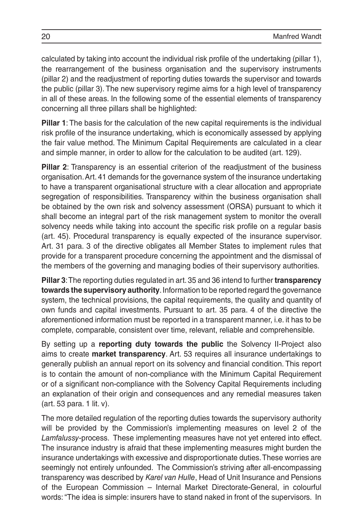calculated by taking into account the individual risk profile of the undertaking (pillar 1), the rearrangement of the business organisation and the supervisory instruments (pillar 2) and the readjustment of reporting duties towards the supervisor and towards the public (pillar 3). The new supervisory regime aims for a high level of transparency in all of these areas. In the following some of the essential elements of transparency concerning all three pillars shall be highlighted:

**Pillar 1**: The basis for the calculation of the new capital requirements is the individual risk profile of the insurance undertaking, which is economically assessed by applying the fair value method. The Minimum Capital Requirements are calculated in a clear and simple manner, in order to allow for the calculation to be audited (art. 129).

**Pillar 2**: Transparency is an essential criterion of the readjustment of the business organisation. Art. 41 demands for the governance system of the insurance undertaking to have a transparent organisational structure with a clear allocation and appropriate segregation of responsibilities. Transparency within the business organisation shall be obtained by the own risk and solvency assessment (ORSA) pursuant to which it shall become an integral part of the risk management system to monitor the overall solvency needs while taking into account the specific risk profile on a regular basis (art. 45). Procedural transparency is equally expected of the insurance supervisor. Art. 31 para. 3 of the directive obligates all Member States to implement rules that provide for a transparent procedure concerning the appointment and the dismissal of the members of the governing and managing bodies of their supervisory authorities.

**Pillar 3**: The reporting duties regulated in art. 35 and 36 intend to further **transparency towards the supervisory authority**. Information to be reported regard the governance system, the technical provisions, the capital requirements, the quality and quantity of own funds and capital investments. Pursuant to art. 35 para. 4 of the directive the aforementioned information must be reported in a transparent manner, i.e. it has to be complete, comparable, consistent over time, relevant, reliable and comprehensible.

By setting up a **reporting duty towards the public** the Solvency II-Project also aims to create **market transparency**. Art. 53 requires all insurance undertakings to generally publish an annual report on its solvency and financial condition. This report is to contain the amount of non-compliance with the Minimum Capital Requirement or of a significant non-compliance with the Solvency Capital Requirements including an explanation of their origin and consequences and any remedial measures taken (art. 53 para. 1 lit. v).

The more detailed regulation of the reporting duties towards the supervisory authority will be provided by the Commission's implementing measures on level 2 of the *Lamfalussy*-process. These implementing measures have not yet entered into effect. The insurance industry is afraid that these implementing measures might burden the insurance undertakings with excessive and disproportionate duties. These worries are seemingly not entirely unfounded. The Commission's striving after all-encompassing transparency was described by *Karel van Hulle*, Head of Unit Insurance and Pensions of the European Commission – Internal Market Directorate-General, in colourful words: "The idea is simple: insurers have to stand naked in front of the supervisors. In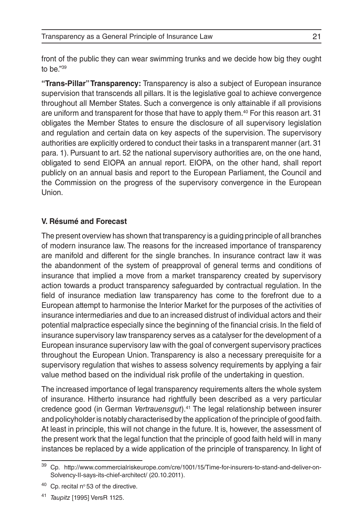front of the public they can wear swimming trunks and we decide how big they ought to be."39

**"Trans-Pillar" Transparency:** Transparency is also a subject of European insurance supervision that transcends all pillars. It is the legislative goal to achieve convergence throughout all Member States. Such a convergence is only attainable if all provisions are uniform and transparent for those that have to apply them.40 For this reason art. 31 obligates the Member States to ensure the disclosure of all supervisory legislation and regulation and certain data on key aspects of the supervision. The supervisory authorities are explicitly ordered to conduct their tasks in a transparent manner (art. 31 para. 1). Pursuant to art. 52 the national supervisory authorities are, on the one hand, obligated to send EIOPA an annual report. EIOPA, on the other hand, shall report publicly on an annual basis and report to the European Parliament, the Council and the Commission on the progress of the supervisory convergence in the European **Union** 

### **V. Résumé and Forecast**

The present overview has shown that transparency is a guiding principle of all branches of modern insurance law. The reasons for the increased importance of transparency are manifold and different for the single branches. In insurance contract law it was the abandonment of the system of preapproval of general terms and conditions of insurance that implied a move from a market transparency created by supervisory action towards a product transparency safeguarded by contractual regulation. In the field of insurance mediation law transparency has come to the forefront due to a European attempt to harmonise the Interior Market for the purposes of the activities of insurance intermediaries and due to an increased distrust of individual actors and their potential malpractice especially since the beginning of the financial crisis. In the field of insurance supervisory law transparency serves as a catalyser for the development of a European insurance supervisory law with the goal of convergent supervisory practices throughout the European Union. Transparency is also a necessary prerequisite for a supervisory regulation that wishes to assess solvency requirements by applying a fair value method based on the individual risk profile of the undertaking in question.

The increased importance of legal transparency requirements alters the whole system of insurance. Hitherto insurance had rightfully been described as a very particular credence good (in German *Vertrauensgut*).41 The legal relationship between insurer and policyholder is notably characterised by the application of the principle of good faith. At least in principle, this will not change in the future. It is, however, the assessment of the present work that the legal function that the principle of good faith held will in many instances be replaced by a wide application of the principle of transparency. In light of

Cp. http://www.commercialriskeurope.com/cre/1001/15/Time-for-insurers-to-stand-and-deliver-on-Solvency-II-says-its-chief-architect/ (20.10.2011).

 $40$  Cp. recital nº 53 of the directive.

<sup>41</sup> *Taupitz* [1995] VersR 1125.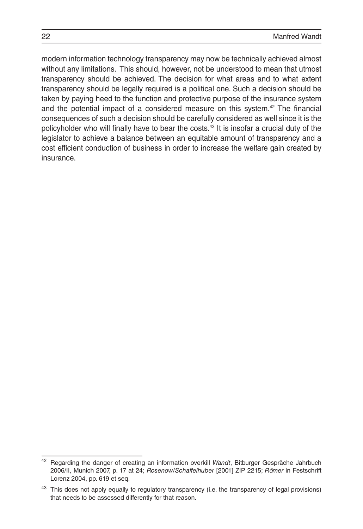modern information technology transparency may now be technically achieved almost without any limitations. This should, however, not be understood to mean that utmost transparency should be achieved. The decision for what areas and to what extent transparency should be legally required is a political one. Such a decision should be taken by paying heed to the function and protective purpose of the insurance system and the potential impact of a considered measure on this system.42 The financial consequences of such a decision should be carefully considered as well since it is the policyholder who will finally have to bear the costs.43 It is insofar a crucial duty of the legislator to achieve a balance between an equitable amount of transparency and a cost efficient conduction of business in order to increase the welfare gain created by insurance.

<sup>42</sup> Regarding the danger of creating an information overkill *Wandt*, Bitburger Gespräche Jahrbuch 2006/II, Munich 2007, p. 17 at 24; *Rosenow/Schaffelhuber* [2001] ZIP 2215; *Römer* in Festschrift Lorenz 2004, pp. 619 et seq.

<sup>&</sup>lt;sup>43</sup> This does not apply equally to regulatory transparency (i.e. the transparency of legal provisions) that needs to be assessed differently for that reason.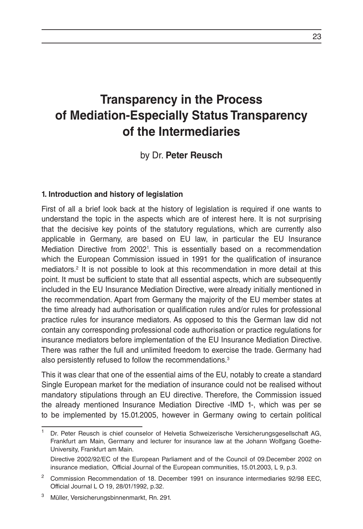## **Transparency in the Process of Mediation-Especially Status Transparency of the Intermediaries**

## by Dr. **Peter Reusch**

#### **1. Introduction and history of legislation**

First of all a brief look back at the history of legislation is required if one wants to understand the topic in the aspects which are of interest here. It is not surprising that the decisive key points of the statutory regulations, which are currently also applicable in Germany, are based on EU law, in particular the EU Insurance Mediation Directive from 20021 . This is essentially based on a recommendation which the European Commission issued in 1991 for the qualification of insurance mediators.<sup>2</sup> It is not possible to look at this recommendation in more detail at this point. It must be sufficient to state that all essential aspects, which are subsequently included in the EU Insurance Mediation Directive, were already initially mentioned in the recommendation. Apart from Germany the majority of the EU member states at the time already had authorisation or qualification rules and/or rules for professional practice rules for insurance mediators. As opposed to this the German law did not contain any corresponding professional code authorisation or practice regulations for insurance mediators before implementation of the EU Insurance Mediation Directive. There was rather the full and unlimited freedom to exercise the trade. Germany had also persistently refused to follow the recommendations.<sup>3</sup>

This it was clear that one of the essential aims of the EU, notably to create a standard Single European market for the mediation of insurance could not be realised without mandatory stipulations through an EU directive. Therefore, the Commission issued the already mentioned Insurance Mediation Directive -IMD 1-, which was per se to be implemented by 15.01.2005, however in Germany owing to certain political

<sup>1</sup> Dr. Peter Reusch is chief counselor of Helvetia Schweizerische Versicherungsgesellschaft AG, Frankfurt am Main, Germany and lecturer for insurance law at the Johann Wolfgang Goethe-University, Frankfurt am Main.

Directive 2002/92/EC of the European Parliament and of the Council of 09.December 2002 on insurance mediation, Official Journal of the European communities, 15.01.2003, L 9, p.3.

<sup>&</sup>lt;sup>2</sup> Commission Recommendation of 18. December 1991 on insurance intermediaries 92/98 EEC, Official Journal L O 19, 28/01/1992, p.32.

<sup>3</sup> Müller, Versicherungsbinnenmarkt, Rn. 291.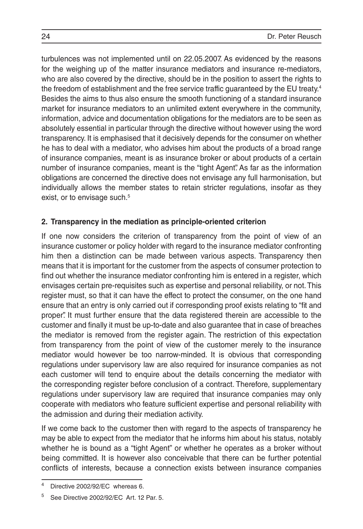turbulences was not implemented until on 22.05.2007. As evidenced by the reasons for the weighing up of the matter insurance mediators and insurance re-mediators, who are also covered by the directive, should be in the position to assert the rights to the freedom of establishment and the free service traffic guaranteed by the EU treaty.<sup>4</sup> Besides the aims to thus also ensure the smooth functioning of a standard insurance market for insurance mediators to an unlimited extent everywhere in the community, information, advice and documentation obligations for the mediators are to be seen as absolutely essential in particular through the directive without however using the word transparency. It is emphasised that it decisively depends for the consumer on whether he has to deal with a mediator, who advises him about the products of a broad range of insurance companies, meant is as insurance broker or about products of a certain number of insurance companies, meant is the "tight Agent". As far as the information obligations are concerned the directive does not envisage any full harmonisation, but individually allows the member states to retain stricter regulations, insofar as they exist, or to envisage such.<sup>5</sup>

### **2. Transparency in the mediation as principle-oriented criterion**

If one now considers the criterion of transparency from the point of view of an insurance customer or policy holder with regard to the insurance mediator confronting him then a distinction can be made between various aspects. Transparency then means that it is important for the customer from the aspects of consumer protection to find out whether the insurance mediator confronting him is entered in a register, which envisages certain pre-requisites such as expertise and personal reliability, or not. This register must, so that it can have the effect to protect the consumer, on the one hand ensure that an entry is only carried out if corresponding proof exists relating to "fit and proper". It must further ensure that the data registered therein are accessible to the customer and finally it must be up-to-date and also guarantee that in case of breaches the mediator is removed from the register again. The restriction of this expectation from transparency from the point of view of the customer merely to the insurance mediator would however be too narrow-minded. It is obvious that corresponding regulations under supervisory law are also required for insurance companies as not each customer will tend to enquire about the details concerning the mediator with the corresponding register before conclusion of a contract. Therefore, supplementary regulations under supervisory law are required that insurance companies may only cooperate with mediators who feature sufficient expertise and personal reliability with the admission and during their mediation activity.

If we come back to the customer then with regard to the aspects of transparency he may be able to expect from the mediator that he informs him about his status, notably whether he is bound as a "tight Agent" or whether he operates as a broker without being committed. It is however also conceivable that there can be further potential conflicts of interests, because a connection exists between insurance companies

<sup>4</sup> Directive 2002/92/EC whereas 6.

<sup>5</sup> See Directive 2002/92/EC Art. 12 Par. 5.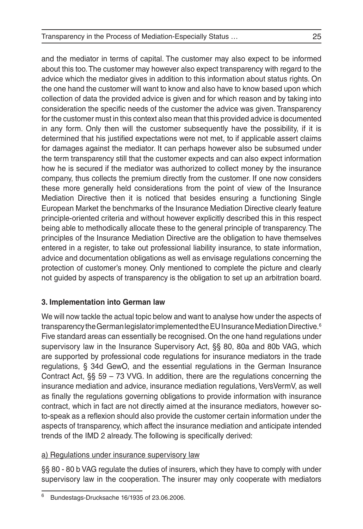and the mediator in terms of capital. The customer may also expect to be informed about this too. The customer may however also expect transparency with regard to the advice which the mediator gives in addition to this information about status rights. On the one hand the customer will want to know and also have to know based upon which collection of data the provided advice is given and for which reason and by taking into consideration the specific needs of the customer the advice was given. Transparency for the customer must in this context also mean that this provided advice is documented in any form. Only then will the customer subsequently have the possibility, if it is determined that his justified expectations were not met, to if applicable assert claims for damages against the mediator. It can perhaps however also be subsumed under the term transparency still that the customer expects and can also expect information how he is secured if the mediator was authorized to collect money by the insurance company, thus collects the premium directly from the customer. If one now considers these more generally held considerations from the point of view of the Insurance Mediation Directive then it is noticed that besides ensuring a functioning Single European Market the benchmarks of the Insurance Mediation Directive clearly feature principle-oriented criteria and without however explicitly described this in this respect being able to methodically allocate these to the general principle of transparency. The principles of the Insurance Mediation Directive are the obligation to have themselves entered in a register, to take out professional liability insurance, to state information, advice and documentation obligations as well as envisage regulations concerning the protection of customer's money. Only mentioned to complete the picture and clearly not guided by aspects of transparency is the obligation to set up an arbitration board.

## **3. Implementation into German law**

We will now tackle the actual topic below and want to analyse how under the aspects of transparency the German legislator implemented the EU Insurance Mediation Directive.6 Five standard areas can essentially be recognised. On the one hand regulations under supervisory law in the Insurance Supervisory Act, §§ 80, 80a and 80b VAG, which are supported by professional code regulations for insurance mediators in the trade regulations, § 34d GewO, and the essential regulations in the German Insurance Contract Act,  $\S$  59 – 73 VVG. In addition, there are the regulations concerning the insurance mediation and advice, insurance mediation regulations, VersVermV, as well as finally the regulations governing obligations to provide information with insurance contract, which in fact are not directly aimed at the insurance mediators, however soto-speak as a reflexion should also provide the customer certain information under the aspects of transparency, which affect the insurance mediation and anticipate intended trends of the IMD 2 already. The following is specifically derived:

## a) Regulations under insurance supervisory law

§§ 80 - 80 b VAG regulate the duties of insurers, which they have to comply with under supervisory law in the cooperation. The insurer may only cooperate with mediators

<sup>6</sup> Bundestags-Drucksache 16/1935 of 23.06.2006.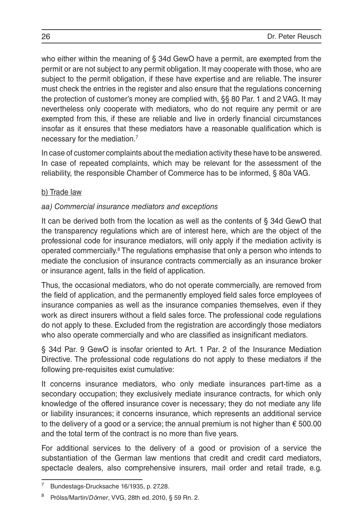who either within the meaning of § 34d GewO have a permit, are exempted from the permit or are not subject to any permit obligation. It may cooperate with those, who are subject to the permit obligation, if these have expertise and are reliable. The insurer must check the entries in the register and also ensure that the regulations concerning the protection of customer's money are complied with, §§ 80 Par. 1 and 2 VAG. It may nevertheless only cooperate with mediators, who do not require any permit or are exempted from this, if these are reliable and live in orderly financial circumstances insofar as it ensures that these mediators have a reasonable qualification which is necessary for the mediation.7

In case of customer complaints about the mediation activity these have to be answered. In case of repeated complaints, which may be relevant for the assessment of the reliability, the responsible Chamber of Commerce has to be informed, § 80a VAG.

## b) Trade law

## *aa) Commercial insurance mediators and exceptions*

It can be derived both from the location as well as the contents of § 34d GewO that the transparency regulations which are of interest here, which are the object of the professional code for insurance mediators, will only apply if the mediation activity is operated commercially.<sup>8</sup> The regulations emphasise that only a person who intends to mediate the conclusion of insurance contracts commercially as an insurance broker or insurance agent, falls in the field of application.

Thus, the occasional mediators, who do not operate commercially, are removed from the field of application, and the permanently employed field sales force employees of insurance companies as well as the insurance companies themselves, even if they work as direct insurers without a field sales force. The professional code regulations do not apply to these. Excluded from the registration are accordingly those mediators who also operate commercially and who are classified as insignificant mediators.

§ 34d Par. 9 GewO is insofar oriented to Art. 1 Par. 2 of the Insurance Mediation Directive. The professional code regulations do not apply to these mediators if the following pre-requisites exist cumulative:

It concerns insurance mediators, who only mediate insurances part-time as a secondary occupation; they exclusively mediate insurance contracts, for which only knowledge of the offered insurance cover is necessary; they do not mediate any life or liability insurances; it concerns insurance, which represents an additional service to the delivery of a good or a service; the annual premium is not higher than  $\epsilon$  500.00 and the total term of the contract is no more than five years.

For additional services to the delivery of a good or provision of a service the substantiation of the German law mentions that credit and credit card mediators, spectacle dealers, also comprehensive insurers, mail order and retail trade, e.g.

Bundestags-Drucksache 16/1935, p. 27,28.

<sup>8</sup> Prölss/Martin/*Dörner*, VVG, 28th ed. 2010, § 59 Rn. 2.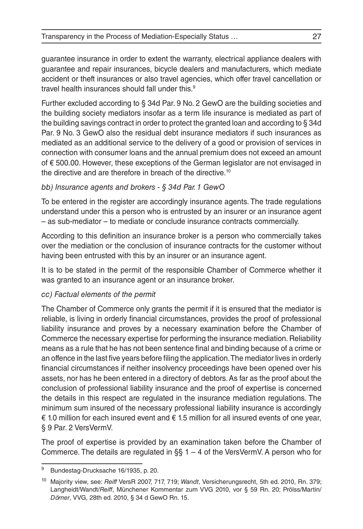guarantee insurance in order to extent the warranty, electrical appliance dealers with guarantee and repair insurances, bicycle dealers and manufacturers, which mediate accident or theft insurances or also travel agencies, which offer travel cancellation or travel health insurances should fall under this.<sup>9</sup>

Further excluded according to § 34d Par. 9 No. 2 GewO are the building societies and the building society mediators insofar as a term life insurance is mediated as part of the building savings contract in order to protect the granted loan and according to § 34d Par. 9 No. 3 GewO also the residual debt insurance mediators if such insurances as mediated as an additional service to the delivery of a good or provision of services in connection with consumer loans and the annual premium does not exceed an amount of € 500.00. However, these exceptions of the German legislator are not envisaged in the directive and are therefore in breach of the directive.<sup>10</sup>

## *bb) Insurance agents and brokers - § 34d Par. 1 GewO*

To be entered in the register are accordingly insurance agents. The trade regulations understand under this a person who is entrusted by an insurer or an insurance agent – as sub-mediator – to mediate or conclude insurance contracts commercially.

According to this definition an insurance broker is a person who commercially takes over the mediation or the conclusion of insurance contracts for the customer without having been entrusted with this by an insurer or an insurance agent.

It is to be stated in the permit of the responsible Chamber of Commerce whether it was granted to an insurance agent or an insurance broker.

## *cc) Factual elements of the permit*

The Chamber of Commerce only grants the permit if it is ensured that the mediator is reliable, is living in orderly financial circumstances, provides the proof of professional liability insurance and proves by a necessary examination before the Chamber of Commerce the necessary expertise for performing the insurance mediation. Reliability means as a rule that he has not been sentence final and binding because of a crime or an offence in the last five years before filing the application. The mediator lives in orderly financial circumstances if neither insolvency proceedings have been opened over his assets, nor has he been entered in a directory of debtors. As far as the proof about the conclusion of professional liability insurance and the proof of expertise is concerned the details in this respect are regulated in the insurance mediation regulations. The minimum sum insured of the necessary professional liability insurance is accordingly € 1.0 million for each insured event and  $€$  1.5 million for all insured events of one year, § 9 Par. 2 VersVermV.

The proof of expertise is provided by an examination taken before the Chamber of Commerce. The details are regulated in §§  $1 - 4$  of the VersVermV. A person who for

<sup>9</sup> Bundestag-Drucksache 16/1935, p. 20.

<sup>10</sup> Majority view, see: *Reiff* VersR 2007, 717, 719; *Wandt*, Versicherungsrecht, 5th ed. 2010, Rn. 379; Langheidt/Wandt/*Reiff*, Münchener Kommentar zum VVG 2010, vor § 59 Rn. 20; Prölss/Martin/ *Dörner*, VVG, 28th ed. 2010, § 34 d GewO Rn. 15.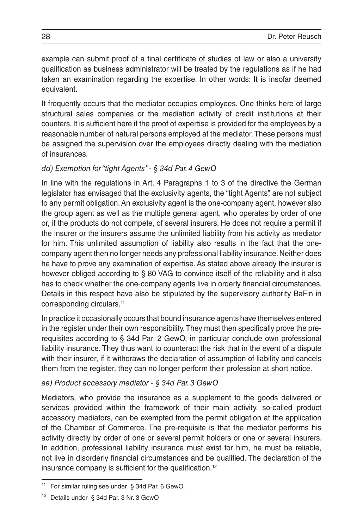example can submit proof of a final certificate of studies of law or also a university qualification as business administrator will be treated by the regulations as if he had taken an examination regarding the expertise. In other words: It is insofar deemed equivalent.

It frequently occurs that the mediator occupies employees. One thinks here of large structural sales companies or the mediation activity of credit institutions at their counters. It is sufficient here if the proof of expertise is provided for the employees by a reasonable number of natural persons employed at the mediator. These persons must be assigned the supervision over the employees directly dealing with the mediation of insurances.

#### *dd) Exemption for "tight Agents" - § 34d Par. 4 GewO*

In line with the regulations in Art. 4 Paragraphs 1 to 3 of the directive the German legislator has envisaged that the exclusivity agents, the "tight Agents", are not subject to any permit obligation. An exclusivity agent is the one-company agent, however also the group agent as well as the multiple general agent, who operates by order of one or, if the products do not compete, of several insurers. He does not require a permit if the insurer or the insurers assume the unlimited liability from his activity as mediator for him. This unlimited assumption of liability also results in the fact that the onecompany agent then no longer needs any professional liability insurance. Neither does he have to prove any examination of expertise. As stated above already the insurer is however obliged according to § 80 VAG to convince itself of the reliability and it also has to check whether the one-company agents live in orderly financial circumstances. Details in this respect have also be stipulated by the supervisory authority BaFin in corresponding circulars.<sup>11</sup>

In practice it occasionally occurs that bound insurance agents have themselves entered in the register under their own responsibility. They must then specifically prove the prerequisites according to § 34d Par. 2 GewO, in particular conclude own professional liability insurance. They thus want to counteract the risk that in the event of a dispute with their insurer, if it withdraws the declaration of assumption of liability and cancels them from the register, they can no longer perform their profession at short notice.

#### *ee) Product accessory mediator - § 34d Par. 3 GewO*

Mediators, who provide the insurance as a supplement to the goods delivered or services provided within the framework of their main activity, so-called product accessory mediators, can be exempted from the permit obligation at the application of the Chamber of Commerce. The pre-requisite is that the mediator performs his activity directly by order of one or several permit holders or one or several insurers. In addition, professional liability insurance must exist for him, he must be reliable, not live in disorderly financial circumstances and be qualified. The declaration of the insurance company is sufficient for the qualification.<sup>12</sup>

For similar ruling see under § 34d Par. 6 GewO.

<sup>12</sup> Details under § 34d Par. 3 Nr. 3 GewO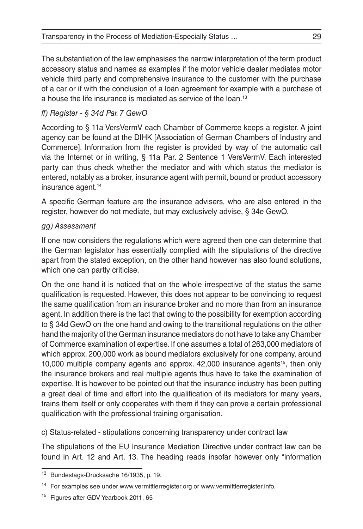The substantiation of the law emphasises the narrow interpretation of the term product accessory status and names as examples if the motor vehicle dealer mediates motor vehicle third party and comprehensive insurance to the customer with the purchase of a car or if with the conclusion of a loan agreement for example with a purchase of a house the life insurance is mediated as service of the loan.13

## *ff) Register - § 34d Par. 7 GewO*

According to § 11a VersVermV each Chamber of Commerce keeps a register. A joint agency can be found at the DIHK [Association of German Chambers of Industry and Commerce]. Information from the register is provided by way of the automatic call via the Internet or in writing, § 11a Par. 2 Sentence 1 VersVermV. Each interested party can thus check whether the mediator and with which status the mediator is entered, notably as a broker, insurance agent with permit, bound or product accessory insurance agent.<sup>14</sup>

A specific German feature are the insurance advisers, who are also entered in the register, however do not mediate, but may exclusively advise, § 34e GewO.

### *gg) Assessment*

If one now considers the regulations which were agreed then one can determine that the German legislator has essentially complied with the stipulations of the directive apart from the stated exception, on the other hand however has also found solutions, which one can partly criticise.

On the one hand it is noticed that on the whole irrespective of the status the same qualification is requested. However, this does not appear to be convincing to request the same qualification from an insurance broker and no more than from an insurance agent. In addition there is the fact that owing to the possibility for exemption according to § 34d GewO on the one hand and owing to the transitional regulations on the other hand the majority of the German insurance mediators do not have to take any Chamber of Commerce examination of expertise. If one assumes a total of 263,000 mediators of which approx. 200,000 work as bound mediators exclusively for one company, around 10,000 multiple company agents and approx. 42,000 insurance agents<sup>15</sup>, then only the insurance brokers and real multiple agents thus have to take the examination of expertise. It is however to be pointed out that the insurance industry has been putting a great deal of time and effort into the qualification of its mediators for many years, trains them itself or only cooperates with them if they can prove a certain professional qualification with the professional training organisation.

#### c) Status-related - stipulations concerning transparency under contract law

The stipulations of the EU Insurance Mediation Directive under contract law can be found in Art. 12 and Art. 13. The heading reads insofar however only "information

<sup>13</sup> Bundestags-Drucksache 16/1935, p. 19.

<sup>&</sup>lt;sup>14</sup> For examples see under www.vermittlerregister.org or www.vermittlerregister.info.

<sup>&</sup>lt;sup>15</sup> Figures after GDV Yearbook 2011, 65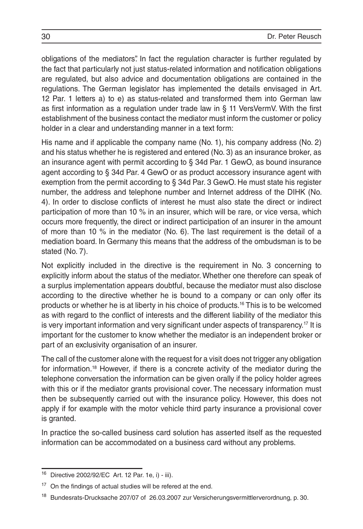obligations of the mediators". In fact the regulation character is further regulated by the fact that particularly not just status-related information and notification obligations are regulated, but also advice and documentation obligations are contained in the regulations. The German legislator has implemented the details envisaged in Art. 12 Par. 1 letters a) to e) as status-related and transformed them into German law as first information as a regulation under trade law in § 11 VersVermV. With the first establishment of the business contact the mediator must inform the customer or policy holder in a clear and understanding manner in a text form:

His name and if applicable the company name (No. 1), his company address (No. 2) and his status whether he is registered and entered (No. 3) as an insurance broker, as an insurance agent with permit according to § 34d Par. 1 GewO, as bound insurance agent according to § 34d Par. 4 GewO or as product accessory insurance agent with exemption from the permit according to § 34d Par. 3 GewO. He must state his register number, the address and telephone number and Internet address of the DIHK (No. 4). In order to disclose conflicts of interest he must also state the direct or indirect participation of more than 10 % in an insurer, which will be rare, or vice versa, which occurs more frequently, the direct or indirect participation of an insurer in the amount of more than 10 % in the mediator (No. 6). The last requirement is the detail of a mediation board. In Germany this means that the address of the ombudsman is to be stated (No. 7).

Not explicitly included in the directive is the requirement in No. 3 concerning to explicitly inform about the status of the mediator. Whether one therefore can speak of a surplus implementation appears doubtful, because the mediator must also disclose according to the directive whether he is bound to a company or can only offer its products or whether he is at liberty in his choice of products.16 This is to be welcomed as with regard to the conflict of interests and the different liability of the mediator this is very important information and very significant under aspects of transparency.<sup>17</sup> It is important for the customer to know whether the mediator is an independent broker or part of an exclusivity organisation of an insurer.

The call of the customer alone with the request for a visit does not trigger any obligation for information.18 However, if there is a concrete activity of the mediator during the telephone conversation the information can be given orally if the policy holder agrees with this or if the mediator grants provisional cover. The necessary information must then be subsequently carried out with the insurance policy. However, this does not apply if for example with the motor vehicle third party insurance a provisional cover is granted.

In practice the so-called business card solution has asserted itself as the requested information can be accommodated on a business card without any problems.

<sup>16</sup> Directive 2002/92/EC Art. 12 Par. 1e, i) - iii).

<sup>&</sup>lt;sup>17</sup> On the findings of actual studies will be refered at the end.

<sup>18</sup> Bundesrats-Drucksache 207/07 of 26.03.2007 zur Versicherungsvermittlerverordnung, p. 30.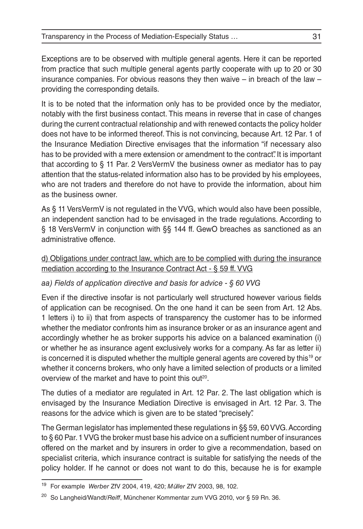Exceptions are to be observed with multiple general agents. Here it can be reported from practice that such multiple general agents partly cooperate with up to 20 or 30 insurance companies. For obvious reasons they then waive – in breach of the law – providing the corresponding details.

It is to be noted that the information only has to be provided once by the mediator, notably with the first business contact. This means in reverse that in case of changes during the current contractual relationship and with renewed contacts the policy holder does not have to be informed thereof. This is not convincing, because Art. 12 Par. 1 of the Insurance Mediation Directive envisages that the information "if necessary also has to be provided with a mere extension or amendment to the contract". It is important that according to § 11 Par. 2 VersVermV the business owner as mediator has to pay attention that the status-related information also has to be provided by his employees, who are not traders and therefore do not have to provide the information, about him as the business owner.

As § 11 VersVermV is not regulated in the VVG, which would also have been possible, an independent sanction had to be envisaged in the trade regulations. According to § 18 VersVermV in conjunction with §§ 144 ff. GewO breaches as sanctioned as an administrative offence.

## d) Obligations under contract law, which are to be complied with during the insurance mediation according to the Insurance Contract Act - § 59 ff. VVG

## *aa) Fields of application directive and basis for advice - § 60 VVG*

Even if the directive insofar is not particularly well structured however various fields of application can be recognised. On the one hand it can be seen from Art. 12 Abs. 1 letters i) to ii) that from aspects of transparency the customer has to be informed whether the mediator confronts him as insurance broker or as an insurance agent and accordingly whether he as broker supports his advice on a balanced examination (i) or whether he as insurance agent exclusively works for a company. As far as letter ii) is concerned it is disputed whether the multiple general agents are covered by this<sup>19</sup> or whether it concerns brokers, who only have a limited selection of products or a limited overview of the market and have to point this out<sup>20</sup>.

The duties of a mediator are regulated in Art. 12 Par. 2. The last obligation which is envisaged by the Insurance Mediation Directive is envisaged in Art. 12 Par. 3. The reasons for the advice which is given are to be stated "precisely".

The German legislator has implemented these regulations in §§ 59, 60 VVG. According to § 60 Par. 1 VVG the broker must base his advice on a sufficient number of insurances offered on the market and by insurers in order to give a recommendation, based on specialist criteria, which insurance contract is suitable for satisfying the needs of the policy holder. If he cannot or does not want to do this, because he is for example

<sup>19</sup> For example *Werber* ZfV 2004, 419, 420; *Müller* ZfV 2003, 98, 102.

<sup>20</sup> So Langheid/Wandt/*Reiff*, Münchener Kommentar zum VVG 2010, vor § 59 Rn. 36.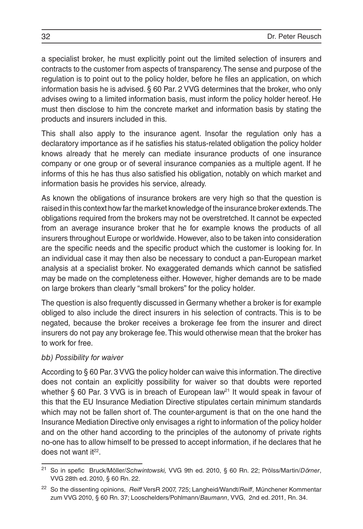a specialist broker, he must explicitly point out the limited selection of insurers and contracts to the customer from aspects of transparency. The sense and purpose of the regulation is to point out to the policy holder, before he files an application, on which information basis he is advised. § 60 Par. 2 VVG determines that the broker, who only advises owing to a limited information basis, must inform the policy holder hereof. He must then disclose to him the concrete market and information basis by stating the products and insurers included in this.

This shall also apply to the insurance agent. Insofar the regulation only has a declaratory importance as if he satisfies his status-related obligation the policy holder knows already that he merely can mediate insurance products of one insurance company or one group or of several insurance companies as a multiple agent. If he informs of this he has thus also satisfied his obligation, notably on which market and information basis he provides his service, already.

As known the obligations of insurance brokers are very high so that the question is raised in this context how far the market knowledge of the insurance broker extends. The obligations required from the brokers may not be overstretched. It cannot be expected from an average insurance broker that he for example knows the products of all insurers throughout Europe or worldwide. However, also to be taken into consideration are the specific needs and the specific product which the customer is looking for. In an individual case it may then also be necessary to conduct a pan-European market analysis at a specialist broker. No exaggerated demands which cannot be satisfied may be made on the completeness either. However, higher demands are to be made on large brokers than clearly "small brokers" for the policy holder.

The question is also frequently discussed in Germany whether a broker is for example obliged to also include the direct insurers in his selection of contracts. This is to be negated, because the broker receives a brokerage fee from the insurer and direct insurers do not pay any brokerage fee. This would otherwise mean that the broker has to work for free.

#### *bb) Possibility for waiver*

According to § 60 Par. 3 VVG the policy holder can waive this information. The directive does not contain an explicitly possibility for waiver so that doubts were reported whether § 60 Par. 3 VVG is in breach of European law<sup>21</sup> It would speak in favour of this that the EU Insurance Mediation Directive stipulates certain minimum standards which may not be fallen short of. The counter-argument is that on the one hand the Insurance Mediation Directive only envisages a right to information of the policy holder and on the other hand according to the principles of the autonomy of private rights no-one has to allow himself to be pressed to accept information, if he declares that he does not want  $it^{22}$ .

<sup>21</sup> So in spefic Bruck/Möller/*Schwintowski,* VVG 9th ed. 2010, § 60 Rn. 22; Prölss/Martin/*Dörner*, VVG 28th ed. 2010, § 60 Rn. 22.

<sup>22</sup> So the dissenting opinions, *Reiff* VersR 2007, 725; Langheid/Wandt/*Reiff*, Münchener Kommentar zum VVG 2010, § 60 Rn. 37; Looschelders/Pohlmann/*Baumann*, VVG, 2nd ed. 2011, Rn. 34.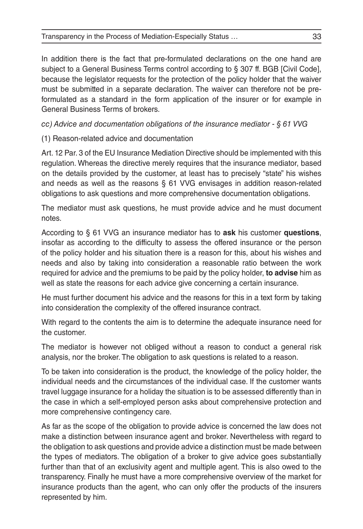In addition there is the fact that pre-formulated declarations on the one hand are subject to a General Business Terms control according to § 307 ff. BGB [Civil Code], because the legislator requests for the protection of the policy holder that the waiver must be submitted in a separate declaration. The waiver can therefore not be preformulated as a standard in the form application of the insurer or for example in General Business Terms of brokers.

*cc) Advice and documentation obligations of the insurance mediator - § 61 VVG*

(1) Reason-related advice and documentation

Art. 12 Par. 3 of the EU Insurance Mediation Directive should be implemented with this regulation. Whereas the directive merely requires that the insurance mediator, based on the details provided by the customer, at least has to precisely "state" his wishes and needs as well as the reasons § 61 VVG envisages in addition reason-related obligations to ask questions and more comprehensive documentation obligations.

The mediator must ask questions, he must provide advice and he must document notes.

According to § 61 VVG an insurance mediator has to **ask** his customer **questions**, insofar as according to the difficulty to assess the offered insurance or the person of the policy holder and his situation there is a reason for this, about his wishes and needs and also by taking into consideration a reasonable ratio between the work required for advice and the premiums to be paid by the policy holder, **to advise** him as well as state the reasons for each advice give concerning a certain insurance.

He must further document his advice and the reasons for this in a text form by taking into consideration the complexity of the offered insurance contract.

With regard to the contents the aim is to determine the adequate insurance need for the customer.

The mediator is however not obliged without a reason to conduct a general risk analysis, nor the broker. The obligation to ask questions is related to a reason.

To be taken into consideration is the product, the knowledge of the policy holder, the individual needs and the circumstances of the individual case. If the customer wants travel luggage insurance for a holiday the situation is to be assessed differently than in the case in which a self-employed person asks about comprehensive protection and more comprehensive contingency care.

As far as the scope of the obligation to provide advice is concerned the law does not make a distinction between insurance agent and broker. Nevertheless with regard to the obligation to ask questions and provide advice a distinction must be made between the types of mediators. The obligation of a broker to give advice goes substantially further than that of an exclusivity agent and multiple agent. This is also owed to the transparency. Finally he must have a more comprehensive overview of the market for insurance products than the agent, who can only offer the products of the insurers represented by him.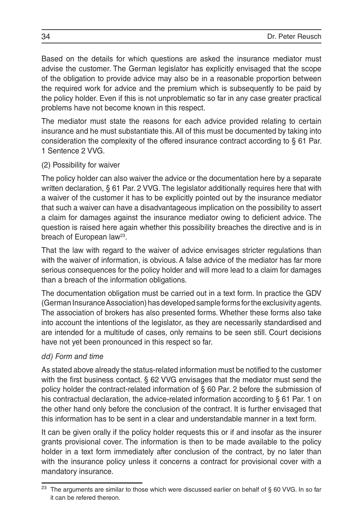Based on the details for which questions are asked the insurance mediator must advise the customer. The German legislator has explicitly envisaged that the scope of the obligation to provide advice may also be in a reasonable proportion between the required work for advice and the premium which is subsequently to be paid by the policy holder. Even if this is not unproblematic so far in any case greater practical problems have not become known in this respect.

The mediator must state the reasons for each advice provided relating to certain insurance and he must substantiate this. All of this must be documented by taking into consideration the complexity of the offered insurance contract according to § 61 Par. 1 Sentence 2 VVG.

### (2) Possibility for waiver

The policy holder can also waiver the advice or the documentation here by a separate written declaration, § 61 Par. 2 VVG. The legislator additionally requires here that with a waiver of the customer it has to be explicitly pointed out by the insurance mediator that such a waiver can have a disadvantageous implication on the possibility to assert a claim for damages against the insurance mediator owing to deficient advice. The question is raised here again whether this possibility breaches the directive and is in breach of European law<sup>23</sup>.

That the law with regard to the waiver of advice envisages stricter regulations than with the waiver of information, is obvious. A false advice of the mediator has far more serious consequences for the policy holder and will more lead to a claim for damages than a breach of the information obligations.

The documentation obligation must be carried out in a text form. In practice the GDV (German Insurance Association) has developed sample forms for the exclusivity agents. The association of brokers has also presented forms. Whether these forms also take into account the intentions of the legislator, as they are necessarily standardised and are intended for a multitude of cases, only remains to be seen still. Court decisions have not yet been pronounced in this respect so far.

## *dd) Form and time*

As stated above already the status-related information must be notified to the customer with the first business contact. § 62 VVG envisages that the mediator must send the policy holder the contract-related information of § 60 Par. 2 before the submission of his contractual declaration, the advice-related information according to § 61 Par. 1 on the other hand only before the conclusion of the contract. It is further envisaged that this information has to be sent in a clear and understandable manner in a text form.

It can be given orally if the policy holder requests this or if and insofar as the insurer grants provisional cover. The information is then to be made available to the policy holder in a text form immediately after conclusion of the contract, by no later than with the insurance policy unless it concerns a contract for provisional cover with a mandatory insurance.

The arguments are similar to those which were discussed earlier on behalf of § 60 VVG. In so far it can be refered thereon.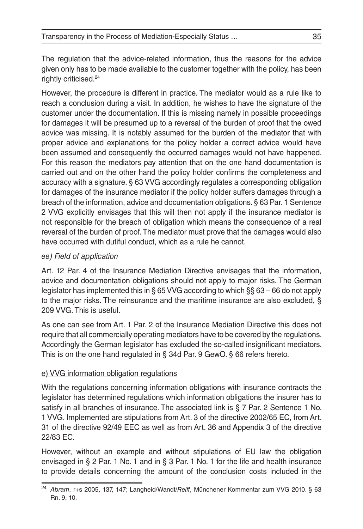The regulation that the advice-related information, thus the reasons for the advice given only has to be made available to the customer together with the policy, has been rightly criticised.24

However, the procedure is different in practice. The mediator would as a rule like to reach a conclusion during a visit. In addition, he wishes to have the signature of the customer under the documentation. If this is missing namely in possible proceedings for damages it will be presumed up to a reversal of the burden of proof that the owed advice was missing. It is notably assumed for the burden of the mediator that with proper advice and explanations for the policy holder a correct advice would have been assumed and consequently the occurred damages would not have happened. For this reason the mediators pay attention that on the one hand documentation is carried out and on the other hand the policy holder confirms the completeness and accuracy with a signature. § 63 VVG accordingly regulates a corresponding obligation for damages of the insurance mediator if the policy holder suffers damages through a breach of the information, advice and documentation obligations. § 63 Par. 1 Sentence 2 VVG explicitly envisages that this will then not apply if the insurance mediator is not responsible for the breach of obligation which means the consequence of a real reversal of the burden of proof. The mediator must prove that the damages would also have occurred with dutiful conduct, which as a rule he cannot.

## *ee) Field of application*

Art. 12 Par. 4 of the Insurance Mediation Directive envisages that the information, advice and documentation obligations should not apply to major risks. The German legislator has implemented this in § 65 VVG according to which §§ 63 – 66 do not apply to the major risks. The reinsurance and the maritime insurance are also excluded, § 209 VVG. This is useful.

As one can see from Art. 1 Par. 2 of the Insurance Mediation Directive this does not require that all commercially operating mediators have to be covered by the regulations. Accordingly the German legislator has excluded the so-called insignificant mediators. This is on the one hand regulated in § 34d Par. 9 GewO. § 66 refers hereto.

## e) VVG information obligation regulations

With the regulations concerning information obligations with insurance contracts the legislator has determined regulations which information obligations the insurer has to satisfy in all branches of insurance. The associated link is § 7 Par. 2 Sentence 1 No. 1 VVG. Implemented are stipulations from Art. 3 of the directive 2002/65 EC, from Art. 31 of the directive 92/49 EEC as well as from Art. 36 and Appendix 3 of the directive 22/83 EC.

However, without an example and without stipulations of EU law the obligation envisaged in § 2 Par. 1 No. 1 and in § 3 Par. 1 No. 1 for the life and health insurance to provide details concerning the amount of the conclusion costs included in the

<sup>24</sup> *Abram*, r+s 2005, 137, 147; Langheid/Wandt/*Reiff*, Münchener Kommentar zum VVG 2010. § 63 Rn. 9, 10.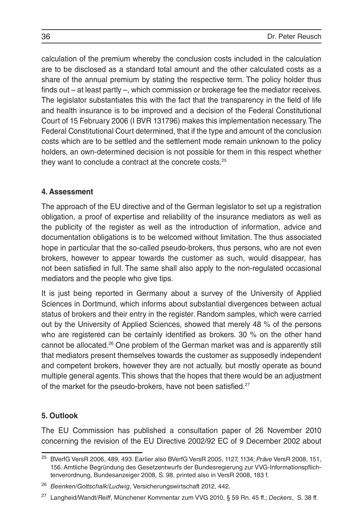calculation of the premium whereby the conclusion costs included in the calculation are to be disclosed as a standard total amount and the other calculated costs as a share of the annual premium by stating the respective term. The policy holder thus finds out – at least partly –, which commission or brokerage fee the mediator receives. The legislator substantiates this with the fact that the transparency in the field of life and health insurance is to be improved and a decision of the Federal Constitutional Court of 15 February 2006 (I BVR 131796) makes this implementation necessary. The Federal Constitutional Court determined, that if the type and amount of the conclusion costs which are to be settled and the settlement mode remain unknown to the policy holders, an own-determined decision is not possible for them in this respect whether they want to conclude a contract at the concrete costs.25

## **4. Assessment**

The approach of the EU directive and of the German legislator to set up a registration obligation, a proof of expertise and reliability of the insurance mediators as well as the publicity of the register as well as the introduction of information, advice and documentation obligations is to be welcomed without limitation. The thus associated hope in particular that the so-called pseudo-brokers, thus persons, who are not even brokers, however to appear towards the customer as such, would disappear, has not been satisfied in full. The same shall also apply to the non-regulated occasional mediators and the people who give tips.

It is just being reported in Germany about a survey of the University of Applied Sciences in Dortmund, which informs about substantial divergences between actual status of brokers and their entry in the register. Random samples, which were carried out by the University of Applied Sciences, showed that merely 48 % of the persons who are registered can be certainly identified as brokers. 30 % on the other hand cannot be allocated.26 One problem of the German market was and is apparently still that mediators present themselves towards the customer as supposedly independent and competent brokers, however they are not actually, but mostly operate as bound multiple general agents. This shows that the hopes that there would be an adjustment of the market for the pseudo-brokers, have not been satisfied.<sup>27</sup>

## **5. Outlook**

The EU Commission has published a consultation paper of 26 November 2010 concerning the revision of the EU Directive 2002/92 EC of 9 December 2002 about

<sup>25</sup> BVerfG VersR 2006, 489, 493. Earlier also BVerfG VersR 2005, 1127, 1134; *Präve* VersR 2008, 151, 156. Amtliche Begründung des Gesetzentwurfs der Bundesregierung zur VVG-Informationspflichtenverordnung, Bundesanzeiger 2008, S. 98, printed also in VersR 2008, 183 f.

<sup>26</sup> *Beenken/Gottschalk/Ludwig*, Versicherungswirtschaft 2012, 442.

<sup>27</sup> Langheid/Wandt/*Reiff*, Münchener Kommentar zum VVG 2010, § 59 Rn. 45 ff.; *Deckers*, S. 38 ff.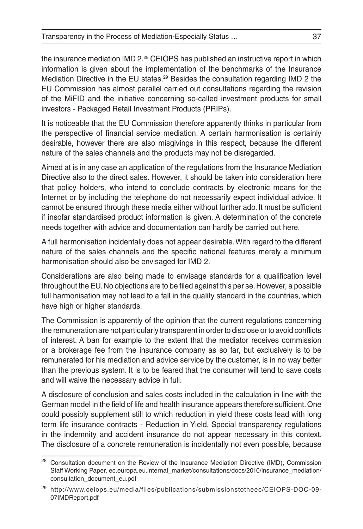the insurance mediation IMD 2.28 CEIOPS has published an instructive report in which information is given about the implementation of the benchmarks of the Insurance Mediation Directive in the EU states.29 Besides the consultation regarding IMD 2 the EU Commission has almost parallel carried out consultations regarding the revision of the MiFID and the initiative concerning so-called investment products for small investors - Packaged Retail Investment Products (PRIPs).

It is noticeable that the EU Commission therefore apparently thinks in particular from the perspective of financial service mediation. A certain harmonisation is certainly desirable, however there are also misgivings in this respect, because the different nature of the sales channels and the products may not be disregarded.

Aimed at is in any case an application of the regulations from the Insurance Mediation Directive also to the direct sales. However, it should be taken into consideration here that policy holders, who intend to conclude contracts by electronic means for the Internet or by including the telephone do not necessarily expect individual advice. It cannot be ensured through these media either without further ado. It must be sufficient if insofar standardised product information is given. A determination of the concrete needs together with advice and documentation can hardly be carried out here.

A full harmonisation incidentally does not appear desirable. With regard to the different nature of the sales channels and the specific national features merely a minimum harmonisation should also be envisaged for IMD 2.

Considerations are also being made to envisage standards for a qualification level throughout the EU. No objections are to be filed against this per se. However, a possible full harmonisation may not lead to a fall in the quality standard in the countries, which have high or higher standards.

The Commission is apparently of the opinion that the current regulations concerning the remuneration are not particularly transparent in order to disclose or to avoid conflicts of interest. A ban for example to the extent that the mediator receives commission or a brokerage fee from the insurance company as so far, but exclusively is to be remunerated for his mediation and advice service by the customer, is in no way better than the previous system. It is to be feared that the consumer will tend to save costs and will waive the necessary advice in full.

A disclosure of conclusion and sales costs included in the calculation in line with the German model in the field of life and health insurance appears therefore sufficient. One could possibly supplement still to which reduction in yield these costs lead with long term life insurance contracts - Reduction in Yield. Special transparency regulations in the indemnity and accident insurance do not appear necessary in this context. The disclosure of a concrete remuneration is incidentally not even possible, because

<sup>&</sup>lt;sup>28</sup> Consultation document on the Review of the Insurance Mediation Directive (IMD), Commission Staff Working Paper, ec.europa.eu.internal\_market/consultations/docs/2010/insurance\_mediation/ consultation\_document\_eu.pdf

<sup>29</sup> http://www.ceiops.eu/media/files/publications/submissionstotheec/CEIOPS-DOC-09- 07IMDReport.pdf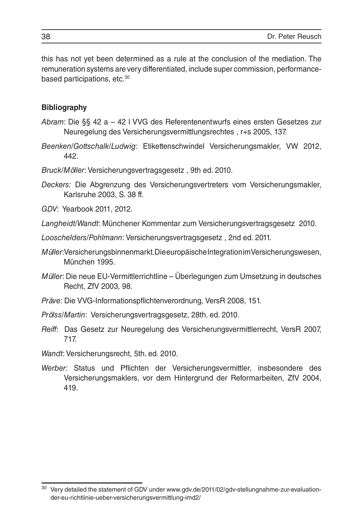this has not yet been determined as a rule at the conclusion of the mediation. The remuneration systems are very differentiated, include super commission, performancebased participations, etc.30

#### **Bibliography**

- *Abram*: Die §§ 42 a 42 l VVG des Referentenentwurfs eines ersten Gesetzes zur Neuregelung des Versicherungsvermittlungsrechtes , r+s 2005, 137.
- *Beenken/Gottschalk/Ludwig*: Etikettenschwindel Versicherungsmakler, VW 2012, 442.

*Bruck/Möller*: Versicherungsvertragsgesetz , 9th ed. 2010.

*Deckers:* Die Abgrenzung des Versicherungsvertreters vom Versicherungsmakler, Karlsruhe 2003, S. 38 ff.

*GDV*: Yearbook 2011, 2012.

*Langheidt/Wandt*: Münchener Kommentar zum Versicherungsvertragsgesetz 2010.

*Looschelders/Pohlmann*: Versicherungsvertragsgesetz , 2nd ed. 2011.

- *Müller*: Versicherungsbinnenmarkt. Die europäische Integration im Versicherungswesen, München 1995.
- *Müller*: Die neue EU-Vermittlerrichtline Überlegungen zum Umsetzung in deutsches Recht, ZfV 2003, 98.
- *Präve*: Die VVG-Informationspflichtenverordnung, VersR 2008, 151.
- *Prölss/Martin*: Versicherungsvertragsgesetz, 28th. ed. 2010.
- *Reiff*: Das Gesetz zur Neuregelung des Versicherungsvermittlerrecht, VersR 2007, 717.
- *Wandt*: Versicherungsrecht, 5th. ed. 2010.
- *Werber*: Status und Pflichten der Versicherungsvermittler, insbesondere des Versicherungsmaklers, vor dem Hintergrund der Reformarbeiten, ZfV 2004, 419.

 $30$  Very detailed the statement of GDV under www.gdv.de/2011/02/gdv-stellungnahme-zur-evaluationder-eu-richtlinie-ueber-versicherungsvermittlung-imd2/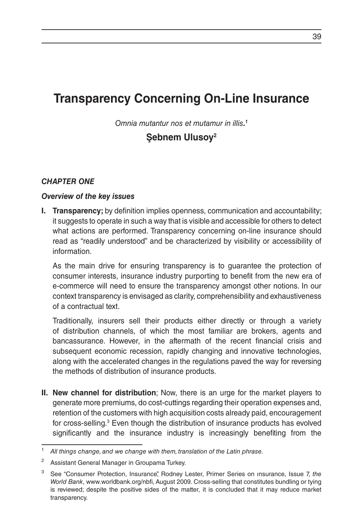# **Transparency Concerning On-Line Insurance**

*Omnia mutantur nos et mutamur in illis. 1*

# **Şebnem Ulusoy2**

#### *CHAPTER ONE*

#### *Overview of the key issues*

**I. Transparency;** by definition implies openness, communication and accountability; it suggests to operate in such a way that is visible and accessible for others to detect what actions are performed. Transparency concerning on-line insurance should read as "readily understood" and be characterized by visibility or accessibility of information.

As the main drive for ensuring transparency is to guarantee the protection of consumer interests, insurance industry purporting to benefit from the new era of e-commerce will need to ensure the transparency amongst other notions. In our context transparency is envisaged as clarity, comprehensibility and exhaustiveness of a contractual text.

Traditionally, insurers sell their products either directly or through a variety of distribution channels, of which the most familiar are brokers, agents and bancassurance. However, in the aftermath of the recent financial crisis and subsequent economic recession, rapidly changing and innovative technologies, along with the accelerated changes in the regulations paved the way for reversing the methods of distribution of insurance products.

**II. New channel for distribution**; Now, there is an urge for the market players to generate more premiums, do cost-cuttings regarding their operation expenses and, retention of the customers with high acquisition costs already paid, encouragement for cross-selling.<sup>3</sup> Even though the distribution of insurance products has evolved significantly and the insurance industry is increasingly benefiting from the

All things change, and we change with them, translation of the Latin phrase.

<sup>2</sup> Assistant General Manager in Groupama Turkey.

<sup>3</sup> See "Consumer Protection, Insurance", Rodney Lester, Primer Series on ınsurance, Issue 7, *the World Bank*, www.worldbank.org/nbfi, August 2009. Cross-selling that constitutes bundling or tying is reviewed; despite the positive sides of the matter, it is concluded that it may reduce market transparency.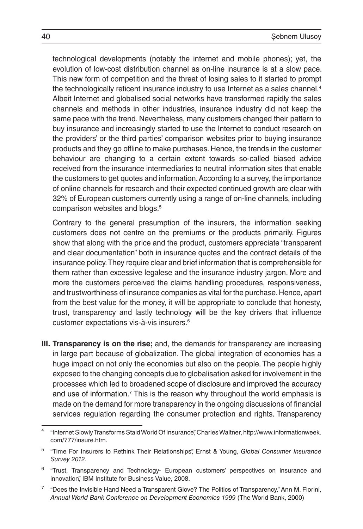technological developments (notably the internet and mobile phones); yet, the evolution of low-cost distribution channel as on-line insurance is at a slow pace. This new form of competition and the threat of losing sales to it started to prompt the technologically reticent insurance industry to use Internet as a sales channel.<sup>4</sup> Albeit Internet and globalised social networks have transformed rapidly the sales channels and methods in other industries, insurance industry did not keep the same pace with the trend. Nevertheless, many customers changed their pattern to buy insurance and increasingly started to use the Internet to conduct research on the providers' or the third parties' comparison websites prior to buying insurance products and they go offline to make purchases. Hence, the trends in the customer behaviour are changing to a certain extent towards so-called biased advice received from the insurance intermediaries to neutral information sites that enable the customers to get quotes and information. According to a survey, the importance of online channels for research and their expected continued growth are clear with 32% of European customers currently using a range of on-line channels, including comparison websites and blogs.5

Contrary to the general presumption of the insurers, the information seeking customers does not centre on the premiums or the products primarily. Figures show that along with the price and the product, customers appreciate "transparent and clear documentation" both in insurance quotes and the contract details of the insurance policy. They require clear and brief information that is comprehensible for them rather than excessive legalese and the insurance industry jargon. More and more the customers perceived the claims handling procedures, responsiveness, and trustworthiness of insurance companies as vital for the purchase. Hence, apart from the best value for the money, it will be appropriate to conclude that honesty, trust, transparency and lastly technology will be the key drivers that influence customer expectations vis-à-vis insurers.6

**III. Transparency is on the rise;** and, the demands for transparency are increasing in large part because of globalization. The global integration of economies has a huge impact on not only the economies but also on the people. The people highly exposed to the changing concepts due to globalisation asked for involvement in the processes which led to broadened scope of disclosure and improved the accuracy and use of information.<sup>7</sup> This is the reason why throughout the world emphasis is made on the demand for more transparency in the ongoing discussions of financial services regulation regarding the consumer protection and rights. Transparency

<sup>4</sup> "Internet Slowly Transforms Staid World Of Insurance", Charles Waltner, http://www.informationweek. com/777/insure.htm.

<sup>5</sup> "Time For Insurers to Rethink Their Relationships", Ernst & Young, *Global Consumer Insurance Survey 2012*.

<sup>&</sup>lt;sup>6</sup> "Trust, Transparency and Technology- European customers' perspectives on insurance and innovation", IBM Institute for Business Value, 2008.

<sup>&</sup>lt;sup>7</sup> "Does the Invisible Hand Need a Transparent Glove? The Politics of Transparency," Ann M. Florini, *Annual World Bank Conference on Development Economics 1999* (The World Bank, 2000)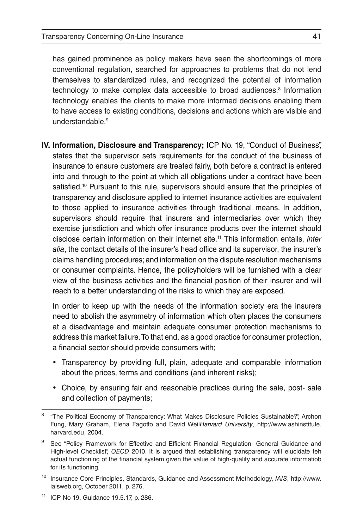has gained prominence as policy makers have seen the shortcomings of more conventional regulation, searched for approaches to problems that do not lend themselves to standardized rules, and recognized the potential of information technology to make complex data accessible to broad audiences.<sup>8</sup> Information technology enables the clients to make more informed decisions enabling them to have access to existing conditions, decisions and actions which are visible and understandable<sup>9</sup>

**IV. Information, Disclosure and Transparency;** ICP No. 19, "Conduct of Business", states that the supervisor sets requirements for the conduct of the business of insurance to ensure customers are treated fairly, both before a contract is entered into and through to the point at which all obligations under a contract have been satisfied.<sup>10</sup> Pursuant to this rule, supervisors should ensure that the principles of transparency and disclosure applied to internet insurance activities are equivalent to those applied to insurance activities through traditional means. In addition, supervisors should require that insurers and intermediaries over which they exercise jurisdiction and which offer insurance products over the internet should disclose certain information on their internet site.11 This information entails, *inter alia*, the contact details of the insurer's head office and its supervisor, the insurer's claims handling procedures; and information on the dispute resolution mechanisms or consumer complaints. Hence, the policyholders will be furnished with a clear view of the business activities and the financial position of their insurer and will reach to a better understanding of the risks to which they are exposed.

In order to keep up with the needs of the information society era the insurers need to abolish the asymmetry of information which often places the consumers at a disadvantage and maintain adequate consumer protection mechanisms to address this market failure. To that end, as a good practice for consumer protection, a financial sector should provide consumers with;

- Transparency by providing full, plain, adequate and comparable information about the prices, terms and conditions (and inherent risks);
- Choice, by ensuring fair and reasonable practices during the sale, post- sale and collection of payments;

<sup>8</sup> "The Political Economy of Transparency: What Makes Disclosure Policies Sustainable?", Archon Fung, Mary Graham, Elena Fagotto and David Weil*Harvard University*, http://www.ashinstitute. harvard.edu, 2004.

<sup>&</sup>lt;sup>9</sup> See "Policy Framework for Effective and Efficient Financial Regulation- General Guidance and High-level Checklist", *OECD* 2010. It is argued that establishing transparency will elucidate teh actual functioning of the financial system given the value of high-quality and accurate informatiob for its functioning.

<sup>10</sup> Insurance Core Principles, Standards, Guidance and Assessment Methodology, *IAIS*, http://www. iaisweb.org, October 2011, p. 276.

<sup>11</sup> ICP No 19, Guidance 19.5.17, p. 286.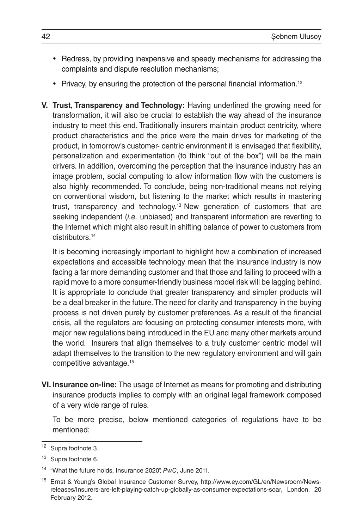- Redress, by providing inexpensive and speedy mechanisms for addressing the complaints and dispute resolution mechanisms;
- Privacy, by ensuring the protection of the personal financial information.<sup>12</sup>
- **V. Trust, Transparency and Technology:** Having underlined the growing need for transformation, it will also be crucial to establish the way ahead of the insurance industry to meet this end. Traditionally insurers maintain product centricity, where product characteristics and the price were the main drives for marketing of the product, in tomorrow's customer- centric environment it is envisaged that flexibility, personalization and experimentation (to think "out of the box") will be the main drivers. In addition, overcoming the perception that the insurance industry has an image problem, social computing to allow information flow with the customers is also highly recommended. To conclude, being non-traditional means not relying on conventional wisdom, but listening to the market which results in mastering trust, transparency and technology.13 New generation of customers that are seeking independent (*i.e.* unbiased) and transparent information are reverting to the Internet which might also result in shifting balance of power to customers from distributors<sup>14</sup>

It is becoming increasingly important to highlight how a combination of increased expectations and accessible technology mean that the insurance industry is now facing a far more demanding customer and that those and failing to proceed with a rapid move to a more consumer-friendly business model risk will be lagging behind. It is appropriate to conclude that greater transparency and simpler products will be a deal breaker in the future. The need for clarity and transparency in the buying process is not driven purely by customer preferences. As a result of the financial crisis, all the regulators are focusing on protecting consumer interests more, with major new regulations being introduced in the EU and many other markets around the world. Insurers that align themselves to a truly customer centric model will adapt themselves to the transition to the new regulatory environment and will gain competitive advantage.15

**VI. Insurance on-line:** The usage of Internet as means for promoting and distributing insurance products implies to comply with an original legal framework composed of a very wide range of rules.

To be more precise, below mentioned categories of regulations have to be mentioned:

<sup>12</sup> Supra footnote 3.

<sup>&</sup>lt;sup>13</sup> Supra footnote 6.

<sup>14</sup> "What the future holds, Insurance 2020", *PwC*, June 2011.

<sup>15</sup> Ernst & Young's Global Insurance Customer Survey, http://www.ey.com/GL/en/Newsroom/Newsreleases/Insurers-are-left-playing-catch-up-globally-as-consumer-expectations-soar, London, 20 February 2012.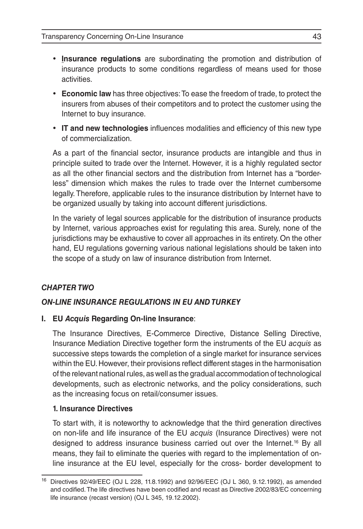- • **Insurance regulations** are subordinating the promotion and distribution of insurance products to some conditions regardless of means used for those activities.
- • **Economic law** has three objectives: To ease the freedom of trade, to protect the insurers from abuses of their competitors and to protect the customer using the Internet to buy insurance.
- • **IT and new technologies** influences modalities and efficiency of this new type of commercialization.

As a part of the financial sector, insurance products are intangible and thus in principle suited to trade over the Internet. However, it is a highly regulated sector as all the other financial sectors and the distribution from Internet has a "borderless" dimension which makes the rules to trade over the Internet cumbersome legally. Therefore, applicable rules to the insurance distribution by Internet have to be organized usually by taking into account different jurisdictions.

In the variety of legal sources applicable for the distribution of insurance products by Internet, various approaches exist for regulating this area. Surely, none of the jurisdictions may be exhaustive to cover all approaches in its entirety. On the other hand, EU regulations governing various national legislations should be taken into the scope of a study on law of insurance distribution from Internet.

# *CHAPTER TWO*

#### *ON-LINE INSURANCE REGULATIONS IN EU AND TURKEY*

#### **I. EU** *Acquis* **Regarding On-line Insurance**:

The Insurance Directives, E-Commerce Directive, Distance Selling Directive, Insurance Mediation Directive together form the instruments of the EU *acquis* as successive steps towards the completion of a single market for insurance services within the EU. However, their provisions reflect different stages in the harmonisation of the relevant national rules, as well as the gradual accommodation of technological developments, such as electronic networks, and the policy considerations, such as the increasing focus on retail/consumer issues.

#### **1. Insurance Directives**

To start with, it is noteworthy to acknowledge that the third generation directives on non-life and life insurance of the EU *acquis* (Insurance Directives) were not designed to address insurance business carried out over the Internet.16 By all means, they fail to eliminate the queries with regard to the implementation of online insurance at the EU level, especially for the cross- border development to

<sup>16</sup> Directives 92/49/EEC (OJ L 228, 11.8.1992) and 92/96/EEC (OJ L 360, 9.12.1992), as amended and codified. The life directives have been codified and recast as Directive 2002/83/EC concerning life insurance (recast version) (OJ L 345, 19.12.2002).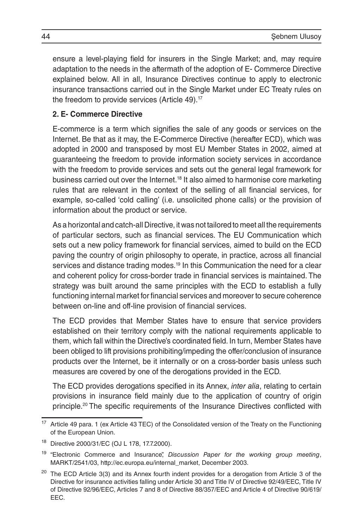ensure a level-playing field for insurers in the Single Market; and, may require adaptation to the needs in the aftermath of the adoption of E- Commerce Directive explained below. All in all, Insurance Directives continue to apply to electronic insurance transactions carried out in the Single Market under EC Treaty rules on the freedom to provide services (Article 49).<sup>17</sup>

### **2. E- Commerce Directive**

E-commerce is a term which signifies the sale of any goods or services on the Internet. Be that as it may, the E-Commerce Directive (hereafter ECD), which was adopted in 2000 and transposed by most EU Member States in 2002, aimed at guaranteeing the freedom to provide information society services in accordance with the freedom to provide services and sets out the general legal framework for business carried out over the Internet.18 It also aimed to harmonise core marketing rules that are relevant in the context of the selling of all financial services, for example, so-called 'cold calling' (i.e. unsolicited phone calls) or the provision of information about the product or service.

As a horizontal and catch-all Directive, it was not tailored to meet all the requirements of particular sectors, such as financial services. The EU Communication which sets out a new policy framework for financial services, aimed to build on the ECD paving the country of origin philosophy to operate, in practice, across all financial services and distance trading modes.<sup>19</sup> In this Communication the need for a clear and coherent policy for cross-border trade in financial services is maintained. The strategy was built around the same principles with the ECD to establish a fully functioning internal market for financial services and moreover to secure coherence between on-line and off-line provision of financial services.

The ECD provides that Member States have to ensure that service providers established on their territory comply with the national requirements applicable to them, which fall within the Directive's coordinated field. In turn, Member States have been obliged to lift provisions prohibiting/impeding the offer/conclusion of insurance products over the Internet, be it internally or on a cross-border basis unless such measures are covered by one of the derogations provided in the ECD.

The ECD provides derogations specified in its Annex, *inter alia*, relating to certain provisions in insurance field mainly due to the application of country of origin principle.20 The specific requirements of the Insurance Directives conflicted with

Article 49 para. 1 (ex Article 43 TEC) of the Consolidated version of the Treaty on the Functioning of the European Union.

<sup>18</sup> Directive 2000/31/EC (OJ L 178, 17.7.2000).

<sup>19</sup> "Electronic Commerce and Insurance", *Discussion Paper for the working group meeting*, MARKT/2541/03, http://ec.europa.eu/internal\_market, December 2003.

<sup>&</sup>lt;sup>20</sup> The ECD Article 3(3) and its Annex fourth indent provides for a derogation from Article 3 of the Directive for insurance activities falling under Article 30 and Title IV of Directive 92/49/EEC, Title IV of Directive 92/96/EEC, Articles 7 and 8 of Directive 88/357/EEC and Article 4 of Directive 90/619/ EEC.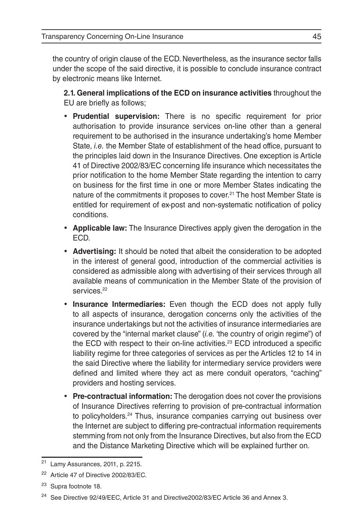the country of origin clause of the ECD. Nevertheless, as the insurance sector falls under the scope of the said directive, it is possible to conclude insurance contract by electronic means like Internet.

**2.1. General implications of the ECD on insurance activities** throughout the EU are briefly as follows;

- • **Prudential supervision:** There is no specific requirement for prior authorisation to provide insurance services on-line other than a general requirement to be authorised in the insurance undertaking's home Member State, *i.e.* the Member State of establishment of the head office, pursuant to the principles laid down in the Insurance Directives. One exception is Article 41 of Directive 2002/83/EC concerning life insurance which necessitates the prior notification to the home Member State regarding the intention to carry on business for the first time in one or more Member States indicating the nature of the commitments it proposes to cover.<sup>21</sup> The host Member State is entitled for requirement of ex-post and non-systematic notification of policy conditions.
- • **Applicable law:** The Insurance Directives apply given the derogation in the ECD.
- • **Advertising:** It should be noted that albeit the consideration to be adopted in the interest of general good, introduction of the commercial activities is considered as admissible along with advertising of their services through all available means of communication in the Member State of the provision of services.<sup>22</sup>
- • **Insurance Intermediaries:** Even though the ECD does not apply fully to all aspects of insurance, derogation concerns only the activities of the insurance undertakings but not the activities of insurance intermediaries are covered by the "internal market clause" (*i.e.* 'the country of origin regime") of the ECD with respect to their on-line activities.<sup>23</sup> ECD introduced a specific liability regime for three categories of services as per the Articles 12 to 14 in the said Directive where the liability for intermediary service providers were defined and limited where they act as mere conduit operators, "caching" providers and hosting services.
- Pre-contractual information: The derogation does not cover the provisions of Insurance Directives referring to provision of pre-contractual information to policyholders.24 Thus, insurance companies carrying out business over the Internet are subject to differing pre-contractual information requirements stemming from not only from the Insurance Directives, but also from the ECD and the Distance Marketing Directive which will be explained further on.

Lamy Assurances, 2011, p. 2215.

<sup>&</sup>lt;sup>22</sup> Article 47 of Directive 2002/83/EC.

<sup>23</sup> Supra footnote 18.

<sup>24</sup> See Directive 92/49/EEC, Article 31 and Directive2002/83/EC Article 36 and Annex 3.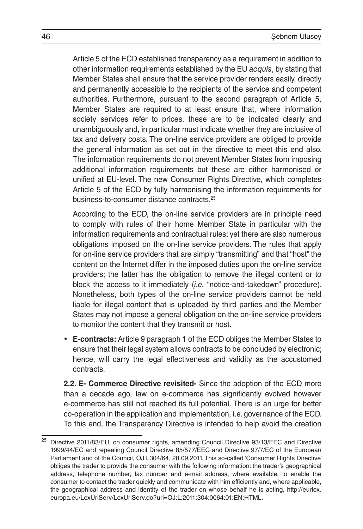Article 5 of the ECD established transparency as a requirement in addition to other information requirements established by the EU *acquis*, by stating that Member States shall ensure that the service provider renders easily, directly and permanently accessible to the recipients of the service and competent authorities. Furthermore, pursuant to the second paragraph of Article 5, Member States are required to at least ensure that, where information society services refer to prices, these are to be indicated clearly and unambiguously and, in particular must indicate whether they are inclusive of tax and delivery costs. The on-line service providers are obliged to provide the general information as set out in the directive to meet this end also. The information requirements do not prevent Member States from imposing additional information requirements but these are either harmonised or unified at EU-level. The new Consumer Rights Directive, which completes Article 5 of the ECD by fully harmonising the information requirements for business-to-consumer distance contracts.25

According to the ECD, the on-line service providers are in principle need to comply with rules of their home Member State in particular with the information requirements and contractual rules; yet there are also numerous obligations imposed on the on-line service providers. The rules that apply for on-line service providers that are simply "transmitting" and that "host" the content on the Internet differ in the imposed duties upon the on-line service providers; the latter has the obligation to remove the illegal content or to block the access to it immediately (*i.e.* "notice-and-takedown" procedure). Nonetheless, both types of the on-line service providers cannot be held liable for illegal content that is uploaded by third parties and the Member States may not impose a general obligation on the on-line service providers to monitor the content that they transmit or host.

• **E-contracts:** Article 9 paragraph 1 of the ECD obliges the Member States to ensure that their legal system allows contracts to be concluded by electronic; hence, will carry the legal effectiveness and validity as the accustomed contracts.

**2.2. E- Commerce Directive revisited-** Since the adoption of the ECD more than a decade ago, law on e-commerce has significantly evolved however e-commerce has still not reached its full potential. There is an urge for better co-operation in the application and implementation, i.e. governance of the ECD. To this end, the Transparency Directive is intended to help avoid the creation

<sup>&</sup>lt;sup>25</sup> Directive 2011/83/EU, on consumer rights, amending Council Directive 93/13/EEC and Directive 1999/44/EC and repealing Council Directive 85/577/EEC and Directive 97/7/EC of the European Parliament and of the Council, OJ L304/64, 28.09.2011. This so-called 'Consumer Rights Directive' obliges the trader to provide the consumer with the following information: the trader's geographical address, telephone number, fax number and e-mail address, where available, to enable the consumer to contact the trader quickly and communicate with him efficiently and, where applicable, the geographical address and identity of the trader on whose behalf he is acting, http://eurlex. europa.eu/LexUriServ/LexUriServ.do?uri=OJ:L:2011:304:0064:01:EN:HTML.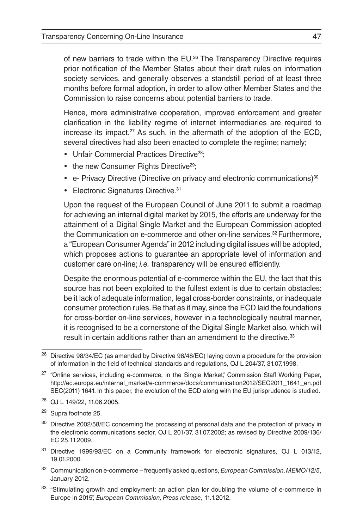of new barriers to trade within the EU. <sup>26</sup> The Transparency Directive requires prior notification of the Member States about their draft rules on information society services, and generally observes a standstill period of at least three months before formal adoption, in order to allow other Member States and the Commission to raise concerns about potential barriers to trade.

Hence, more administrative cooperation, improved enforcement and greater clarification in the liability regime of internet intermediaries are required to increase its impact.<sup>27</sup> As such, in the aftermath of the adoption of the ECD. several directives had also been enacted to complete the regime; namely;

- Unfair Commercial Practices Directive<sup>28</sup>;
- the new Consumer Rights Directive<sup>29</sup>;
- e- Privacy Directive (Directive on privacy and electronic communications)<sup>30</sup>
- Electronic Signatures Directive.<sup>31</sup>

Upon the request of the European Council of June 2011 to submit a roadmap for achieving an internal digital market by 2015, the efforts are underway for the attainment of a Digital Single Market and the European Commission adopted the Communication on e-commerce and other on-line services.32 Furthermore, a "European Consumer Agenda" in 2012 including digital issues will be adopted, which proposes actions to guarantee an appropriate level of information and customer care on-line; *i.e.* transparency will be ensured efficiently.

Despite the enormous potential of e-commerce within the EU, the fact that this source has not been exploited to the fullest extent is due to certain obstacles; be it lack of adequate information, legal cross-border constraints, or inadequate consumer protection rules. Be that as it may, since the ECD laid the foundations for cross-border on-line services, however in a technologically neutral manner, it is recognised to be a cornerstone of the Digital Single Market also, which will result in certain additions rather than an amendment to the directive.<sup>33</sup>

- <sup>32</sup> Communication on e-commerce frequently asked questions, *European Commission, MEMO/12/5*, January 2012.
- <sup>33</sup> "Stimulating growth and employment: an action plan for doubling the volume of e-commerce in Europe in 2015", *European Commission, Press release*, 11.1.2012.

<sup>&</sup>lt;sup>26</sup> Directive 98/34/EC (as amended by Directive 98/48/EC) laying down a procedure for the provision of information in the field of technical standards and regulations, OJ L 204/37, 31.07.1998.

<sup>&</sup>lt;sup>27</sup> "Online services, including e-commerce, in the Single Market", Commission Staff Working Paper, http://ec.europa.eu/internal\_market/e-commerce/docs/communication2012/SEC2011\_1641\_en.pdf SEC(2011) 1641. In this paper, the evolution of the ECD along with the EU jurisprudence is studied.

<sup>28</sup> OJ L 149/22, 11.06.2005.

<sup>29</sup> Supra footnote 25.

<sup>&</sup>lt;sup>30</sup> Directive 2002/58/EC concerning the processing of personal data and the protection of privacy in the electronic communications sector, OJ L 201/37, 31.07.2002; as revised by Directive 2009/136/ EC 25.11.2009.

<sup>&</sup>lt;sup>31</sup> Directive 1999/93/EC on a Community framework for electronic signatures, OJ L 013/12, 19.01.2000.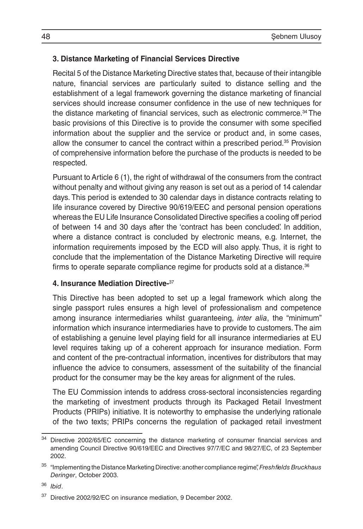### **3. Distance Marketing of Financial Services Directive**

Recital 5 of the Distance Marketing Directive states that, because of their intangible nature, financial services are particularly suited to distance selling and the establishment of a legal framework governing the distance marketing of financial services should increase consumer confidence in the use of new techniques for the distance marketing of financial services, such as electronic commerce.<sup>34</sup> The basic provisions of this Directive is to provide the consumer with some specified information about the supplier and the service or product and, in some cases, allow the consumer to cancel the contract within a prescribed period.<sup>35</sup> Provision of comprehensive information before the purchase of the products is needed to be respected.

Pursuant to Article 6 (1), the right of withdrawal of the consumers from the contract without penalty and without giving any reason is set out as a period of 14 calendar days. This period is extended to 30 calendar days in distance contracts relating to life insurance covered by Directive 90/619/EEC and personal pension operations whereas the EU Life Insurance Consolidated Directive specifies a cooling off period of between 14 and 30 days after the 'contract has been concluded'. In addition, where a distance contract is concluded by electronic means, e.g. Internet, the information requirements imposed by the ECD will also apply. Thus, it is right to conclude that the implementation of the Distance Marketing Directive will require firms to operate separate compliance regime for products sold at a distance.<sup>36</sup>

#### **4. Insurance Mediation Directive-**<sup>37</sup>

This Directive has been adopted to set up a legal framework which along the single passport rules ensures a high level of professionalism and competence among insurance intermediaries whilst guaranteeing, *inter alia*, the "minimum" information which insurance intermediaries have to provide to customers. The aim of establishing a genuine level playing field for all insurance intermediaries at EU level requires taking up of a coherent approach for insurance mediation. Form and content of the pre-contractual information, incentives for distributors that may influence the advice to consumers, assessment of the suitability of the financial product for the consumer may be the key areas for alignment of the rules.

The EU Commission intends to address cross-sectoral inconsistencies regarding the marketing of investment products through its Packaged Retail Investment Products (PRIPs) initiative. It is noteworthy to emphasise the underlying rationale of the two texts; PRIPs concerns the regulation of packaged retail investment

<sup>&</sup>lt;sup>34</sup> Directive 2002/65/EC concerning the distance marketing of consumer financial services and amending Council Directive 90/619/EEC and Directives 97/7/EC and 98/27/EC, of 23 September 2002.

<sup>35</sup> "Implementing the Distance Marketing Directive: another compliance regime", *Freshfields Bruckhaus Deringer*, October 2003.

<sup>36</sup> *Ibid*.

<sup>37</sup> Directive 2002/92/EC on insurance mediation, 9 December 2002.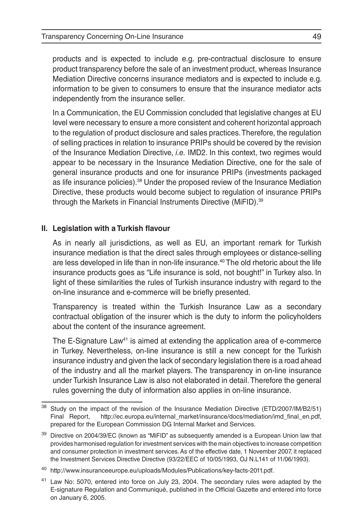products and is expected to include e.g. pre-contractual disclosure to ensure product transparency before the sale of an investment product, whereas Insurance Mediation Directive concerns insurance mediators and is expected to include e.g. information to be given to consumers to ensure that the insurance mediator acts independently from the insurance seller.

In a Communication, the EU Commission concluded that legislative changes at EU level were necessary to ensure a more consistent and coherent horizontal approach to the regulation of product disclosure and sales practices. Therefore, the regulation of selling practices in relation to insurance PRIPs should be covered by the revision of the Insurance Mediation Directive, *i.e.* IMD2. In this context, two regimes would appear to be necessary in the Insurance Mediation Directive, one for the sale of general insurance products and one for insurance PRIPs (investments packaged as life insurance policies).38 Under the proposed review of the Insurance Mediation Directive, these products would become subject to regulation of insurance PRIPs through the Markets in Financial Instruments Directive (MiFID).39

#### **II. Legislation with a Turkish flavour**

As in nearly all jurisdictions, as well as EU, an important remark for Turkish insurance mediation is that the direct sales through employees or distance-selling are less developed in life than in non-life insurance.40 The old rhetoric about the life insurance products goes as "Life insurance is sold, not bought!" in Turkey also. In light of these similarities the rules of Turkish insurance industry with regard to the on-line insurance and e-commerce will be briefly presented.

Transparency is treated within the Turkish Insurance Law as a secondary contractual obligation of the insurer which is the duty to inform the policyholders about the content of the insurance agreement.

The E-Signature Law<sup>41</sup> is aimed at extending the application area of e-commerce in Turkey. Nevertheless, on-line insurance is still a new concept for the Turkish insurance industry and given the lack of secondary legislation there is a road ahead of the industry and all the market players. The transparency in on-line insurance under Turkish Insurance Law is also not elaborated in detail. Therefore the general rules governing the duty of information also applies in on-line insurance.

<sup>&</sup>lt;sup>38</sup> Study on the impact of the revision of the Insurance Mediation Directive (ETD/2007/IM/B2/51) Final Report, http://ec.europa.eu/internal\_market/insurance/docs/mediation/imd\_final\_en.pdf, prepared for the European Commission DG Internal Market and Services.

<sup>&</sup>lt;sup>39</sup> Directive on 2004/39/EC (known as "MiFID" as subsequently amended is a European Union law that provides harmonised regulation for investment services with the main objectives to increase competition and consumer protection in investment services. As of the effective date, 1 November 2007, it replaced the Investment Services Directive Directive (93/22/EEC of 10/05/1993, OJ N.L141 of 11/06/1993).

<sup>40</sup> http://www.insuranceeurope.eu/uploads/Modules/Publications/key-facts-2011.pdf.

<sup>41</sup> Law No: 5070, entered into force on July 23, 2004. The secondary rules were adapted by the E-signature Regulation and Communiqué, published in the Official Gazette and entered into force on January 6, 2005.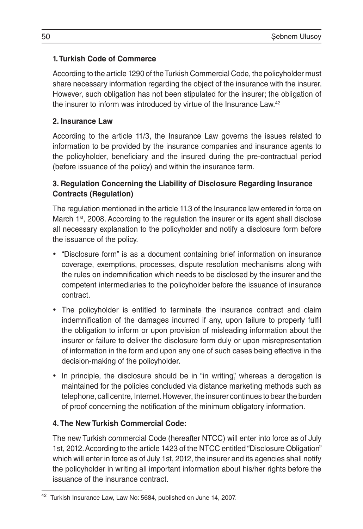### **1. Turkish Code of Commerce**

According to the article 1290 of the Turkish Commercial Code, the policyholder must share necessary information regarding the object of the insurance with the insurer. However, such obligation has not been stipulated for the insurer; the obligation of the insurer to inform was introduced by virtue of the Insurance Law.42

## **2. Insurance Law**

According to the article 11/3, the Insurance Law governs the issues related to information to be provided by the insurance companies and insurance agents to the policyholder, beneficiary and the insured during the pre-contractual period (before issuance of the policy) and within the insurance term.

# **3. Regulation Concerning the Liability of Disclosure Regarding Insurance Contracts (Regulation)**

The regulation mentioned in the article 11.3 of the Insurance law entered in force on March  $1<sup>st</sup>$ , 2008. According to the regulation the insurer or its agent shall disclose all necessary explanation to the policyholder and notify a disclosure form before the issuance of the policy.

- "Disclosure form" is as a document containing brief information on insurance coverage, exemptions, processes, dispute resolution mechanisms along with the rules on indemnification which needs to be disclosed by the insurer and the competent intermediaries to the policyholder before the issuance of insurance contract.
- The policyholder is entitled to terminate the insurance contract and claim indemnification of the damages incurred if any, upon failure to properly fulfil the obligation to inform or upon provision of misleading information about the insurer or failure to deliver the disclosure form duly or upon misrepresentation of information in the form and upon any one of such cases being effective in the decision-making of the policyholder.
- In principle, the disclosure should be in "in writing", whereas a derogation is maintained for the policies concluded via distance marketing methods such as telephone, call centre, Internet. However, the insurer continues to bear the burden of proof concerning the notification of the minimum obligatory information.

# **4. The New Turkish Commercial Code:**

The new Turkish commercial Code (hereafter NTCC) will enter into force as of July 1st, 2012. According to the article 1423 of the NTCC entitled "Disclosure Obligation" which will enter in force as of July 1st, 2012, the insurer and its agencies shall notify the policyholder in writing all important information about his/her rights before the issuance of the insurance contract.

<sup>42</sup> Turkish Insurance Law, Law No: 5684, published on June 14, 2007.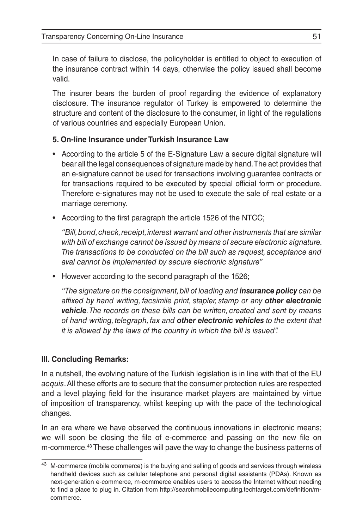In case of failure to disclose, the policyholder is entitled to object to execution of the insurance contract within 14 days, otherwise the policy issued shall become valid.

The insurer bears the burden of proof regarding the evidence of explanatory disclosure. The insurance regulator of Turkey is empowered to determine the structure and content of the disclosure to the consumer, in light of the regulations of various countries and especially European Union.

## **5. On-line Insurance under Turkish Insurance Law**

- According to the article 5 of the E-Signature Law a secure digital signature will bear all the legal consequences of signature made by hand. The act provides that an e-signature cannot be used for transactions involving guarantee contracts or for transactions required to be executed by special official form or procedure. Therefore e-signatures may not be used to execute the sale of real estate or a marriage ceremony.
- • According to the first paragraph the article 1526 of the NTCC;

*"Bill, bond, check, receipt, interest warrant and other instruments that are similar with bill of exchange cannot be issued by means of secure electronic signature. The transactions to be conducted on the bill such as request, acceptance and aval cannot be implemented by secure electronic signature"*

• However according to the second paragraph of the 1526;

*"The signature on the consignment, bill of loading and insurance policy can be affixed by hand writing, facsimile print, stapler, stamp or any other electronic vehicle. The records on these bills can be written, created and sent by means of hand writing, telegraph, fax and other electronic vehicles to the extent that it is allowed by the laws of the country in which the bill is issued".* 

#### **III. Concluding Remarks:**

In a nutshell, the evolving nature of the Turkish legislation is in line with that of the EU *acquis*. All these efforts are to secure that the consumer protection rules are respected and a level playing field for the insurance market players are maintained by virtue of imposition of transparency, whilst keeping up with the pace of the technological changes.

In an era where we have observed the continuous innovations in electronic means; we will soon be closing the file of e-commerce and passing on the new file on m-commerce.43 These challenges will pave the way to change the business patterns of

 $43$  M-commerce (mobile commerce) is the buying and selling of goods and services through wireless handheld devices such as cellular telephone and personal digital assistants (PDAs). Known as next-generation e-commerce, m-commerce enables users to access the Internet without needing to find a place to plug in. Citation from http://searchmobilecomputing.techtarget.com/definition/mcommerce.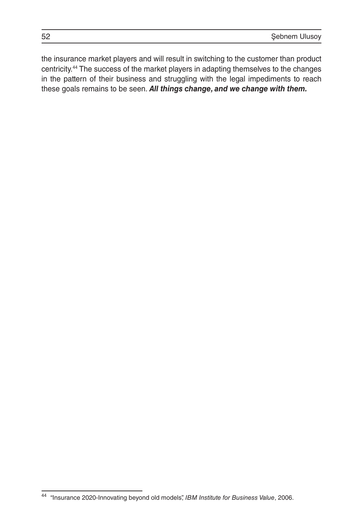the insurance market players and will result in switching to the customer than product centricity.44 The success of the market players in adapting themselves to the changes in the pattern of their business and struggling with the legal impediments to reach these goals remains to be seen. *All things change, and we change with them.*

<sup>44</sup> "Insurance 2020-Innovating beyond old models", *IBM Institute for Business Value*, 2006.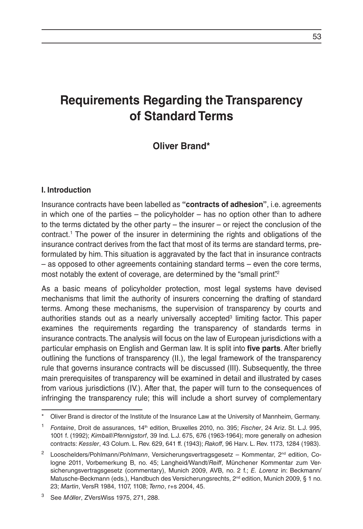# **Requirements Regarding the Transparency of Standard Terms**

# **Oliver Brand\***

#### **I. Introduction**

Insurance contracts have been labelled as **"contracts of adhesion"**, i.e. agreements in which one of the parties – the policyholder – has no option other than to adhere to the terms dictated by the other party – the insurer – or reject the conclusion of the contract.1 The power of the insurer in determining the rights and obligations of the insurance contract derives from the fact that most of its terms are standard terms, preformulated by him. This situation is aggravated by the fact that in insurance contracts – as opposed to other agreements containing standard terms – even the core terms, most notably the extent of coverage, are determined by the "small print"?

As a basic means of policyholder protection, most legal systems have devised mechanisms that limit the authority of insurers concerning the drafting of standard terms. Among these mechanisms, the supervision of transparency by courts and authorities stands out as a nearly universally accepted<sup>3</sup> limiting factor. This paper examines the requirements regarding the transparency of standards terms in insurance contracts. The analysis will focus on the law of European jurisdictions with a particular emphasis on English and German law. It is split into **five parts**. After briefly outlining the functions of transparency (II.), the legal framework of the transparency rule that governs insurance contracts will be discussed (III). Subsequently, the three main prerequisites of transparency will be examined in detail and illustrated by cases from various jurisdictions (IV.). After that, the paper will turn to the consequences of infringing the transparency rule; this will include a short survey of complementary

Oliver Brand is director of the Institute of the Insurance Law at the University of Mannheim, Germany.

<sup>1</sup> *Fontaine*, Droit de assurances, 14th edition, Bruxelles 2010, no. 395; *Fischer*, 24 Ariz. St. L.J. 995, 1001 f. (1992); *Kimball/Pfennigstorf*, 39 Ind. L.J. 675, 676 (1963-1964); more generally on adhesion contracts: *Kessler*, 43 Colum. L. Rev. 629, 641 ff. (1943); *Rakoff*, 96 Harv. L. Rev. 1173, 1284 (1983).

<sup>&</sup>lt;sup>2</sup> Looschelders/Pohlmann/Pohlmann, Versicherungsvertragsgesetz - Kommentar, 2<sup>nd</sup> edition, Cologne 2011, Vorbemerkung B, no. 45; Langheid/Wandt/*Reiff*, Münchener Kommentar zum Versicherungsvertragsgesetz (commentary), Munich 2009, AVB, no. 2 f.; *E. Lorenz* in: Beckmann/ Matusche-Beckmann (eds.), Handbuch des Versicherungsrechts, 2<sup>nd</sup> edition, Munich 2009, § 1 no. 23; *Martin*, VersR 1984, 1107, 1108; *Terno*, r+s 2004, 45.

<sup>3</sup> See *Möller*, ZVersWiss 1975, 271, 288.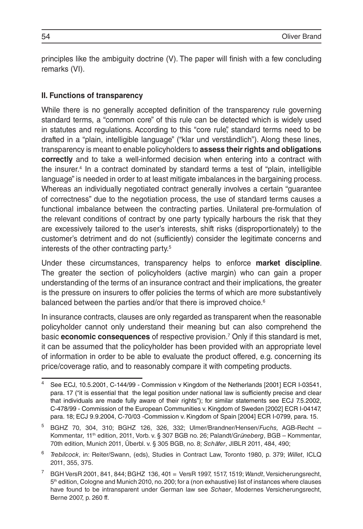principles like the ambiguity doctrine (V). The paper will finish with a few concluding remarks (VI).

#### **II. Functions of transparency**

While there is no generally accepted definition of the transparency rule governing standard terms, a "common core" of this rule can be detected which is widely used in statutes and regulations. According to this "core rule", standard terms need to be drafted in a "plain, intelligible language" ("klar und verständlich"). Along these lines, transparency is meant to enable policyholders to **assess their rights and obligations correctly** and to take a well-informed decision when entering into a contract with the insurer.4 In a contract dominated by standard terms a test of "plain, intelligible language" is needed in order to at least mitigate imbalances in the bargaining process. Whereas an individually negotiated contract generally involves a certain "guarantee of correctness" due to the negotiation process, the use of standard terms causes a functional imbalance between the contracting parties. Unilateral pre-formulation of the relevant conditions of contract by one party typically harbours the risk that they are excessively tailored to the user's interests, shift risks (disproportionately) to the customer's detriment and do not (sufficiently) consider the legitimate concerns and interests of the other contracting party.5

Under these circumstances, transparency helps to enforce **market discipline**. The greater the section of policyholders (active margin) who can gain a proper understanding of the terms of an insurance contract and their implications, the greater is the pressure on insurers to offer policies the terms of which are more substantively balanced between the parties and/or that there is improved choice.<sup>6</sup>

In insurance contracts, clauses are only regarded as transparent when the reasonable policyholder cannot only understand their meaning but can also comprehend the basic **economic consequences** of respective provision.7 Only if this standard is met, it can be assumed that the policyholder has been provided with an appropriate level of information in order to be able to evaluate the product offered, e.g. concerning its price/coverage ratio, and to reasonably compare it with competing products.

<sup>4</sup> See ECJ, 10.5.2001, C-144/99 - Commission v Kingdom of the Netherlands [2001] ECR I-03541, para. 17 ("it is essential that the legal position under national law is sufficiently precise and clear that individuals are made fully aware of their rights"); for similar statements see ECJ 7.5.2002, C-478/99 - Commission of the European Communities v. Kingdom of Sweden [2002] ECR I-04147, para. 18; ECJ 9.9.2004, C-70/03 -Commission v. Kingdom of Spain [2004] ECR I-0799, para. 15.

<sup>5</sup> BGHZ 70, 304, 310; BGHZ 126, 326, 332; Ulmer/Brandner/Hensen/*Fuchs,* AGB-Recht – Kommentar*,* 11th edition, 2011, Vorb. v. § 307 BGB no. 26; Palandt/*Grüneberg*, BGB – Kommentar, 70th edition, Munich 2011, Überbl. v. § 305 BGB, no. 8; *Schäfer*, JIBLR 2011, 484, 490;

<sup>6</sup> *Trebilcock*, in: Reiter/Swann, (eds), Studies in Contract Law, Toronto 1980, p. 379; *Willet*, ICLQ 2011, 355, 375.

<sup>7</sup> BGH VersR 2001, 841, 844; BGHZ 136, 401 = VersR 1997, 1517, 1519; *Wandt*, Versicherungsrecht, 5<sup>th</sup> edition, Cologne and Munich 2010, no. 200; for a (non exhaustive) list of instances where clauses have found to be intransparent under German law see *Schaer*, Modernes Versicherungsrecht, Berne 2007, p. 260 ff.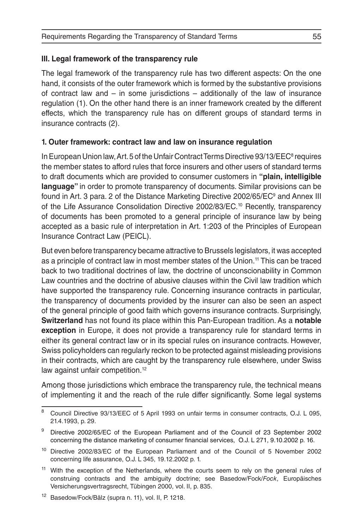#### **III. Legal framework of the transparency rule**

The legal framework of the transparency rule has two different aspects: On the one hand, it consists of the outer framework which is formed by the substantive provisions of contract law and – in some jurisdictions – additionally of the law of insurance regulation (1). On the other hand there is an inner framework created by the different effects, which the transparency rule has on different groups of standard terms in insurance contracts (2).

#### **1. Outer framework: contract law and law on insurance regulation**

In European Union law, Art. 5 of the Unfair Contract Terms Directive 93/13/EEC<sup>8</sup> requires the member states to afford rules that force insurers and other users of standard terms to draft documents which are provided to consumer customers in **"plain, intelligible language"** in order to promote transparency of documents. Similar provisions can be found in Art. 3 para. 2 of the Distance Marketing Directive 2002/65/EC<sup>9</sup> and Annex III of the Life Assurance Consolidation Directive 2002/83/EC.10 Recently, transparency of documents has been promoted to a general principle of insurance law by being accepted as a basic rule of interpretation in Art. 1:203 of the Principles of European Insurance Contract Law (PEICL).

But even before transparency became attractive to Brussels legislators, it was accepted as a principle of contract law in most member states of the Union.11 This can be traced back to two traditional doctrines of law, the doctrine of unconscionability in Common Law countries and the doctrine of abusive clauses within the Civil law tradition which have supported the transparency rule. Concerning insurance contracts in particular, the transparency of documents provided by the insurer can also be seen an aspect of the general principle of good faith which governs insurance contracts. Surprisingly, **Switzerland** has not found its place within this Pan-European tradition. As a **notable exception** in Europe, it does not provide a transparency rule for standard terms in either its general contract law or in its special rules on insurance contracts. However, Swiss policyholders can regularly reckon to be protected against misleading provisions in their contracts, which are caught by the transparency rule elsewhere, under Swiss law against unfair competition.<sup>12</sup>

Among those jurisdictions which embrace the transparency rule, the technical means of implementing it and the reach of the rule differ significantly. Some legal systems

<sup>&</sup>lt;sup>8</sup> Council Directive 93/13/EEC of 5 April 1993 on unfair terms in consumer contracts, O.J. L 095, 21.4.1993, p. 29.

<sup>9</sup> Directive 2002/65/EC of the European Parliament and of the Council of 23 September 2002 concerning the distance marketing of consumer financial services, O.J. L 271, 9.10.2002 p. 16.

<sup>10</sup> Directive 2002/83/EC of the European Parliament and of the Council of 5 November 2002 concerning life assurance, O.J. L 345, 19.12.2002 p. 1.

<sup>&</sup>lt;sup>11</sup> With the exception of the Netherlands, where the courts seem to rely on the general rules of construing contracts and the ambiguity doctrine; see Basedow/Fock/*Fock*, Europäisches Versicherungsvertragsrecht, Tübingen 2000, vol. II, p. 835.

<sup>12</sup> Basedow/Fock/Bälz (supra n. 11), vol. II, P. 1218.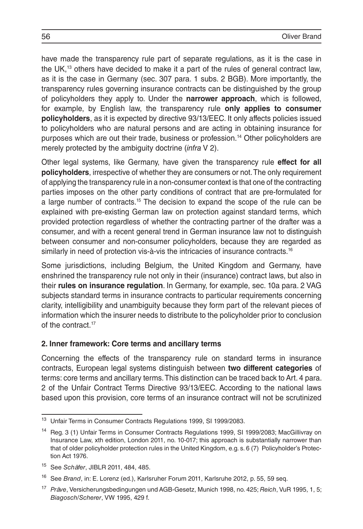have made the transparency rule part of separate regulations, as it is the case in the UK,13 others have decided to make it a part of the rules of general contract law, as it is the case in Germany (sec. 307 para. 1 subs. 2 BGB). More importantly, the transparency rules governing insurance contracts can be distinguished by the group of policyholders they apply to. Under the **narrower approach**, which is followed, for example, by English law, the transparency rule **only applies to consumer policyholders**, as it is expected by directive 93/13/EEC. It only affects policies issued to policyholders who are natural persons and are acting in obtaining insurance for purposes which are out their trade, business or profession.14 Other policyholders are merely protected by the ambiguity doctrine (*infra* V 2).

Other legal systems, like Germany, have given the transparency rule **effect for all policyholders**, irrespective of whether they are consumers or not. The only requirement of applying the transparency rule in a non-consumer context is that one of the contracting parties imposes on the other party conditions of contract that are pre-formulated for a large number of contracts.15 The decision to expand the scope of the rule can be explained with pre-existing German law on protection against standard terms, which provided protection regardless of whether the contracting partner of the drafter was a consumer, and with a recent general trend in German insurance law not to distinguish between consumer and non-consumer policyholders, because they are regarded as similarly in need of protection vis-à-vis the intricacies of insurance contracts.<sup>16</sup>

Some jurisdictions, including Belgium, the United Kingdom and Germany, have enshrined the transparency rule not only in their (insurance) contract laws, but also in their **rules on insurance regulation**. In Germany, for example, sec. 10a para. 2 VAG subjects standard terms in insurance contracts to particular requirements concerning clarity, intelligibility and unambiguity because they form part of the relevant pieces of information which the insurer needs to distribute to the policyholder prior to conclusion of the contract.<sup>17</sup>

#### **2. Inner framework: Core terms and ancillary terms**

Concerning the effects of the transparency rule on standard terms in insurance contracts, European legal systems distinguish between **two different categories** of terms: core terms and ancillary terms. This distinction can be traced back to Art. 4 para. 2 of the Unfair Contract Terms Directive 93/13/EEC. According to the national laws based upon this provision, core terms of an insurance contract will not be scrutinized

<sup>13</sup> Unfair Terms in Consumer Contracts Regulations 1999, SI 1999/2083.

<sup>&</sup>lt;sup>14</sup> Reg. 3 (1) Unfair Terms in Consumer Contracts Regulations 1999, SI 1999/2083; MacGillivray on Insurance Law, xth edition, London 2011, no. 10-017; this approach is substantially narrower than that of older policyholder protection rules in the United Kingdom, e.g. s. 6 (7) Policyholder's Protection Act 1976.

<sup>15</sup> See *Schäfer*, JIBLR 2011, 484, 485.

<sup>16</sup> See *Brand*, in: E. Lorenz (ed.), Karlsruher Forum 2011, Karlsruhe 2012, p. 55, 59 seq.

<sup>17</sup> *Präve*, Versicherungsbedingungen und AGB-Gesetz, Munich 1998, no. 425; *Reich*, VuR 1995, 1, 5; *Biagosch/Scherer*, VW 1995, 429 f.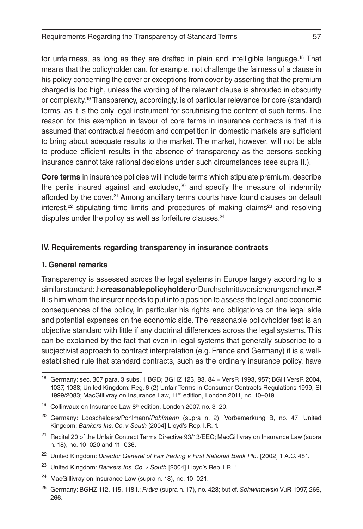for unfairness, as long as they are drafted in plain and intelligible language.18 That means that the policyholder can, for example, not challenge the fairness of a clause in his policy concerning the cover or exceptions from cover by asserting that the premium charged is too high, unless the wording of the relevant clause is shrouded in obscurity or complexity.19 Transparency, accordingly, is of particular relevance for core (standard) terms, as it is the only legal instrument for scrutinising the content of such terms. The reason for this exemption in favour of core terms in insurance contracts is that it is assumed that contractual freedom and competition in domestic markets are sufficient to bring about adequate results to the market. The market, however, will not be able to produce efficient results in the absence of transparency as the persons seeking insurance cannot take rational decisions under such circumstances (see supra II.).

**Core terms** in insurance policies will include terms which stipulate premium, describe the perils insured against and excluded, $20$  and specify the measure of indemnity afforded by the cover.21 Among ancillary terms courts have found clauses on default interest, $22$  stipulating time limits and procedures of making claims<sup>23</sup> and resolving disputes under the policy as well as forfeiture clauses.<sup>24</sup>

#### **IV. Requirements regarding transparency in insurance contracts**

#### **1. General remarks**

Transparency is assessed across the legal systems in Europe largely according to a similar standard: the **reasonable policyholder** or Durchschnittsversicherungsnehmer.25 It is him whom the insurer needs to put into a position to assess the legal and economic consequences of the policy, in particular his rights and obligations on the legal side and potential expenses on the economic side. The reasonable policyholder test is an objective standard with little if any doctrinal differences across the legal systems. This can be explained by the fact that even in legal systems that generally subscribe to a subjectivist approach to contract interpretation (e.g. France and Germany) it is a wellestablished rule that standard contracts, such as the ordinary insurance policy, have

<sup>18</sup> Germany: sec. 307 para. 3 subs. 1 BGB; BGHZ 123, 83, 84 = VersR 1993, 957; BGH VersR 2004, 1037, 1038; United Kingdom: Reg. 6 (2) Unfair Terms in Consumer Contracts Regulations 1999, SI 1999/2083; MacGillivray on Insurance Law, 11<sup>th</sup> edition, London 2011, no. 10-019.

 $19$  Collinvaux on Insurance Law  $8<sup>th</sup>$  edition, London 2007, no. 3–20.

<sup>20</sup> Germany: Looschelders/Pohlmann/*Pohlmann* (supra n. 2), Vorbemerkung B, no. 47; United Kingdom: *Bankers Ins. Co. v South* [2004] Lloyd's Rep. I.R. 1.

<sup>&</sup>lt;sup>21</sup> Recital 20 of the Unfair Contract Terms Directive 93/13/EEC; MacGillivray on Insurance Law (supra n. 18), no. 10–020 and 11–036.

<sup>22</sup> United Kingdom: *Director General of Fair Trading v First National Bank Plc.* [2002] 1 A.C. 481.

<sup>23</sup> United Kingdom: *Bankers Ins. Co. v South* [2004] Lloyd's Rep. I.R. 1.

<sup>24</sup> MacGillivray on Insurance Law (supra n. 18), no. 10–021.

<sup>25</sup> Germany: BGHZ 112, 115, 118 f.; *Präve* (supra n. 17), no. 428; but cf. *Schwintowski* VuR 1997, 265, 266.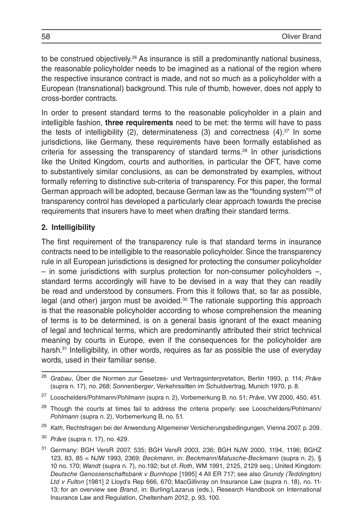to be construed objectively.<sup>26</sup> As insurance is still a predominantly national business, the reasonable policyholder needs to be imagined as a national of the region where the respective insurance contract is made, and not so much as a policyholder with a European (transnational) background. This rule of thumb, however, does not apply to cross-border contracts.

In order to present standard terms to the reasonable policyholder in a plain and intelligible fashion, **three requirements** need to be met: the terms will have to pass the tests of intelligibility  $(2)$ , determinateness  $(3)$  and correctness  $(4)$ .<sup>27</sup> In some jurisdictions, like Germany, these requirements have been formally established as criteria for assessing the transparency of standard terms.28 In other jurisdictions like the United Kingdom, courts and authorities, in particular the OFT, have come to substantively similar conclusions, as can be demonstrated by examples, without formally referring to distinctive sub-criteria of transparency. For this paper, the formal German approach will be adopted, because German law as the "founding system"29 of transparency control has developed a particularly clear approach towards the precise requirements that insurers have to meet when drafting their standard terms.

#### **2. Intelligibility**

The first requirement of the transparency rule is that standard terms in insurance contracts need to be intelligible to the reasonable policyholder. Since the transparency rule in all European jurisdictions is designed for protecting the consumer policyholder – in some jurisdictions with surplus protection for non-consumer policyholders –, standard terms accordingly will have to be devised in a way that they can readily be read and understood by consumers. From this it follows that, so far as possible, legal (and other) jargon must be avoided. $30$  The rationale supporting this approach is that the reasonable policyholder according to whose comprehension the meaning of terms is to be determined, is on a general basis ignorant of the exact meaning of legal and technical terms, which are predominantly attributed their strict technical meaning by courts in Europe, even if the consequences for the policyholder are harsh.<sup>31</sup> Intelligibility, in other words, requires as far as possible the use of everyday words, used in their familiar sense.

<sup>26</sup> *Grabau*, Über die Normen zur Gesetzes- und Vertragsinterpretation, Berlin 1993, p. 114; *Präve* (supra n. 17), no. 268; *Sonnenberger*, Verkehrssitten im Schuldvertrag, Munich 1970, p. 8.

<sup>27</sup> Looschelders/Pohlmann/*Pohlmann* (supra n. 2), Vorbemerkung B, no. 51; *Präve*, VW 2000, 450, 451.

<sup>&</sup>lt;sup>28</sup> Though the courts at times fail to address the criteria properly: see Looschelders/Pohlmann/ *Pohlmann* (supra n. 2), Vorbemerkung B, no. 51.

<sup>29</sup> *Kath*, Rechtsfragen bei der Anwendung Allgemeiner Versicherungsbedingungen, Vienna 2007, p. 209.

<sup>30</sup> *Präve* (supra n. 17), no. 429.

<sup>31</sup> Germany: BGH VersR 2007, 535; BGH VersR 2003, 236; BGH NJW 2000, 1194, 1196; BGHZ 123, 83, 85 = NJW 1993, 2369; *Beckmann*, in: *Beckmann/Matusche-Beckmann* (supra n. 2), § 10 no. 170; *Wandt* (supra n. 7), no.192; but cf. *Roth*, WM 1991, 2125, 2129 seq.; United Kingdom: *Deutsche Genossenschaftsbank v Burnhope* [1995] 4 All ER 717; see also *Grundy (Teddington) Ltd v Fulton* [1981] 2 Lloyd's Rep 666, 670; MacGillivray on Insurance Law (supra n. 18), no. 11- 13; for an overview see *Brand*, in: Burling/Lazarus (eds.), Research Handbook on International Insurance Law and Regulation, Cheltenham 2012, p. 93, 100.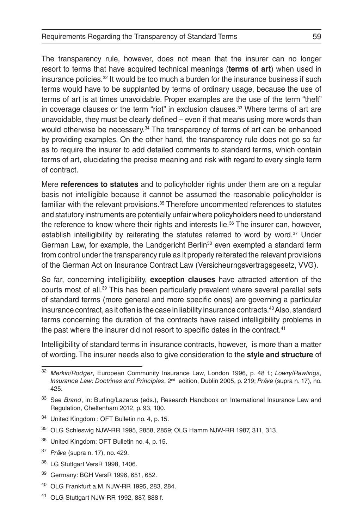The transparency rule, however, does not mean that the insurer can no longer resort to terms that have acquired technical meanings (**terms of art**) when used in insurance policies.32 It would be too much a burden for the insurance business if such terms would have to be supplanted by terms of ordinary usage, because the use of terms of art is at times unavoidable. Proper examples are the use of the term "theft" in coverage clauses or the term "riot" in exclusion clauses.33 Where terms of art are unavoidable, they must be clearly defined – even if that means using more words than would otherwise be necessary.<sup>34</sup> The transparency of terms of art can be enhanced by providing examples. On the other hand, the transparency rule does not go so far as to require the insurer to add detailed comments to standard terms, which contain terms of art, elucidating the precise meaning and risk with regard to every single term of contract.

Mere **references to statutes** and to policyholder rights under them are on a regular basis not intelligible because it cannot be assumed the reasonable policyholder is familiar with the relevant provisions.<sup>35</sup> Therefore uncommented references to statutes and statutory instruments are potentially unfair where policyholders need to understand the reference to know where their rights and interests lie.<sup>36</sup> The insurer can, however, establish intelligibility by reiterating the statutes referred to word by word.<sup>37</sup> Under German Law, for example, the Landgericht Berlin<sup>38</sup> even exempted a standard term from control under the transparency rule as it properly reiterated the relevant provisions of the German Act on Insurance Contract Law (Versicheurngsvertragsgesetz, VVG).

So far, concerning intelligibility, **exception clauses** have attracted attention of the courts most of all.39 This has been particularly prevalent where several parallel sets of standard terms (more general and more specific ones) are governing a particular insurance contract, as it often is the case in liability insurance contracts.40 Also, standard terms concerning the duration of the contracts have raised intelligibility problems in the past where the insurer did not resort to specific dates in the contract.<sup>41</sup>

Intelligibility of standard terms in insurance contracts, however, is more than a matter of wording. The insurer needs also to give consideration to the **style and structure** of

- <sup>34</sup> United Kingdom : OFT Bulletin no. 4, p. 15.
- <sup>35</sup> OLG Schleswig NJW-RR 1995, 2858, 2859; OLG Hamm NJW-RR 1987, 311, 313.
- <sup>36</sup> United Kingdom: OFT Bulletin no. 4, p. 15.
- <sup>37</sup> *Präve* (supra n. 17), no. 429.
- <sup>38</sup> LG Stuttgart VersR 1998, 1406.
- <sup>39</sup> Germany: BGH VersR 1996, 651, 652.
- <sup>40</sup> OLG Frankfurt a.M. NJW-RR 1995, 283, 284.
- <sup>41</sup> OLG Stuttgart NJW-RR 1992, 887, 888 f.

<sup>32</sup> *Merkin/Rodger*, European Community Insurance Law, London 1996, p. 48 f.; *Lowry/Rawlings*, *Insurance Law: Doctrines and Principles*, 2nd edition, Dublin 2005, p. 219; *Präve* (supra n. 17), no. 425.

<sup>33</sup> See *Brand*, in: Burling/Lazarus (eds.), Research Handbook on International Insurance Law and Regulation, Cheltenham 2012, p. 93, 100.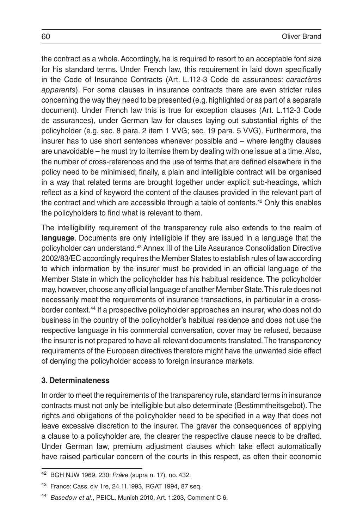the contract as a whole. Accordingly, he is required to resort to an acceptable font size for his standard terms. Under French law, this requirement in laid down specifically in the Code of Insurance Contracts (Art. L.112-3 Code de assurances: *caractères apparents*). For some clauses in insurance contracts there are even stricter rules concerning the way they need to be presented (e.g. highlighted or as part of a separate document). Under French law this is true for exception clauses (Art. L.112-3 Code de assurances), under German law for clauses laying out substantial rights of the policyholder (e.g. sec. 8 para. 2 item 1 VVG; sec. 19 para. 5 VVG). Furthermore, the insurer has to use short sentences whenever possible and – where lengthy clauses are unavoidable – he must try to itemise them by dealing with one issue at a time. Also, the number of cross-references and the use of terms that are defined elsewhere in the policy need to be minimised; finally, a plain and intelligible contract will be organised in a way that related terms are brought together under explicit sub-headings, which reflect as a kind of keyword the content of the clauses provided in the relevant part of the contract and which are accessible through a table of contents.42 Only this enables the policyholders to find what is relevant to them.

The intelligibility requirement of the transparency rule also extends to the realm of **language**. Documents are only intelligible if they are issued in a language that the policyholder can understand.43 Annex III of the Life Assurance Consolidation Directive 2002/83/EC accordingly requires the Member States to establish rules of law according to which information by the insurer must be provided in an official language of the Member State in which the policyholder has his habitual residence. The policyholder may, however, choose any official language of another Member State. This rule does not necessarily meet the requirements of insurance transactions, in particular in a crossborder context.44 If a prospective policyholder approaches an insurer, who does not do business in the country of the policyholder's habitual residence and does not use the respective language in his commercial conversation, cover may be refused, because the insurer is not prepared to have all relevant documents translated. The transparency requirements of the European directives therefore might have the unwanted side effect of denying the policyholder access to foreign insurance markets.

#### **3. Determinateness**

In order to meet the requirements of the transparency rule, standard terms in insurance contracts must not only be intelligible but also determinate (Bestimmtheitsgebot). The rights and obligations of the policyholder need to be specified in a way that does not leave excessive discretion to the insurer. The graver the consequences of applying a clause to a policyholder are, the clearer the respective clause needs to be drafted. Under German law, premium adjustment clauses which take effect automatically have raised particular concern of the courts in this respect, as often their economic

<sup>42</sup> BGH NJW 1969, 230; *Präve* (supra n. 17), no. 432.

<sup>43</sup> France: Cass. civ 1re, 24.11.1993, RGAT 1994, 87 seq.

<sup>44</sup> *Basedow et al*., PEICL, Munich 2010, Art. 1:203, Comment C 6.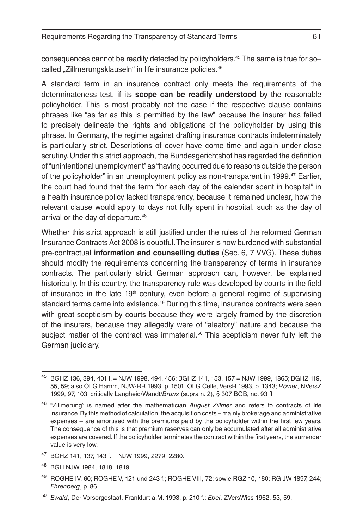consequences cannot be readily detected by policyholders.45 The same is true for so– called "Zillmerungsklauseln" in life insurance policies.<sup>46</sup>

A standard term in an insurance contract only meets the requirements of the determinateness test, if its **scope can be readily understood** by the reasonable policyholder. This is most probably not the case if the respective clause contains phrases like "as far as this is permitted by the law" because the insurer has failed to precisely delineate the rights and obligations of the policyholder by using this phrase. In Germany, the regime against drafting insurance contracts indeterminately is particularly strict. Descriptions of cover have come time and again under close scrutiny. Under this strict approach, the Bundesgerichtshof has regarded the definition of "unintentional unemployment" as "having occurred due to reasons outside the person of the policyholder" in an unemployment policy as non-transparent in 1999.<sup>47</sup> Earlier, the court had found that the term "for each day of the calendar spent in hospital" in a health insurance policy lacked transparency, because it remained unclear, how the relevant clause would apply to days not fully spent in hospital, such as the day of arrival or the day of departure.<sup>48</sup>

Whether this strict approach is still justified under the rules of the reformed German Insurance Contracts Act 2008 is doubtful. The insurer is now burdened with substantial pre-contractual **information and counselling duties** (Sec. 6, 7 VVG). These duties should modify the requirements concerning the transparency of terms in insurance contracts. The particularly strict German approach can, however, be explained historically. In this country, the transparency rule was developed by courts in the field of insurance in the late  $19<sup>th</sup>$  century, even before a general regime of supervising standard terms came into existence.49 During this time, insurance contracts were seen with great scepticism by courts because they were largely framed by the discretion of the insurers, because they allegedly were of "aleatory" nature and because the subject matter of the contract was immaterial.<sup>50</sup> This scepticism never fully left the German judiciary.

- <sup>47</sup> BGHZ 141, 137, 143 f. = NJW 1999, 2279, 2280.
- <sup>48</sup> BGH NJW 1984, 1818, 1819.

<sup>45</sup> BGHZ 136, 394, 401 f. = NJW 1998, 494, 456; BGHZ 141, 153, 157 = NJW 1999, 1865; BGHZ 119, 55, 59; also OLG Hamm, NJW-RR 1993, p. 1501; OLG Celle, VersR 1993, p. 1343; *Römer*, NVersZ 1999, 97, 103; critically Langheid/Wandt/*Bruns* (supra n. 2), § 307 BGB, no. 93 ff.

<sup>46</sup> "Zillmerung" is named after the mathematician *August Zillmer* and refers to contracts of life insurance. By this method of calculation, the acquisition costs – mainly brokerage and administrative expenses – are amortised with the premiums paid by the policyholder within the first few years. The consequence of this is that premium reserves can only be accumulated after all administrative expenses are covered. If the policyholder terminates the contract within the first years, the surrender value is very low.

<sup>49</sup> ROGHE IV, 60; ROGHE V, 121 und 243 f.; ROGHE VIII, 72; sowie RGZ 10, 160; RG JW 1897, 244; *Ehrenberg*, p. 86.

<sup>50</sup> *Ewald*, Der Vorsorgestaat, Frankfurt a.M. 1993, p. 210 f.; *Ebel*, ZVersWiss 1962, 53, 59.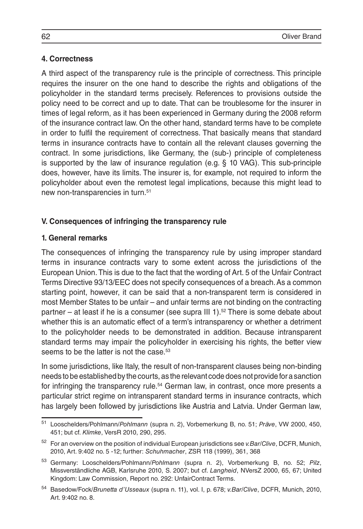#### **4. Correctness**

A third aspect of the transparency rule is the principle of correctness. This principle requires the insurer on the one hand to describe the rights and obligations of the policyholder in the standard terms precisely. References to provisions outside the policy need to be correct and up to date. That can be troublesome for the insurer in times of legal reform, as it has been experienced in Germany during the 2008 reform of the insurance contract law. On the other hand, standard terms have to be complete in order to fulfil the requirement of correctness. That basically means that standard terms in insurance contracts have to contain all the relevant clauses governing the contract. In some jurisdictions, like Germany, the (sub-) principle of completeness is supported by the law of insurance regulation (e.g. § 10 VAG). This sub-principle does, however, have its limits. The insurer is, for example, not required to inform the policyholder about even the remotest legal implications, because this might lead to new non-transparencies in turn.<sup>51</sup>

#### **V. Consequences of infringing the transparency rule**

#### **1. General remarks**

The consequences of infringing the transparency rule by using improper standard terms in insurance contracts vary to some extent across the jurisdictions of the European Union. This is due to the fact that the wording of Art. 5 of the Unfair Contract Terms Directive 93/13/EEC does not specify consequences of a breach. As a common starting point, however, it can be said that a non-transparent term is considered in most Member States to be unfair – and unfair terms are not binding on the contracting partner – at least if he is a consumer (see supra III 1).<sup>52</sup> There is some debate about whether this is an automatic effect of a term's intransparency or whether a detriment to the policyholder needs to be demonstrated in addition. Because intransparent standard terms may impair the policyholder in exercising his rights, the better view seems to be the latter is not the case.<sup>53</sup>

In some jurisdictions, like Italy, the result of non-transparent clauses being non-binding needs to be established by the courts, as the relevant code does not provide for a sanction for infringing the transparency rule.<sup>54</sup> German law, in contrast, once more presents a particular strict regime on intransparent standard terms in insurance contracts, which has largely been followed by jurisdictions like Austria and Latvia. Under German law,

<sup>51</sup> Looschelders/Pohlmann/*Pohlmann* (supra n. 2), Vorbemerkung B, no. 51; *Präve*, VW 2000, 450, 451; but cf. *Klimke*, VersR 2010, 290, 295.

<sup>52</sup> For an overview on the position of individual European jurisdictions see *v.Bar/Clive*, DCFR, Munich, 2010, Art. 9:402 no. 5 -12; further: *Schuhmacher*, ZSR 118 (1999), 361, 368

<sup>53</sup> Germany: Looschelders/Pohlmann/*Pohlmann* (supra n. 2), Vorbemerkung B, no. 52; *Pilz*, Missverständliche AGB, Karlsruhe 2010, S. 2007; but cf. *Langheid*, NVersZ 2000, 65, 67; United Kingdom: Law Commission, Report no. 292: UnfairContract Terms.

<sup>54</sup> Basedow/Fock/*Brunetta d'Usseaux* (supra n. 11), vol. I, p. 678; *v.Bar/Clive*, DCFR, Munich, 2010, Art. 9:402 no. 8.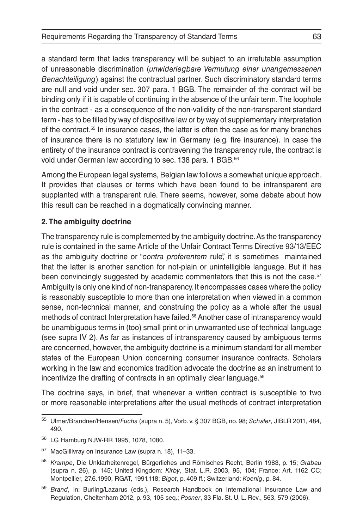a standard term that lacks transparency will be subject to an irrefutable assumption of unreasonable discrimination (*unwiderlegbare Vermutung einer unangemessenen Benachteiligung*) against the contractual partner. Such discriminatory standard terms are null and void under sec. 307 para. 1 BGB. The remainder of the contract will be binding only if it is capable of continuing in the absence of the unfair term. The loophole in the contract - as a consequence of the non-validity of the non-transparent standard term - has to be filled by way of dispositive law or by way of supplementary interpretation of the contract.55 In insurance cases, the latter is often the case as for many branches of insurance there is no statutory law in Germany (e.g. fire insurance). In case the entirety of the insurance contract is contravening the transparency rule, the contract is void under German law according to sec. 138 para. 1 BGB.<sup>56</sup>

Among the European legal systems, Belgian law follows a somewhat unique approach. It provides that clauses or terms which have been found to be intransparent are supplanted with a transparent rule. There seems, however, some debate about how this result can be reached in a dogmatically convincing manner.

#### **2. The ambiguity doctrine**

The transparency rule is complemented by the ambiguity doctrine. As the transparency rule is contained in the same Article of the Unfair Contract Terms Directive 93/13/EEC as the ambiguity doctrine or "*contra proferentem* rule", it is sometimes maintained that the latter is another sanction for not-plain or unintelligible language. But it has been convincingly suggested by academic commentators that this is not the case.<sup>57</sup> Ambiguity is only one kind of non-transparency. It encompasses cases where the policy is reasonably susceptible to more than one interpretation when viewed in a common sense, non-technical manner, and construing the policy as a whole after the usual methods of contract Interpretation have failed.58 Another case of intransparency would be unambiguous terms in (too) small print or in unwarranted use of technical language (see supra IV 2). As far as instances of intransparency caused by ambiguous terms are concerned, however, the ambiguity doctrine is a minimum standard for all member states of the European Union concerning consumer insurance contracts. Scholars working in the law and economics tradition advocate the doctrine as an instrument to incentivize the drafting of contracts in an optimally clear language.<sup>59</sup>

The doctrine says, in brief, that whenever a written contract is susceptible to two or more reasonable interpretations after the usual methods of contract interpretation

<sup>55</sup> Ulmer/Brandner/Hensen*/Fuchs* (supra n. 5), Vorb. v. § 307 BGB, no. 98; *Schäfer*, JIBLR 2011, 484, 490.

<sup>56</sup> LG Hamburg NJW-RR 1995, 1078, 1080.

<sup>57</sup> MacGillivray on Insurance Law (supra n. 18), 11–33.

<sup>58</sup> *Krampe*, Die Unklarheitenregel, Bürgerliches und Römisches Recht, Berlin 1983, p. 15; *Grabau*  (supra n. 26), p. 145; United Kingdom: *Kirby*, Stat. L.R. 2003, 95, 104; France: Art. 1162 CC; Montpellier, 27.6.1990, RGAT, 1991.118; *Bigot*, p. 409 ff.; Switzerland: *Koenig*, p. 84.

<sup>59</sup> *Brand*, in: Burling/Lazarus (eds.), Research Handbook on International Insurance Law and Regulation, Cheltenham 2012, p. 93, 105 seq.; *Posner*, 33 Fla. St. U. L. Rev., 563, 579 (2006).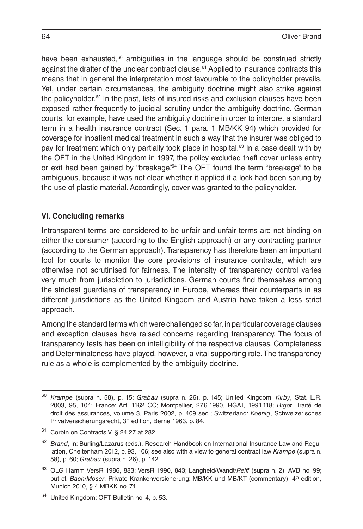have been exhausted, $60$  ambiguities in the language should be construed strictly against the drafter of the unclear contract clause.61 Applied to insurance contracts this means that in general the interpretation most favourable to the policyholder prevails. Yet, under certain circumstances, the ambiguity doctrine might also strike against the policyholder.<sup>62</sup> In the past, lists of insured risks and exclusion clauses have been exposed rather frequently to judicial scrutiny under the ambiguity doctrine. German courts, for example, have used the ambiguity doctrine in order to interpret a standard term in a health insurance contract (Sec. 1 para. 1 MB/KK 94) which provided for coverage for inpatient medical treatment in such a way that the insurer was obliged to pay for treatment which only partially took place in hospital. $63$  In a case dealt with by the OFT in the United Kingdom in 1997, the policy excluded theft cover unless entry or exit had been gained by "breakage".64 The OFT found the term "breakage" to be ambiguous, because it was not clear whether it applied if a lock had been sprung by the use of plastic material. Accordingly, cover was granted to the policyholder.

#### **VI. Concluding remarks**

Intransparent terms are considered to be unfair and unfair terms are not binding on either the consumer (according to the English approach) or any contracting partner (according to the German approach). Transparency has therefore been an important tool for courts to monitor the core provisions of insurance contracts, which are otherwise not scrutinised for fairness. The intensity of transparency control varies very much from jurisdiction to jurisdictions. German courts find themselves among the strictest guardians of transparency in Europe, whereas their counterparts in as different jurisdictions as the United Kingdom and Austria have taken a less strict approach.

Among the standard terms which were challenged so far, in particular coverage clauses and exception clauses have raised concerns regarding transparency. The focus of transparency tests has been on intelligibility of the respective clauses. Completeness and Determinateness have played, however, a vital supporting role. The transparency rule as a whole is complemented by the ambiguity doctrine.

<sup>60</sup> *Krampe* (supra n. 58), p. 15; *Grabau* (supra n. 26), p. 145; United Kingdom: *Kirby*, Stat. L.R. 2003, 95, 104; France: Art. 1162 CC; Montpellier, 27.6.1990, RGAT, 1991.118; *Bigot*, Traité de droit des assurances, volume 3, Paris 2002, p. 409 seq.; Switzerland: *Koenig*, Schweizerisches Privatversicherungsrecht, 3rd edition, Berne 1963, p. 84.

<sup>61</sup> Corbin on Contracts V, § 24.27 at 282.

<sup>62</sup> *Brand*, in: Burling/Lazarus (eds.), Research Handbook on International Insurance Law and Regulation, Cheltenham 2012, p. 93, 106; see also with a view to general contract law *Krampe* (supra n. 58), p. 60; *Grabau* (supra n. 26), p. 142.

<sup>63</sup> OLG Hamm VersR 1986, 883; VersR 1990, 843; Langheid/Wandt/*Reiff* (supra n. 2), AVB no. 99; but cf. *Bach/Moser*, Private Krankenversicherung: MB/KK und MB/KT (commentary), 4<sup>th</sup> edition, Munich 2010, § 4 MBKK no. 74.

<sup>64</sup> United Kingdom: OFT Bulletin no. 4, p. 53.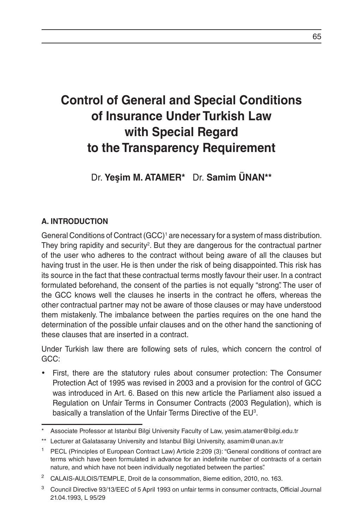# **Control of General and Special Conditions of Insurance Under Turkish Law with Special Regard to the Transparency Requirement**

Dr. **Yeşim M. ATAMER\*** Dr. **Samim ÜNAN\*\***

# **A. INTRODUCTION**

General Conditions of Contract (GCC)<sup>1</sup> are necessary for a system of mass distribution. They bring rapidity and security<sup>2</sup>. But they are dangerous for the contractual partner of the user who adheres to the contract without being aware of all the clauses but having trust in the user. He is then under the risk of being disappointed. This risk has its source in the fact that these contractual terms mostly favour their user. In a contract formulated beforehand, the consent of the parties is not equally "strong". The user of the GCC knows well the clauses he inserts in the contract he offers, whereas the other contractual partner may not be aware of those clauses or may have understood them mistakenly. The imbalance between the parties requires on the one hand the determination of the possible unfair clauses and on the other hand the sanctioning of these clauses that are inserted in a contract.

Under Turkish law there are following sets of rules, which concern the control of GCC:

• First, there are the statutory rules about consumer protection: The Consumer Protection Act of 1995 was revised in 2003 and a provision for the control of GCC was introduced in Art. 6. Based on this new article the Parliament also issued a Regulation on Unfair Terms in Consumer Contracts (2003 Regulation), which is basically a translation of the Unfair Terms Directive of the EU<sup>3</sup>.

<sup>\*</sup> Associate Professor at Istanbul Bilgi University Faculty of Law, yesim.atamer@bilgi.edu.tr

<sup>\*\*</sup> Lecturer at Galatasaray University and Istanbul Bilgi University, asamim@unan.av.tr

<sup>&</sup>lt;sup>1</sup> PECL (Principles of European Contract Law) Article 2:209 (3): "General conditions of contract are terms which have been formulated in advance for an indefinite number of contracts of a certain nature, and which have not been individually negotiated between the parties".

<sup>&</sup>lt;sup>2</sup> CALAIS-AULOIS/TEMPLE, Droit de la consommation, 8ieme edition, 2010, no. 163.

<sup>3</sup> Council Directive 93/13/EEC of 5 April 1993 on unfair terms in consumer contracts, Official Journal 21.04.1993, L 95/29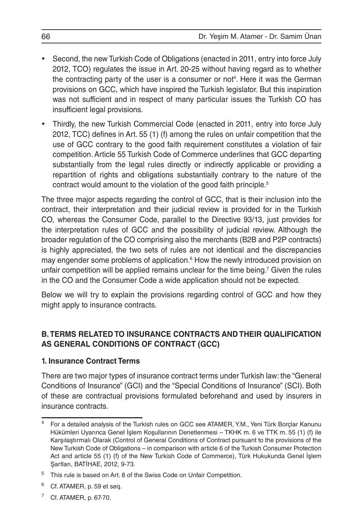- Second, the new Turkish Code of Obligations (enacted in 2011, entry into force July 2012, TCO) regulates the issue in Art. 20-25 without having regard as to whether the contracting party of the user is a consumer or not<sup>4</sup>. Here it was the German provisions on GCC, which have inspired the Turkish legislator. But this inspiration was not sufficient and in respect of many particular issues the Turkish CO has insufficient legal provisions.
- Thirdly, the new Turkish Commercial Code (enacted in 2011, entry into force July 2012, TCC) defines in Art. 55 (1) (f) among the rules on unfair competition that the use of GCC contrary to the good faith requirement constitutes a violation of fair competition. Article 55 Turkish Code of Commerce underlines that GCC departing substantially from the legal rules directly or indirectly applicable or providing a repartition of rights and obligations substantially contrary to the nature of the contract would amount to the violation of the good faith principle.5

The three major aspects regarding the control of GCC, that is their inclusion into the contract, their interpretation and their judicial review is provided for in the Turkish CO, whereas the Consumer Code, parallel to the Directive 93/13, just provides for the interpretation rules of GCC and the possibility of judicial review. Although the broader regulation of the CO comprising also the merchants (B2B and P2P contracts) is highly appreciated, the two sets of rules are not identical and the discrepancies may engender some problems of application.<sup>6</sup> How the newly introduced provision on unfair competition will be applied remains unclear for the time being.7 Given the rules in the CO and the Consumer Code a wide application should not be expected.

Below we will try to explain the provisions regarding control of GCC and how they might apply to insurance contracts.

# **B. TERMS RELATED TO INSURANCE CONTRACTS AND THEIR QUALIFICATION AS GENERAL CONDITIONS OF CONTRACT (GCC)**

#### **1. Insurance Contract Terms**

There are two major types of insurance contract terms under Turkish law: the "General Conditions of Insurance" (GCI) and the "Special Conditions of Insurance" (SCI). Both of these are contractual provisions formulated beforehand and used by insurers in insurance contracts.

<sup>7</sup> Cf. ATAMER, p. 67-70.

<sup>4</sup> For a detailed analysis of the Turkish rules on GCC see ATAMER, Y.M., Yeni Türk Borçlar Kanunu Hükümleri Uyarınca Genel İşlem Koşullarının Denetlenmesi – TKHK m. 6 ve TTK m. 55 (1) (f) ile Karşılaştırmalı Olarak (Control of General Conditions of Contract pursuant to the provisions of the New Turkish Code of Obligations – in comparison with article 6 of the Turkish Consumer Protection Act and article 55 (1) (f) of the New Turkish Code of Commerce), Türk Hukukunda Genel İşlem Şartları, BATİHAE, 2012, 9-73.

<sup>&</sup>lt;sup>5</sup> This rule is based on Art. 8 of the Swiss Code on Unfair Competition.

Cf. ATAMER, p. 59 et seq.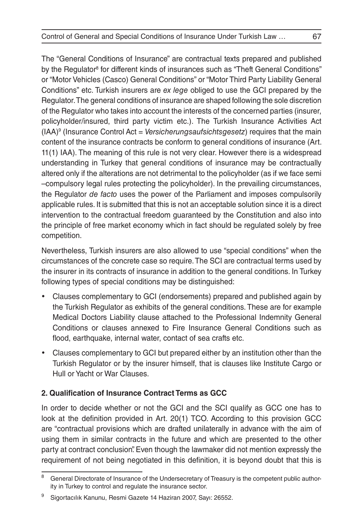The "General Conditions of Insurance" are contractual texts prepared and published by the Regulator<sup>s</sup> for different kinds of insurances such as "Theft General Conditions" or "Motor Vehicles (Casco) General Conditions" or "Motor Third Party Liability General Conditions" etc. Turkish insurers are *ex lege* obliged to use the GCI prepared by the Regulator. The general conditions of insurance are shaped following the sole discretion of the Regulator who takes into account the interests of the concerned parties (insurer, policyholder/insured, third party victim etc.). The Turkish Insurance Activities Act (IAA)9 (Insurance Control Act = *Versicherungsaufsichtsgesetz*) requires that the main content of the insurance contracts be conform to general conditions of insurance (Art. 11(1) IAA). The meaning of this rule is not very clear. However there is a widespread understanding in Turkey that general conditions of insurance may be contractually altered only if the alterations are not detrimental to the policyholder (as if we face semi –compulsory legal rules protecting the policyholder). In the prevailing circumstances, the Regulator *de facto* uses the power of the Parliament and imposes compulsorily applicable rules. It is submitted that this is not an acceptable solution since it is a direct intervention to the contractual freedom guaranteed by the Constitution and also into the principle of free market economy which in fact should be regulated solely by free competition.

Nevertheless, Turkish insurers are also allowed to use "special conditions" when the circumstances of the concrete case so require. The SCI are contractual terms used by the insurer in its contracts of insurance in addition to the general conditions. In Turkey following types of special conditions may be distinguished:

- Clauses complementary to GCI (endorsements) prepared and published again by the Turkish Regulator as exhibits of the general conditions. These are for example Medical Doctors Liability clause attached to the Professional Indemnity General Conditions or clauses annexed to Fire Insurance General Conditions such as flood, earthquake, internal water, contact of sea crafts etc.
- • Clauses complementary to GCI but prepared either by an institution other than the Turkish Regulator or by the insurer himself, that is clauses like Institute Cargo or Hull or Yacht or War Clauses.

# **2. Qualification of Insurance Contract Terms as GCC**

In order to decide whether or not the GCI and the SCI qualify as GCC one has to look at the definition provided in Art. 20(1) TCO. According to this provision GCC are "contractual provisions which are drafted unilaterally in advance with the aim of using them in similar contracts in the future and which are presented to the other party at contract conclusion". Even though the lawmaker did not mention expressly the requirement of not being negotiated in this definition, it is beyond doubt that this is

General Directorate of Insurance of the Undersecretary of Treasury is the competent public authority in Turkey to control and regulate the insurance sector.

Sigortacılık Kanunu, Resmi Gazete 14 Haziran 2007, Sayı: 26552.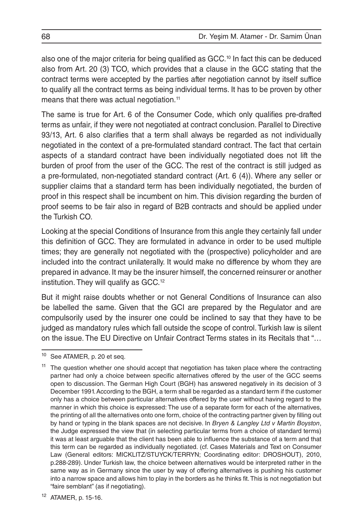also one of the major criteria for being qualified as GCC.<sup>10</sup> In fact this can be deduced also from Art. 20 (3) TCO, which provides that a clause in the GCC stating that the contract terms were accepted by the parties after negotiation cannot by itself suffice to qualify all the contract terms as being individual terms. It has to be proven by other means that there was actual negotiation.<sup>11</sup>

The same is true for Art. 6 of the Consumer Code, which only qualifies pre-drafted terms as unfair, if they were not negotiated at contract conclusion. Parallel to Directive 93/13, Art. 6 also clarifies that a term shall always be regarded as not individually negotiated in the context of a pre-formulated standard contract. The fact that certain aspects of a standard contract have been individually negotiated does not lift the burden of proof from the user of the GCC. The rest of the contract is still judged as a pre-formulated, non-negotiated standard contract (Art. 6 (4)). Where any seller or supplier claims that a standard term has been individually negotiated, the burden of proof in this respect shall be incumbent on him. This division regarding the burden of proof seems to be fair also in regard of B2B contracts and should be applied under the Turkish CO.

Looking at the special Conditions of Insurance from this angle they certainly fall under this definition of GCC. They are formulated in advance in order to be used multiple times; they are generally not negotiated with the (prospective) policyholder and are included into the contract unilaterally. It would make no difference by whom they are prepared in advance. It may be the insurer himself, the concerned reinsurer or another institution. They will qualify as GCC.12

But it might raise doubts whether or not General Conditions of Insurance can also be labelled the same. Given that the GCI are prepared by the Regulator and are compulsorily used by the insurer one could be inclined to say that they have to be judged as mandatory rules which fall outside the scope of control. Turkish law is silent on the issue. The EU Directive on Unfair Contract Terms states in its Recitals that "…

<sup>10</sup> See ATAMER, p. 20 et seq.

 $11$  The question whether one should accept that negotiation has taken place where the contracting partner had only a choice between specific alternatives offered by the user of the GCC seems open to discussion. The German High Court (BGH) has answered negatively in its decision of 3 December 1991. According to the BGH, a term shall be regarded as a standard term if the customer only has a choice between particular alternatives offered by the user without having regard to the manner in which this choice is expressed: The use of a separate form for each of the alternatives, the printing of all the alternatives onto one form, choice of the contracting partner given by filling out by hand or typing in the blank spaces are not decisive. In *Bryen & Langley Ltd v Martin Boyston*, the Judge expressed the view that (in selecting particular terms from a choice of standard terms) it was at least arguable that the client has been able to influence the substance of a term and that this term can be regarded as individually negotiated. (cf. Cases Materials and Text on Consumer Law (General editors: MICKLITZ/STUYCK/TERRYN; Coordinating editor: DROSHOUT), 2010, p.288-289). Under Turkish law, the choice between alternatives would be interpreted rather in the same way as in Germany since the user by way of offering alternatives is pushing his customer into a narrow space and allows him to play in the borders as he thinks fit. This is not negotiation but "faire semblant" (as if negotiating).

<sup>12</sup> ATAMER, p. 15-16.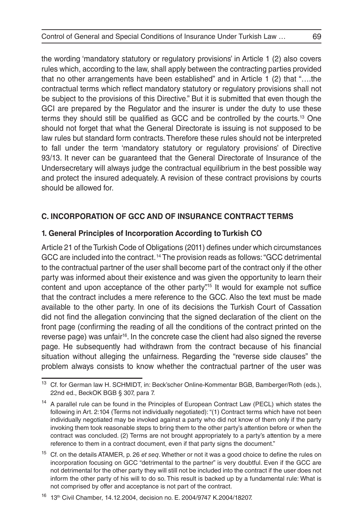the wording 'mandatory statutory or regulatory provisions' in Article 1 (2) also covers rules which, according to the law, shall apply between the contracting parties provided that no other arrangements have been established" and in Article 1 (2) that "….the contractual terms which reflect mandatory statutory or regulatory provisions shall not be subject to the provisions of this Directive." But it is submitted that even though the GCI are prepared by the Regulator and the insurer is under the duty to use these terms they should still be qualified as GCC and be controlled by the courts.13 One should not forget that what the General Directorate is issuing is not supposed to be law rules but standard form contracts. Therefore these rules should not be interpreted to fall under the term 'mandatory statutory or regulatory provisions' of Directive 93/13. It never can be guaranteed that the General Directorate of Insurance of the Undersecretary will always judge the contractual equilibrium in the best possible way and protect the insured adequately. A revision of these contract provisions by courts should be allowed for.

## **C. INCORPORATION OF GCC AND OF INSURANCE CONTRACT TERMS**

#### **1. General Principles of Incorporation According to Turkish CO**

Article 21 of the Turkish Code of Obligations (2011) defines under which circumstances GCC are included into the contract. 14 The provision reads as follows: "GCC detrimental to the contractual partner of the user shall become part of the contract only if the other party was informed about their existence and was given the opportunity to learn their content and upon acceptance of the other party."<sup>15</sup> It would for example not suffice that the contract includes a mere reference to the GCC. Also the text must be made available to the other party. In one of its decisions the Turkish Court of Cassation did not find the allegation convincing that the signed declaration of the client on the front page (confirming the reading of all the conditions of the contract printed on the reverse page) was unfair<sup>16</sup>. In the concrete case the client had also signed the reverse page. He subsequently had withdrawn from the contract because of his financial situation without alleging the unfairness. Regarding the "reverse side clauses" the problem always consists to know whether the contractual partner of the user was

<sup>13</sup> Cf. for German law H. SCHMIDT, in: Beck'scher Online-Kommentar BGB, Bamberger/Roth (eds.), 22nd ed., BeckOK BGB § 307, para 7.

<sup>&</sup>lt;sup>14</sup> A parallel rule can be found in the Principles of European Contract Law (PECL) which states the following in Art. 2:104 (Terms not individually negotiated): "(1) Contract terms which have not been individually negotiated may be invoked against a party who did not know of them only if the party invoking them took reasonable steps to bring them to the other party's attention before or when the contract was concluded. (2) Terms are not brought appropriately to a party's attention by a mere reference to them in a contract document, even if that party signs the document."

<sup>15</sup> Cf. on the details ATAMER, p. 26 *et seq*. Whether or not it was a good choice to define the rules on incorporation focusing on GCC "detrimental to the partner" is very doubtful. Even if the GCC are not detrimental for the other party they will still not be included into the contract if the user does not inform the other party of his will to do so. This result is backed up by a fundamental rule: What is not comprised by offer and acceptance is not part of the contract.

<sup>16 13</sup>th Civil Chamber, 14.12.2004, decision no. E. 2004/9747 K.2004/18207.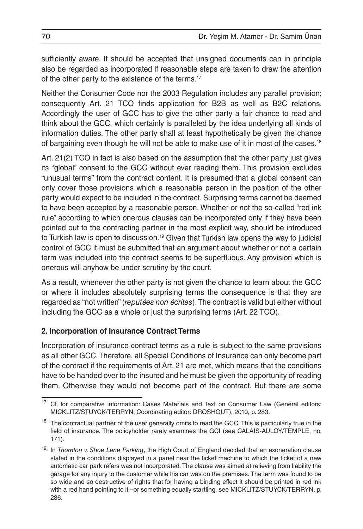sufficiently aware. It should be accepted that unsigned documents can in principle also be regarded as incorporated if reasonable steps are taken to draw the attention of the other party to the existence of the terms.<sup>17</sup>

Neither the Consumer Code nor the 2003 Regulation includes any parallel provision; consequently Art. 21 TCO finds application for B2B as well as B2C relations. Accordingly the user of GCC has to give the other party a fair chance to read and think about the GCC, which certainly is paralleled by the idea underlying all kinds of information duties. The other party shall at least hypothetically be given the chance of bargaining even though he will not be able to make use of it in most of the cases.18

Art. 21(2) TCO in fact is also based on the assumption that the other party just gives its "global" consent to the GCC without ever reading them. This provision excludes "unusual terms" from the contract content. It is presumed that a global consent can only cover those provisions which a reasonable person in the position of the other party would expect to be included in the contract. Surprising terms cannot be deemed to have been accepted by a reasonable person. Whether or not the so-called "red ink rule", according to which onerous clauses can be incorporated only if they have been pointed out to the contracting partner in the most explicit way, should be introduced to Turkish law is open to discussion.<sup>19</sup> Given that Turkish law opens the way to judicial control of GCC it must be submitted that an argument about whether or not a certain term was included into the contract seems to be superfluous. Any provision which is onerous will anyhow be under scrutiny by the court.

As a result, whenever the other party is not given the chance to learn about the GCC or where it includes absolutely surprising terms the consequence is that they are regarded as "not written" (*reputées non écrites*). The contract is valid but either without including the GCC as a whole or just the surprising terms (Art. 22 TCO).

# **2. Incorporation of Insurance Contract Terms**

Incorporation of insurance contract terms as a rule is subject to the same provisions as all other GCC. Therefore, all Special Conditions of Insurance can only become part of the contract if the requirements of Art. 21 are met, which means that the conditions have to be handed over to the insured and he must be given the opportunity of reading them. Otherwise they would not become part of the contract. But there are some

<sup>&</sup>lt;sup>17</sup> Cf. for comparative information: Cases Materials and Text on Consumer Law (General editors: MICKLITZ/STUYCK/TERRYN; Coordinating editor: DROSHOUT), 2010, p. 283.

<sup>&</sup>lt;sup>18</sup> The contractual partner of the user generally omits to read the GCC. This is particularly true in the field of insurance. The policyholder rarely examines the GCI (see CALAIS-AULOY/TEMPLE, no. 171).

<sup>19</sup> In *Thornton v. Shoe Lane Parking*, the High Court of England decided that an exoneration clause stated in the conditions displayed in a panel near the ticket machine to which the ticket of a new automatic car park refers was not incorporated. The clause was aimed at relieving from liability the garage for any injury to the customer while his car was on the premises. The term was found to be so wide and so destructive of rights that for having a binding effect it should be printed in red ink with a red hand pointing to it –or something equally startling, see MICKLITZ/STUYCK/TERRYN, p. 286.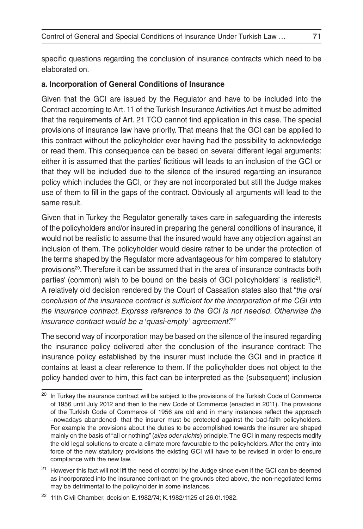specific questions regarding the conclusion of insurance contracts which need to be elaborated on.

#### **a. Incorporation of General Conditions of Insurance**

Given that the GCI are issued by the Regulator and have to be included into the Contract according to Art. 11 of the Turkish Insurance Activities Act it must be admitted that the requirements of Art. 21 TCO cannot find application in this case. The special provisions of insurance law have priority. That means that the GCI can be applied to this contract without the policyholder ever having had the possibility to acknowledge or read them. This consequence can be based on several different legal arguments: either it is assumed that the parties' fictitious will leads to an inclusion of the GCI or that they will be included due to the silence of the insured regarding an insurance policy which includes the GCI, or they are not incorporated but still the Judge makes use of them to fill in the gaps of the contract. Obviously all arguments will lead to the same result.

Given that in Turkey the Regulator generally takes care in safeguarding the interests of the policyholders and/or insured in preparing the general conditions of insurance, it would not be realistic to assume that the insured would have any objection against an inclusion of them. The policyholder would desire rather to be under the protection of the terms shaped by the Regulator more advantageous for him compared to statutory provisions<sup>20</sup>. Therefore it can be assumed that in the area of insurance contracts both parties' (common) wish to be bound on the basis of GCI policyholders' is realistic<sup>21</sup>. A relatively old decision rendered by the Court of Cassation states also that "*the oral conclusion of the insurance contract is sufficient for the incorporation of the CGI into the insurance contract. Express reference to the GCI is not needed. Otherwise the insurance contract would be a 'quasi-empty' agreement*".<sup>22</sup>

The second way of incorporation may be based on the silence of the insured regarding the insurance policy delivered after the conclusion of the insurance contract: The insurance policy established by the insurer must include the GCI and in practice it contains at least a clear reference to them. If the policyholder does not object to the policy handed over to him, this fact can be interpreted as the (subsequent) inclusion

<sup>&</sup>lt;sup>20</sup> In Turkey the insurance contract will be subject to the provisions of the Turkish Code of Commerce of 1956 until July 2012 and then to the new Code of Commerce (enacted in 2011). The provisions of the Turkish Code of Commerce of 1956 are old and in many instances reflect the approach –nowadays abandoned- that the insurer must be protected against the bad-faith policyholders. For example the provisions about the duties to be accomplished towards the insurer are shaped mainly on the basis of "all or nothing" (*alles oder nichts*) principle. The GCI in many respects modify the old legal solutions to create a climate more favourable to the policyholders. After the entry into force of the new statutory provisions the existing GCI will have to be revised in order to ensure compliance with the new law.

<sup>&</sup>lt;sup>21</sup> However this fact will not lift the need of control by the Judge since even if the GCI can be deemed as incorporated into the insurance contract on the grounds cited above, the non-negotiated terms may be detrimental to the policyholder in some instances.

<sup>22</sup> 11th Civil Chamber, decision E.1982/74; K.1982/1125 of 26.01.1982.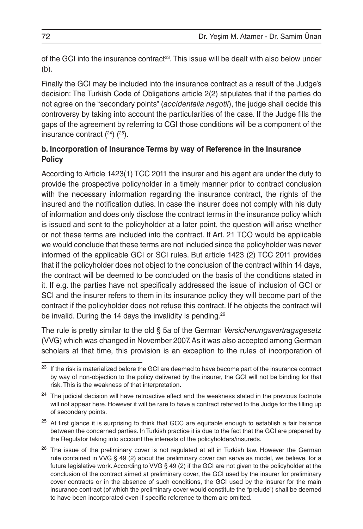of the GCI into the insurance contract<sup>23</sup>. This issue will be dealt with also below under (b).

Finally the GCI may be included into the insurance contract as a result of the Judge's decision: The Turkish Code of Obligations article 2(2) stipulates that if the parties do not agree on the "secondary points" (*accidentalia negotii*), the judge shall decide this controversy by taking into account the particularities of the case. If the Judge fills the gaps of the agreement by referring to CGI those conditions will be a component of the insurance contract  $(24)$   $(25)$ .

### **b. Incorporation of Insurance Terms by way of Reference in the Insurance Policy**

According to Article 1423(1) TCC 2011 the insurer and his agent are under the duty to provide the prospective policyholder in a timely manner prior to contract conclusion with the necessary information regarding the insurance contract, the rights of the insured and the notification duties. In case the insurer does not comply with his duty of information and does only disclose the contract terms in the insurance policy which is issued and sent to the policyholder at a later point, the question will arise whether or not these terms are included into the contract. If Art. 21 TCO would be applicable we would conclude that these terms are not included since the policyholder was never informed of the applicable GCI or SCI rules. But article 1423 (2) TCC 2011 provides that if the policyholder does not object to the conclusion of the contract within 14 days, the contract will be deemed to be concluded on the basis of the conditions stated in it. If e.g. the parties have not specifically addressed the issue of inclusion of GCI or SCI and the insurer refers to them in its insurance policy they will become part of the contract if the policyholder does not refuse this contract. If he objects the contract will be invalid. During the 14 days the invalidity is pending.<sup>26</sup>

The rule is pretty similar to the old § 5a of the German *Versicherungsvertragsgesetz* (VVG) which was changed in November 2007. As it was also accepted among German scholars at that time, this provision is an exception to the rules of incorporation of

<sup>&</sup>lt;sup>23</sup> If the risk is materialized before the GCI are deemed to have become part of the insurance contract by way of non-objection to the policy delivered by the insurer, the GCI will not be binding for that risk. This is the weakness of that interpretation.

<sup>&</sup>lt;sup>24</sup> The judicial decision will have retroactive effect and the weakness stated in the previous footnote will not appear here. However it will be rare to have a contract referred to the Judge for the filling up of secondary points.

<sup>&</sup>lt;sup>25</sup> At first glance it is surprising to think that GCC are equitable enough to establish a fair balance between the concerned parties. In Turkish practice it is due to the fact that the GCI are prepared by the Regulator taking into account the interests of the policyholders/insureds.

<sup>&</sup>lt;sup>26</sup> The issue of the preliminary cover is not regulated at all in Turkish law. However the German rule contained in VVG § 49 (2) about the preliminary cover can serve as model, we believe, for a future legislative work. According to VVG § 49 (2) if the GCI are not given to the policyholder at the conclusion of the contract aimed at preliminary cover, the GCI used by the insurer for preliminary cover contracts or in the absence of such conditions, the GCI used by the insurer for the main insurance contract (of which the preliminary cover would constitute the "prelude") shall be deemed to have been incorporated even if specific reference to them are omitted.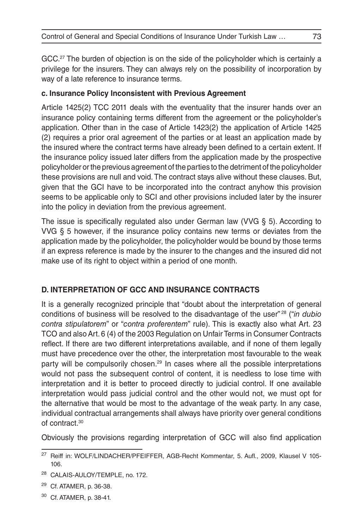GCC.<sup>27</sup> The burden of objection is on the side of the policyholder which is certainly a privilege for the insurers. They can always rely on the possibility of incorporation by way of a late reference to insurance terms.

### **c. Insurance Policy Inconsistent with Previous Agreement**

Article 1425(2) TCC 2011 deals with the eventuality that the insurer hands over an insurance policy containing terms different from the agreement or the policyholder's application. Other than in the case of Article 1423(2) the application of Article 1425 (2) requires a prior oral agreement of the parties or at least an application made by the insured where the contract terms have already been defined to a certain extent. If the insurance policy issued later differs from the application made by the prospective policyholder or the previous agreement of the parties to the detriment of the policyholder these provisions are null and void. The contract stays alive without these clauses. But, given that the GCI have to be incorporated into the contract anyhow this provision seems to be applicable only to SCI and other provisions included later by the insurer into the policy in deviation from the previous agreement.

The issue is specifically regulated also under German law (VVG § 5). According to VVG § 5 however, if the insurance policy contains new terms or deviates from the application made by the policyholder, the policyholder would be bound by those terms if an express reference is made by the insurer to the changes and the insured did not make use of its right to object within a period of one month.

## **D. INTERPRETATION OF GCC AND INSURANCE CONTRACTS**

It is a generally recognized principle that "doubt about the interpretation of general conditions of business will be resolved to the disadvantage of the user" 28 ("*in dubio contra stipulatorem*" or "*contra proferentem*" rule). This is exactly also what Art. 23 TCO and also Art. 6 (4) of the 2003 Regulation on Unfair Terms in Consumer Contracts reflect. If there are two different interpretations available, and if none of them legally must have precedence over the other, the interpretation most favourable to the weak party will be compulsorily chosen.<sup>29</sup> In cases where all the possible interpretations would not pass the subsequent control of content, it is needless to lose time with interpretation and it is better to proceed directly to judicial control. If one available interpretation would pass judicial control and the other would not, we must opt for the alternative that would be most to the advantage of the weak party. In any case, individual contractual arrangements shall always have priority over general conditions of contract.30

Obviously the provisions regarding interpretation of GCC will also find application

<sup>30</sup> Cf. ATAMER, p. 38-41.

<sup>&</sup>lt;sup>27</sup> Reiff in: WOLF/LINDACHER/PFEIFFER, AGB-Recht Kommentar, 5. Aufl., 2009, Klausel V 105-106.

<sup>28</sup> CALAIS-AULOY/TEMPLE, no. 172.

<sup>29</sup> Cf. ATAMER, p. 36-38.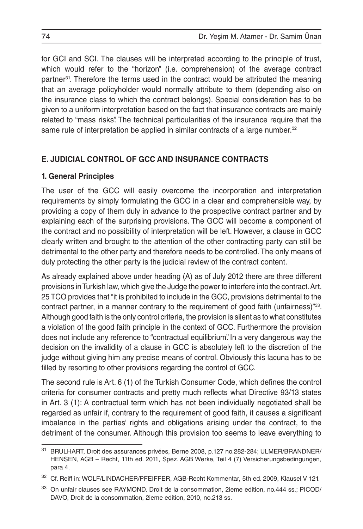for GCI and SCI. The clauses will be interpreted according to the principle of trust, which would refer to the "horizon" (i.e. comprehension) of the average contract partner31. Therefore the terms used in the contract would be attributed the meaning that an average policyholder would normally attribute to them (depending also on the insurance class to which the contract belongs). Special consideration has to be given to a uniform interpretation based on the fact that insurance contracts are mainly related to "mass risks". The technical particularities of the insurance require that the same rule of interpretation be applied in similar contracts of a large number.<sup>32</sup>

## **E. JUDICIAL CONTROL OF GCC AND INSURANCE CONTRACTS**

### **1. General Principles**

The user of the GCC will easily overcome the incorporation and interpretation requirements by simply formulating the GCC in a clear and comprehensible way, by providing a copy of them duly in advance to the prospective contract partner and by explaining each of the surprising provisions. The GCC will become a component of the contract and no possibility of interpretation will be left. However, a clause in GCC clearly written and brought to the attention of the other contracting party can still be detrimental to the other party and therefore needs to be controlled. The only means of duly protecting the other party is the judicial review of the contract content.

As already explained above under heading (A) as of July 2012 there are three different provisions in Turkish law, which give the Judge the power to interfere into the contract. Art. 25 TCO provides that "it is prohibited to include in the GCC, provisions detrimental to the contract partner, in a manner contrary to the requirement of good faith (unfairness)<sup>733</sup>. Although good faith is the only control criteria, the provision is silent as to what constitutes a violation of the good faith principle in the context of GCC. Furthermore the provision does not include any reference to "contractual equilibrium". In a very dangerous way the decision on the invalidity of a clause in GCC is absolutely left to the discretion of the judge without giving him any precise means of control. Obviously this lacuna has to be filled by resorting to other provisions regarding the control of GCC.

The second rule is Art. 6 (1) of the Turkish Consumer Code, which defines the control criteria for consumer contracts and pretty much reflects what Directive 93/13 states in Art. 3 (1): A contractual term which has not been individually negotiated shall be regarded as unfair if, contrary to the requirement of good faith, it causes a significant imbalance in the parties' rights and obligations arising under the contract, to the detriment of the consumer. Although this provision too seems to leave everything to

<sup>31</sup> BRULHART, Droit des assurances privées, Berne 2008, p.127 no.282-284; ULMER/BRANDNER/ HENSEN, AGB – Recht, 11th ed. 2011, Spez. AGB Werke, Teil 4 (7) Versicherungsbedingungen, para 4.

<sup>&</sup>lt;sup>32</sup> Cf. Reiff in: WOLF/LINDACHER/PFEIFFER, AGB-Recht Kommentar, 5th ed. 2009, Klausel V 121.

<sup>33</sup> On unfair clauses see RAYMOND, Droit de la consommation, 2ieme edition, no.444 ss.; PICOD/ DAVO, Droit de la consommation, 2ieme edition, 2010, no.213 ss.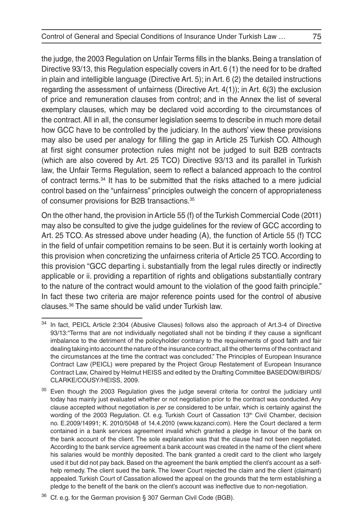the judge, the 2003 Regulation on Unfair Terms fills in the blanks. Being a translation of Directive 93/13, this Regulation especially covers in Art. 6 (1) the need for to be drafted in plain and intelligible language (Directive Art. 5); in Art. 6 (2) the detailed instructions regarding the assessment of unfairness (Directive Art. 4(1)); in Art. 6(3) the exclusion of price and remuneration clauses from control; and in the Annex the list of several exemplary clauses, which may be declared void according to the circumstances of the contract. All in all, the consumer legislation seems to describe in much more detail how GCC have to be controlled by the judiciary. In the authors' view these provisions may also be used per analogy for filling the gap in Article 25 Turkish CO. Although at first sight consumer protection rules might not be judged to suit B2B contracts (which are also covered by Art. 25 TCO) Directive 93/13 and its parallel in Turkish law, the Unfair Terms Regulation, seem to reflect a balanced approach to the control of contract terms.34 It has to be submitted that the risks attached to a mere judicial control based on the "unfairness" principles outweigh the concern of appropriateness of consumer provisions for B2B transactions.35

On the other hand, the provision in Article 55 (f) of the Turkish Commercial Code (2011) may also be consulted to give the judge guidelines for the review of GCC according to Art. 25 TCO. As stressed above under heading (A), the function of Article 55 (f) TCC in the field of unfair competition remains to be seen. But it is certainly worth looking at this provision when concretizing the unfairness criteria of Article 25 TCO. According to this provision "GCC departing i. substantially from the legal rules directly or indirectly applicable or ii. providing a repartition of rights and obligations substantially contrary to the nature of the contract would amount to the violation of the good faith principle." In fact these two criteria are major reference points used for the control of abusive clauses.36 The same should be valid under Turkish law.

In fact, PEICL Article 2:304 (Abusive Clauses) follows also the approach of Art.3-4 of Directive 93/13:"Terms that are not individually negotiated shall not be binding if they cause a significant imbalance to the detriment of the policyholder contrary to the requirements of good faith and fair dealing taking into account the nature of the insurance contract, all the other terms of the contract and the circumstances at the time the contract was concluded." The Principles of European Insurance Contract Law (PEICL) were prepared by the Project Group Restatement of European Insurance Contract Law, Chaired by Helmut HEISS and edited by the Drafting Committee BASEDOW/BIRDS/ CLARKE/COUSY/HEISS, 2009.

<sup>&</sup>lt;sup>35</sup> Even though the 2003 Regulation gives the judge several criteria for control the judiciary until today has mainly just evaluated whether or not negotiation prior to the contract was conducted. Any clause accepted without negotiation is *per se* considered to be unfair, which is certainly against the wording of the 2003 Regulation. Cf. e.g. Turkish Court of Cassation 13<sup>th</sup> Civil Chamber, decision no. E.2009/14991; K. 2010/5048 of 14.4.2010 (www.kazanci.com). Here the Court declared a term contained in a bank services agreement invalid which granted a pledge in favour of the bank on the bank account of the client. The sole explanation was that the clause had not been negotiated. According to the bank service agreement a bank account was created in the name of the client where his salaries would be monthly deposited. The bank granted a credit card to the client who largely used it but did not pay back. Based on the agreement the bank emptied the client's account as a selfhelp remedy. The client sued the bank. The lower Court rejected the claim and the client (claimant) appealed. Turkish Court of Cassation allowed the appeal on the grounds that the term establishing a pledge to the benefit of the bank on the client's account was ineffective due to non-negotiation.

Cf. e.g. for the German provision § 307 German Civil Code (BGB).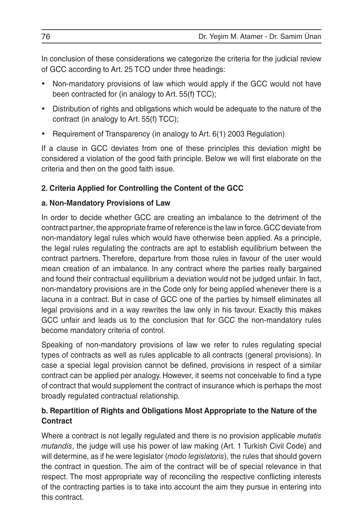In conclusion of these considerations we categorize the criteria for the judicial review of GCC according to Art. 25 TCO under three headings:

- Non-mandatory provisions of law which would apply if the GCC would not have been contracted for (in analogy to Art. 55(f) TCC);
- Distribution of rights and obligations which would be adequate to the nature of the contract (in analogy to Art. 55(f) TCC);
- Requirement of Transparency (in analogy to Art. 6(1) 2003 Regulation)

If a clause in GCC deviates from one of these principles this deviation might be considered a violation of the good faith principle. Below we will first elaborate on the criteria and then on the good faith issue.

## **2. Criteria Applied for Controlling the Content of the GCC**

## **a. Non-Mandatory Provisions of Law**

In order to decide whether GCC are creating an imbalance to the detriment of the contract partner, the appropriate frame of reference is the law in force. GCC deviate from non-mandatory legal rules which would have otherwise been applied. As a principle, the legal rules regulating the contracts are apt to establish equilibrium between the contract partners. Therefore, departure from those rules in favour of the user would mean creation of an imbalance. In any contract where the parties really bargained and found their contractual equilibrium a deviation would not be judged unfair. In fact, non-mandatory provisions are in the Code only for being applied whenever there is a lacuna in a contract. But in case of GCC one of the parties by himself eliminates all legal provisions and in a way rewrites the law only in his favour. Exactly this makes GCC unfair and leads us to the conclusion that for GCC the non-mandatory rules become mandatory criteria of control.

Speaking of non-mandatory provisions of law we refer to rules regulating special types of contracts as well as rules applicable to all contracts (general provisions). In case a special legal provision cannot be defined, provisions in respect of a similar contract can be applied per analogy. However, it seems not conceivable to find a type of contract that would supplement the contract of insurance which is perhaps the most broadly regulated contractual relationship.

## **b. Repartition of Rights and Obligations Most Appropriate to the Nature of the Contract**

Where a contract is not legally regulated and there is no provision applicable *mutatis mutandis*, the judge will use his power of law making (Art. 1 Turkish Civil Code) and will determine, as if he were legislator (*modo legislatoris*), the rules that should govern the contract in question. The aim of the contract will be of special relevance in that respect. The most appropriate way of reconciling the respective conflicting interests of the contracting parties is to take into account the aim they pursue in entering into this contract.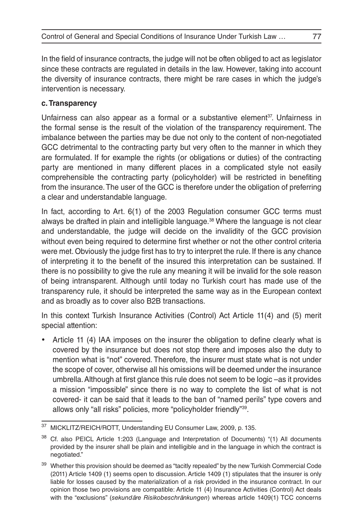In the field of insurance contracts, the judge will not be often obliged to act as legislator since these contracts are regulated in details in the law. However, taking into account the diversity of insurance contracts, there might be rare cases in which the judge's intervention is necessary.

## **c. Transparency**

Unfairness can also appear as a formal or a substantive element<sup>37</sup>. Unfairness in the formal sense is the result of the violation of the transparency requirement. The imbalance between the parties may be due not only to the content of non-negotiated GCC detrimental to the contracting party but very often to the manner in which they are formulated. If for example the rights (or obligations or duties) of the contracting party are mentioned in many different places in a complicated style not easily comprehensible the contracting party (policyholder) will be restricted in benefiting from the insurance. The user of the GCC is therefore under the obligation of preferring a clear and understandable language.

In fact, according to Art. 6(1) of the 2003 Regulation consumer GCC terms must always be drafted in plain and intelligible language.38 Where the language is not clear and understandable, the judge will decide on the invalidity of the GCC provision without even being required to determine first whether or not the other control criteria were met. Obviously the judge first has to try to interpret the rule. If there is any chance of interpreting it to the benefit of the insured this interpretation can be sustained. If there is no possibility to give the rule any meaning it will be invalid for the sole reason of being intransparent. Although until today no Turkish court has made use of the transparency rule, it should be interpreted the same way as in the European context and as broadly as to cover also B2B transactions.

In this context Turkish Insurance Activities (Control) Act Article 11(4) and (5) merit special attention:

Article 11  $(4)$  IAA imposes on the insurer the obligation to define clearly what is covered by the insurance but does not stop there and imposes also the duty to mention what is "not" covered. Therefore, the insurer must state what is not under the scope of cover, otherwise all his omissions will be deemed under the insurance umbrella. Although at first glance this rule does not seem to be logic –as it provides a mission "impossible" since there is no way to complete the list of what is not covered- it can be said that it leads to the ban of "named perils" type covers and allows only "all risks" policies, more "policyholder friendly"39.

<sup>37</sup> MICKLITZ/REICH/ROTT, Understanding EU Consumer Law, 2009, p. 135.

<sup>&</sup>lt;sup>38</sup> Cf. also PEICL Article 1:203 (Language and Interpretation of Documents) "(1) All documents provided by the insurer shall be plain and intelligible and in the language in which the contract is negotiated."

 $39$  Whether this provision should be deemed as "tacitly repealed" by the new Turkish Commercial Code (2011) Article 1409 (1) seems open to discussion. Article 1409 (1) stipulates that the insurer is only liable for losses caused by the materialization of a risk provided in the insurance contract. In our opinion those two provisions are compatible: Article 11 (4) Insurance Activities (Control) Act deals with the "exclusions" (*sekundäre Risikobeschränkungen*) whereas article 1409(1) TCC concerns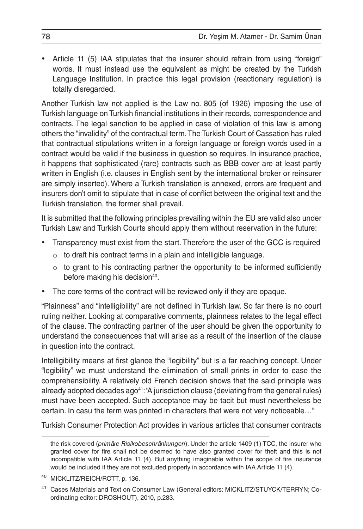• Article 11 (5) IAA stipulates that the insurer should refrain from using "foreign" words. It must instead use the equivalent as might be created by the Turkish Language Institution. In practice this legal provision (reactionary regulation) is totally disregarded.

Another Turkish law not applied is the Law no. 805 (of 1926) imposing the use of Turkish language on Turkish financial institutions in their records, correspondence and contracts. The legal sanction to be applied in case of violation of this law is among others the "invalidity" of the contractual term. The Turkish Court of Cassation has ruled that contractual stipulations written in a foreign language or foreign words used in a contract would be valid if the business in question so requires. In insurance practice, it happens that sophisticated (rare) contracts such as BBB cover are at least partly written in English (i.e. clauses in English sent by the international broker or reinsurer are simply inserted). Where a Turkish translation is annexed, errors are frequent and insurers don't omit to stipulate that in case of conflict between the original text and the Turkish translation, the former shall prevail.

It is submitted that the following principles prevailing within the EU are valid also under Turkish Law and Turkish Courts should apply them without reservation in the future:

- Transparency must exist from the start. Therefore the user of the GCC is required
	- $\circ$  to draft his contract terms in a plain and intelligible language.
	- $\circ$  to grant to his contracting partner the opportunity to be informed sufficiently before making his decision<sup>40</sup>.
- The core terms of the contract will be reviewed only if they are opaque.

"Plainness" and "intelligibility" are not defined in Turkish law. So far there is no court ruling neither. Looking at comparative comments, plainness relates to the legal effect of the clause. The contracting partner of the user should be given the opportunity to understand the consequences that will arise as a result of the insertion of the clause in question into the contract.

Intelligibility means at first glance the "legibility" but is a far reaching concept. Under "legibility" we must understand the elimination of small prints in order to ease the comprehensibility. A relatively old French decision shows that the said principle was already adopted decades ago<sup>41</sup>: "A jurisdiction clause (deviating from the general rules) must have been accepted. Such acceptance may be tacit but must nevertheless be certain. In casu the term was printed in characters that were not very noticeable…"

Turkish Consumer Protection Act provides in various articles that consumer contracts

the risk covered (*primäre Risikobeschränkungen*). Under the article 1409 (1) TCC, the insurer who granted cover for fire shall not be deemed to have also granted cover for theft and this is not incompatible with IAA Article 11 (4). But anything imaginable within the scope of fire insurance would be included if they are not excluded properly in accordance with IAA Article 11 (4).

<sup>40</sup> MICKLITZ/REICH/ROTT, p. 136.

<sup>41</sup> Cases Materials and Text on Consumer Law (General editors: MICKLITZ/STUYCK/TERRYN; Coordinating editor: DROSHOUT), 2010, p.283.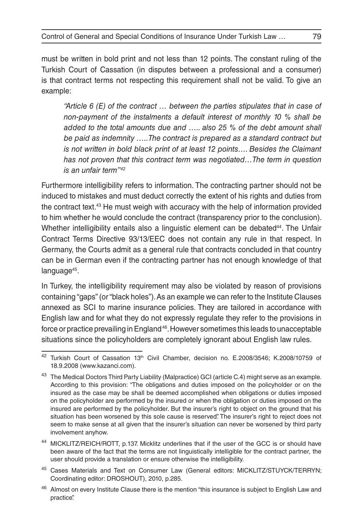must be written in bold print and not less than 12 points. The constant ruling of the Turkish Court of Cassation (in disputes between a professional and a consumer) is that contract terms not respecting this requirement shall not be valid. To give an example:

*"Article 6 (E) of the contract … between the parties stipulates that in case of non-payment of the instalments a default interest of monthly 10 % shall be added to the total amounts due and ….. also 25 % of the debt amount shall be paid as indemnity …..The contract is prepared as a standard contract but is not written in bold black print of at least 12 points.... Besides the Claimant has not proven that this contract term was negotiated…The term in question is an unfair term"42*

Furthermore intelligibility refers to information. The contracting partner should not be induced to mistakes and must deduct correctly the extent of his rights and duties from the contract text.43 He must weigh with accuracy with the help of information provided to him whether he would conclude the contract (transparency prior to the conclusion). Whether intelligibility entails also a linguistic element can be debated<sup>44</sup>. The Unfair Contract Terms Directive 93/13/EEC does not contain any rule in that respect. In Germany, the Courts admit as a general rule that contracts concluded in that country can be in German even if the contracting partner has not enough knowledge of that language<sup>45</sup>.

In Turkey, the intelligibility requirement may also be violated by reason of provisions containing "gaps" (or "black holes"). As an example we can refer to the Institute Clauses annexed as SCI to marine insurance policies. They are tailored in accordance with English law and for what they do not expressly regulate they refer to the provisions in force or practice prevailing in England 46. However sometimes this leads to unacceptable situations since the policyholders are completely ignorant about English law rules.

<sup>45</sup> Cases Materials and Text on Consumer Law (General editors: MICKLITZ/STUYCK/TERRYN; Coordinating editor: DROSHOUT), 2010, p.285.

<sup>&</sup>lt;sup>42</sup> Turkish Court of Cassation 13<sup>th</sup> Civil Chamber, decision no. E.2008/3546; K.2008/10759 of 18.9.2008 (www.kazanci.com).

<sup>&</sup>lt;sup>43</sup> The Medical Doctors Third Party Liability (Malpractice) GCI (article C.4) might serve as an example. According to this provision: "The obligations and duties imposed on the policyholder or on the insured as the case may be shall be deemed accomplished when obligations or duties imposed on the policyholder are performed by the insured or when the obligation or duties imposed on the insured are performed by the policyholder. But the insurer's right to object on the ground that his situation has been worsened by this sole cause is reserved". The insurer's right to reject does not seem to make sense at all given that the insurer's situation can never be worsened by third party involvement anyhow.

<sup>44</sup> MICKLITZ/REICH/ROTT, p.137. Micklitz underlines that if the user of the GCC is or should have been aware of the fact that the terms are not linguistically intelligible for the contract partner, the user should provide a translation or ensure otherwise the intelligibility.

<sup>&</sup>lt;sup>46</sup> Almost on every Institute Clause there is the mention "this insurance is subject to English Law and practice".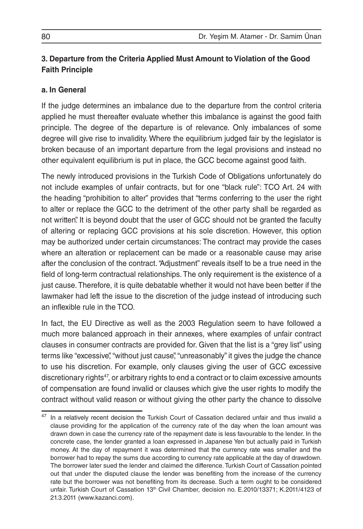## **3. Departure from the Criteria Applied Must Amount to Violation of the Good Faith Principle**

### **a. In General**

If the judge determines an imbalance due to the departure from the control criteria applied he must thereafter evaluate whether this imbalance is against the good faith principle. The degree of the departure is of relevance. Only imbalances of some degree will give rise to invalidity. Where the equilibrium judged fair by the legislator is broken because of an important departure from the legal provisions and instead no other equivalent equilibrium is put in place, the GCC become against good faith.

The newly introduced provisions in the Turkish Code of Obligations unfortunately do not include examples of unfair contracts, but for one "black rule": TCO Art. 24 with the heading "prohibition to alter" provides that "terms conferring to the user the right to alter or replace the GCC to the detriment of the other party shall be regarded as not written". It is beyond doubt that the user of GCC should not be granted the faculty of altering or replacing GCC provisions at his sole discretion. However, this option may be authorized under certain circumstances: The contract may provide the cases where an alteration or replacement can be made or a reasonable cause may arise after the conclusion of the contract. "Adjustment" reveals itself to be a true need in the field of long-term contractual relationships. The only requirement is the existence of a just cause. Therefore, it is quite debatable whether it would not have been better if the lawmaker had left the issue to the discretion of the judge instead of introducing such an inflexible rule in the TCO.

In fact, the EU Directive as well as the 2003 Regulation seem to have followed a much more balanced approach in their annexes, where examples of unfair contract clauses in consumer contracts are provided for. Given that the list is a "grey list" using terms like "excessive", "without just cause", "unreasonably" it gives the judge the chance to use his discretion. For example, only clauses giving the user of GCC excessive discretionary rights<sup>47</sup>, or arbitrary rights to end a contract or to claim excessive amounts of compensation are found invalid or clauses which give the user rights to modify the contract without valid reason or without giving the other party the chance to dissolve

<sup>&</sup>lt;sup>47</sup> In a relatively recent decision the Turkish Court of Cassation declared unfair and thus invalid a clause providing for the application of the currency rate of the day when the loan amount was drawn down in case the currency rate of the repayment date is less favourable to the lender. In the concrete case, the lender granted a loan expressed in Japanese Yen but actually paid in Turkish money. At the day of repayment it was determined that the currency rate was smaller and the borrower had to repay the sums due according to currency rate applicable at the day of drawdown. The borrower later sued the lender and claimed the difference. Turkish Court of Cassation pointed out that under the disputed clause the lender was benefiting from the increase of the currency rate but the borrower was not benefiting from its decrease. Such a term ought to be considered unfair. Turkish Court of Cassation 13<sup>th</sup> Civil Chamber, decision no. E.2010/13371; K.2011/4123 of 21.3.2011 (www.kazanci.com).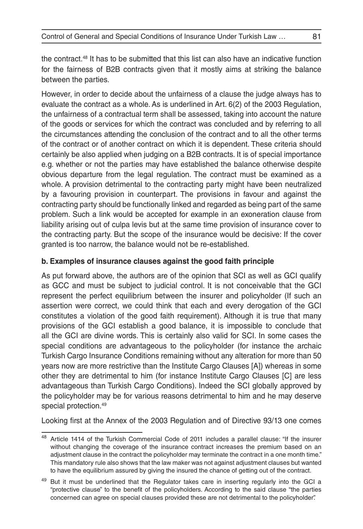the contract.48 It has to be submitted that this list can also have an indicative function for the fairness of B2B contracts given that it mostly aims at striking the balance between the parties.

However, in order to decide about the unfairness of a clause the judge always has to evaluate the contract as a whole. As is underlined in Art. 6(2) of the 2003 Regulation, the unfairness of a contractual term shall be assessed, taking into account the nature of the goods or services for which the contract was concluded and by referring to all the circumstances attending the conclusion of the contract and to all the other terms of the contract or of another contract on which it is dependent. These criteria should certainly be also applied when judging on a B2B contracts. It is of special importance e.g. whether or not the parties may have established the balance otherwise despite obvious departure from the legal regulation. The contract must be examined as a whole. A provision detrimental to the contracting party might have been neutralized by a favouring provision in counterpart. The provisions in favour and against the contracting party should be functionally linked and regarded as being part of the same problem. Such a link would be accepted for example in an exoneration clause from liability arising out of culpa levis but at the same time provision of insurance cover to the contracting party. But the scope of the insurance would be decisive: If the cover granted is too narrow, the balance would not be re-established.

## **b. Examples of insurance clauses against the good faith principle**

As put forward above, the authors are of the opinion that SCI as well as GCI qualify as GCC and must be subject to judicial control. It is not conceivable that the GCI represent the perfect equilibrium between the insurer and policyholder (If such an assertion were correct, we could think that each and every derogation of the GCI constitutes a violation of the good faith requirement). Although it is true that many provisions of the GCI establish a good balance, it is impossible to conclude that all the GCI are divine words. This is certainly also valid for SCI. In some cases the special conditions are advantageous to the policyholder (for instance the archaic Turkish Cargo Insurance Conditions remaining without any alteration for more than 50 years now are more restrictive than the Institute Cargo Clauses [A]) whereas in some other they are detrimental to him (for instance Institute Cargo Clauses [C] are less advantageous than Turkish Cargo Conditions). Indeed the SCI globally approved by the policyholder may be for various reasons detrimental to him and he may deserve special protection.49

Looking first at the Annex of the 2003 Regulation and of Directive 93/13 one comes

<sup>48</sup> Article 1414 of the Turkish Commercial Code of 2011 includes a parallel clause: "If the insurer without changing the coverage of the insurance contract increases the premium based on an adjustment clause in the contract the policyholder may terminate the contract in a one month time." This mandatory rule also shows that the law maker was not against adjustment clauses but wanted to have the equilibrium assured by giving the insured the chance of getting out of the contract.

<sup>&</sup>lt;sup>49</sup> But it must be underlined that the Regulator takes care in inserting regularly into the GCI a "protective clause" to the benefit of the policyholders. According to the said clause "the parties concerned can agree on special clauses provided these are not detrimental to the policyholder".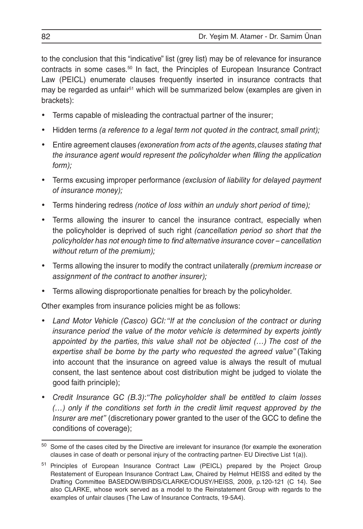to the conclusion that this "indicative" list (grey list) may be of relevance for insurance contracts in some cases.50 In fact, the Principles of European Insurance Contract Law (PEICL) enumerate clauses frequently inserted in insurance contracts that may be regarded as unfair<sup>51</sup> which will be summarized below (examples are given in brackets):

- Terms capable of misleading the contractual partner of the insurer;
- Hidden terms *(a reference to a legal term not quoted in the contract, small print);*
- Entire agreement clauses *(exoneration from acts of the agents, clauses stating that the insurance agent would represent the policyholder when filling the application form);*
- • Terms excusing improper performance *(exclusion of liability for delayed payment of insurance money);*
- • Terms hindering redress *(notice of loss within an unduly short period of time);*
- Terms allowing the insurer to cancel the insurance contract, especially when the policyholder is deprived of such right *(cancellation period so short that the policyholder has not enough time to find alternative insurance cover – cancellation without return of the premium);*
- • Terms allowing the insurer to modify the contract unilaterally *(premium increase or assignment of the contract to another insurer);*
- Terms allowing disproportionate penalties for breach by the policyholder.

Other examples from insurance policies might be as follows:

- Land Motor Vehicle (Casco) GCI: "If at the conclusion of the contract or during *insurance period the value of the motor vehicle is determined by experts jointly appointed by the parties, this value shall not be objected (…) The cost of the expertise shall be borne by the party who requested the agreed value"* (Taking into account that the insurance on agreed value is always the result of mutual consent, the last sentence about cost distribution might be judged to violate the good faith principle);
- • *Credit Insurance GC (B.3)*:*"The policyholder shall be entitled to claim losses (…) only if the conditions set forth in the credit limit request approved by the Insurer are met"* (discretionary power granted to the user of the GCC to define the conditions of coverage);

 $50$  Some of the cases cited by the Directive are irrelevant for insurance (for example the exoneration clauses in case of death or personal injury of the contracting partner- EU Directive List 1(a)).

<sup>51</sup> Principles of European Insurance Contract Law (PEICL) prepared by the Project Group Restatement of European Insurance Contract Law, Chaired by Helmut HEISS and edited by the Drafting Committee BASEDOW/BIRDS/CLARKE/COUSY/HEISS, 2009, p.120-121 (C 14). See also CLARKE, whose work served as a model to the Reinstatement Group with regards to the examples of unfair clauses (The Law of Insurance Contracts, 19-5A4).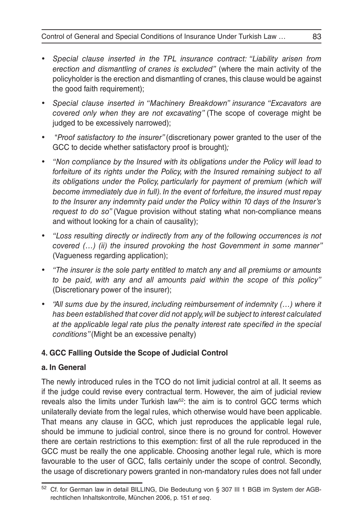- • *Special clause inserted in the TPL insurance contract: "Liability arisen from erection and dismantling of cranes is excluded"* (where the main activity of the policyholder is the erection and dismantling of cranes, this clause would be against the good faith requirement);
- • *Special clause inserted in "Machinery Breakdown" insurance "Excavators are covered only when they are not excavating"* (The scope of coverage might be judged to be excessively narrowed);
- • "*Proof satisfactory to the insurer"* (discretionary power granted to the user of the GCC to decide whether satisfactory proof is brought)*;*
- <sup>"</sup> Non compliance by the Insured with its obligations under the Policy will lead to *forfeiture of its rights under the Policy, with the Insured remaining subject to all its obligations under the Policy, particularly for payment of premium (which will become immediately due in full). In the event of forfeiture, the insured must repay to the Insurer any indemnity paid under the Policy within 10 days of the Insurer's request to do so"* (Vague provision without stating what non-compliance means and without looking for a chain of causality);
- "Loss resulting directly or indirectly from any of the following occurrences is not *covered (…) (ii) the insured provoking the host Government in some manner"*  (Vagueness regarding application);
- • *"The insurer is the sole party entitled to match any and all premiums or amounts to be paid, with any and all amounts paid within the scope of this policy"* (Discretionary power of the insurer);
- <sup>"</sup>All sums due by the insured, including reimbursement of indemnity (...) where it *has been established that cover did not apply, will be subject to interest calculated at the applicable legal rate plus the penalty interest rate specified in the special conditions"* (Might be an excessive penalty)

## **4. GCC Falling Outside the Scope of Judicial Control**

### **a. In General**

The newly introduced rules in the TCO do not limit judicial control at all. It seems as if the judge could revise every contractual term. However, the aim of judicial review reveals also the limits under Turkish law<sup>52</sup>: the aim is to control GCC terms which unilaterally deviate from the legal rules, which otherwise would have been applicable. That means any clause in GCC, which just reproduces the applicable legal rule, should be immune to judicial control, since there is no ground for control. However there are certain restrictions to this exemption: first of all the rule reproduced in the GCC must be really the one applicable. Choosing another legal rule, which is more favourable to the user of GCC, falls certainly under the scope of control. Secondly, the usage of discretionary powers granted in non-mandatory rules does not fall under

<sup>52</sup> Cf. for German law in detail BILLING, Die Bedeutung von § 307 III 1 BGB im System der AGBrechtlichen Inhaltskontrolle, München 2006, p. 151 *et seq*.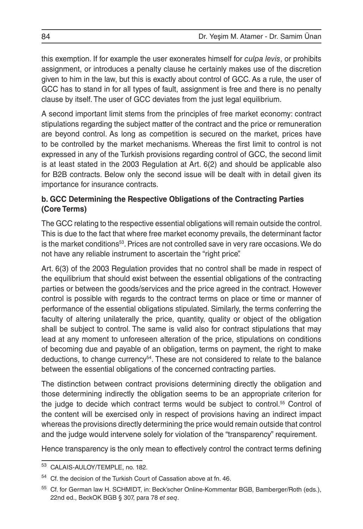this exemption. If for example the user exonerates himself for *culpa levis*, or prohibits assignment, or introduces a penalty clause he certainly makes use of the discretion given to him in the law, but this is exactly about control of GCC. As a rule, the user of GCC has to stand in for all types of fault, assignment is free and there is no penalty clause by itself. The user of GCC deviates from the just legal equilibrium.

A second important limit stems from the principles of free market economy: contract stipulations regarding the subject matter of the contract and the price or remuneration are beyond control. As long as competition is secured on the market, prices have to be controlled by the market mechanisms. Whereas the first limit to control is not expressed in any of the Turkish provisions regarding control of GCC, the second limit is at least stated in the 2003 Regulation at Art. 6(2) and should be applicable also for B2B contracts. Below only the second issue will be dealt with in detail given its importance for insurance contracts.

## **b. GCC Determining the Respective Obligations of the Contracting Parties (Core Terms)**

The GCC relating to the respective essential obligations will remain outside the control. This is due to the fact that where free market economy prevails, the determinant factor is the market conditions<sup>53</sup>. Prices are not controlled save in very rare occasions. We do not have any reliable instrument to ascertain the "right price".

Art. 6(3) of the 2003 Regulation provides that no control shall be made in respect of the equilibrium that should exist between the essential obligations of the contracting parties or between the goods/services and the price agreed in the contract. However control is possible with regards to the contract terms on place or time or manner of performance of the essential obligations stipulated. Similarly, the terms conferring the faculty of altering unilaterally the price, quantity, quality or object of the obligation shall be subject to control. The same is valid also for contract stipulations that may lead at any moment to unforeseen alteration of the price, stipulations on conditions of becoming due and payable of an obligation, terms on payment, the right to make deductions, to change currency<sup>54</sup>. These are not considered to relate to the balance between the essential obligations of the concerned contracting parties.

The distinction between contract provisions determining directly the obligation and those determining indirectly the obligation seems to be an appropriate criterion for the judge to decide which contract terms would be subject to control.55 Control of the content will be exercised only in respect of provisions having an indirect impact whereas the provisions directly determining the price would remain outside that control and the judge would intervene solely for violation of the "transparency" requirement.

Hence transparency is the only mean to effectively control the contract terms defining

CALAIS-AULOY/TEMPLE, no. 182.

Cf. the decision of the Turkish Court of Cassation above at fn. 46.

<sup>55</sup> Cf. for German law H. SCHMIDT, in: Beck'scher Online-Kommentar BGB, Bamberger/Roth (eds.), 22nd ed., BeckOK BGB § 307, para 78 *et seq*.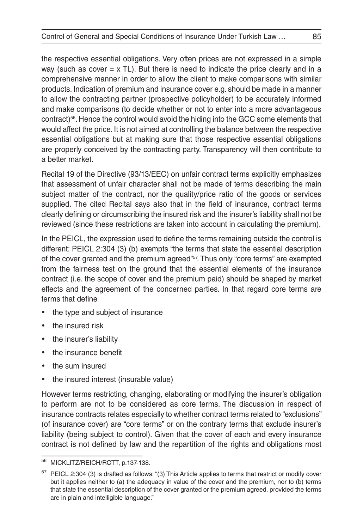the respective essential obligations. Very often prices are not expressed in a simple way (such as cover  $= x$  TL). But there is need to indicate the price clearly and in a comprehensive manner in order to allow the client to make comparisons with similar products. Indication of premium and insurance cover e.g. should be made in a manner to allow the contracting partner (prospective policyholder) to be accurately informed and make comparisons (to decide whether or not to enter into a more advantageous contract)56. Hence the control would avoid the hiding into the GCC some elements that would affect the price. It is not aimed at controlling the balance between the respective essential obligations but at making sure that those respective essential obligations are properly conceived by the contracting party. Transparency will then contribute to a better market.

Recital 19 of the Directive (93/13/EEC) on unfair contract terms explicitly emphasizes that assessment of unfair character shall not be made of terms describing the main subject matter of the contract, nor the quality/price ratio of the goods or services supplied. The cited Recital says also that in the field of insurance, contract terms clearly defining or circumscribing the insured risk and the insurer's liability shall not be reviewed (since these restrictions are taken into account in calculating the premium).

In the PEICL, the expression used to define the terms remaining outside the control is different: PEICL 2:304 (3) (b) exempts "the terms that state the essential description of the cover granted and the premium agreed"<sup>57</sup>. Thus only "core terms" are exempted from the fairness test on the ground that the essential elements of the insurance contract (i.e. the scope of cover and the premium paid) should be shaped by market effects and the agreement of the concerned parties. In that regard core terms are terms that define

- the type and subject of insurance
- the insured risk
- the insurer's liability
- the insurance benefit
- the sum insured
- the insured interest (insurable value)

However terms restricting, changing, elaborating or modifying the insurer's obligation to perform are not to be considered as core terms. The discussion in respect of insurance contracts relates especially to whether contract terms related to "exclusions" (of insurance cover) are "core terms" or on the contrary terms that exclude insurer's liability (being subject to control). Given that the cover of each and every insurance contract is not defined by law and the repartition of the rights and obligations most

<sup>56</sup> MICKLITZ/REICH/ROTT, p.137-138.

<sup>57</sup> PEICL 2:304 (3) is drafted as follows: "(3) This Article applies to terms that restrict or modify cover but it applies neither to (a) the adequacy in value of the cover and the premium, nor to (b) terms that state the essential description of the cover granted or the premium agreed, provided the terms are in plain and intelligible language."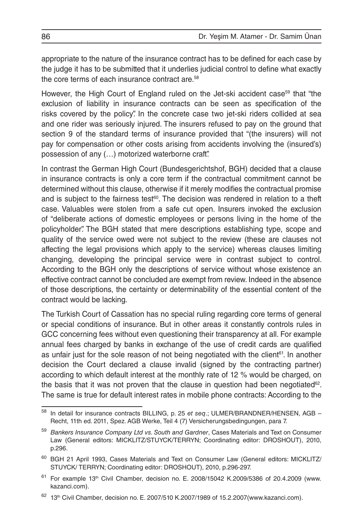appropriate to the nature of the insurance contract has to be defined for each case by the judge it has to be submitted that it underlies judicial control to define what exactly the core terms of each insurance contract are.<sup>58</sup>

However, the High Court of England ruled on the Jet-ski accident case<sup>59</sup> that "the exclusion of liability in insurance contracts can be seen as specification of the risks covered by the policy". In the concrete case two jet-ski riders collided at sea and one rider was seriously injured. The insurers refused to pay on the ground that section 9 of the standard terms of insurance provided that "(the insurers) will not pay for compensation or other costs arising from accidents involving the (insured's) possession of any (…) motorized waterborne craft".

In contrast the German High Court (Bundesgerichtshof, BGH) decided that a clause in insurance contracts is only a core term if the contractual commitment cannot be determined without this clause, otherwise if it merely modifies the contractual promise and is subject to the fairness test $60$ . The decision was rendered in relation to a theft case. Valuables were stolen from a safe cut open. Insurers invoked the exclusion of "deliberate actions of domestic employees or persons living in the home of the policyholder". The BGH stated that mere descriptions establishing type, scope and quality of the service owed were not subject to the review (these are clauses not affecting the legal provisions which apply to the service) whereas clauses limiting changing, developing the principal service were in contrast subject to control. According to the BGH only the descriptions of service without whose existence an effective contract cannot be concluded are exempt from review. Indeed in the absence of those descriptions, the certainty or determinability of the essential content of the contract would be lacking.

The Turkish Court of Cassation has no special ruling regarding core terms of general or special conditions of insurance. But in other areas it constantly controls rules in GCC concerning fees without even questioning their transparency at all. For example annual fees charged by banks in exchange of the use of credit cards are qualified as unfair just for the sole reason of not being negotiated with the client<sup>61</sup>. In another decision the Court declared a clause invalid (signed by the contracting partner) according to which default interest at the monthly rate of 12 % would be charged, on the basis that it was not proven that the clause in question had been negotiated<sup>62</sup>. The same is true for default interest rates in mobile phone contracts: According to the

<sup>58</sup> In detail for insurance contracts BILLING, p. 25 *et seq*.; ULMER/BRANDNER/HENSEN, AGB – Recht, 11th ed. 2011, Spez. AGB Werke, Teil 4 (7) Versicherungsbedingungen, para 7.

<sup>59</sup> *Bankers Insurance Company Ltd vs. South and Gardner*, Cases Materials and Text on Consumer Law (General editors: MICKLITZ/STUYCK/TERRYN; Coordinating editor: DROSHOUT), 2010, p.296.

<sup>&</sup>lt;sup>60</sup> BGH 21 April 1993, Cases Materials and Text on Consumer Law (General editors: MICKLITZ/ STUYCK/ TERRYN; Coordinating editor: DROSHOUT), 2010, p.296-297.

 $61$  For example 13<sup>th</sup> Civil Chamber, decision no. E. 2008/15042 K.2009/5386 of 20.4.2009 (www. kazanci.com).

 $62$  13<sup>th</sup> Civil Chamber, decision no. E. 2007/510 K.2007/1989 of 15.2.2007(www.kazanci.com).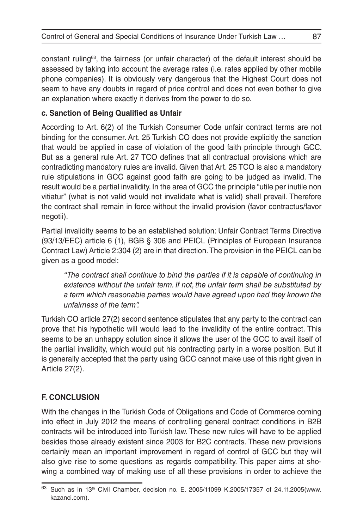constant ruling<sup>63</sup>, the fairness (or unfair character) of the default interest should be assessed by taking into account the average rates (i.e. rates applied by other mobile phone companies). It is obviously very dangerous that the Highest Court does not seem to have any doubts in regard of price control and does not even bother to give an explanation where exactly it derives from the power to do so.

## **c. Sanction of Being Qualified as Unfair**

According to Art. 6(2) of the Turkish Consumer Code unfair contract terms are not binding for the consumer. Art. 25 Turkish CO does not provide explicitly the sanction that would be applied in case of violation of the good faith principle through GCC. But as a general rule Art. 27 TCO defines that all contractual provisions which are contradicting mandatory rules are invalid. Given that Art. 25 TCO is also a mandatory rule stipulations in GCC against good faith are going to be judged as invalid. The result would be a partial invalidity. In the area of GCC the principle "utile per inutile non vitiatur" (what is not valid would not invalidate what is valid) shall prevail. Therefore the contract shall remain in force without the invalid provision (favor contractus/favor negotii).

Partial invalidity seems to be an established solution: Unfair Contract Terms Directive (93/13/EEC) article 6 (1), BGB § 306 and PEICL (Principles of European Insurance Contract Law) Article 2:304 (2) are in that direction. The provision in the PEICL can be given as a good model:

*"The contract shall continue to bind the parties if it is capable of continuing in existence without the unfair term. If not, the unfair term shall be substituted by a term which reasonable parties would have agreed upon had they known the unfairness of the term".* 

Turkish CO article 27(2) second sentence stipulates that any party to the contract can prove that his hypothetic will would lead to the invalidity of the entire contract. This seems to be an unhappy solution since it allows the user of the GCC to avail itself of the partial invalidity, which would put his contracting party in a worse position. But it is generally accepted that the party using GCC cannot make use of this right given in Article 27(2).

## **F. CONCLUSION**

With the changes in the Turkish Code of Obligations and Code of Commerce coming into effect in July 2012 the means of controlling general contract conditions in B2B contracts will be introduced into Turkish law. These new rules will have to be applied besides those already existent since 2003 for B2C contracts. These new provisions certainly mean an important improvement in regard of control of GCC but they will also give rise to some questions as regards compatibility. This paper aims at showing a combined way of making use of all these provisions in order to achieve the

 $63$  Such as in 13<sup>th</sup> Civil Chamber, decision no. E. 2005/11099 K.2005/17357 of 24.11.2005(www. kazanci.com).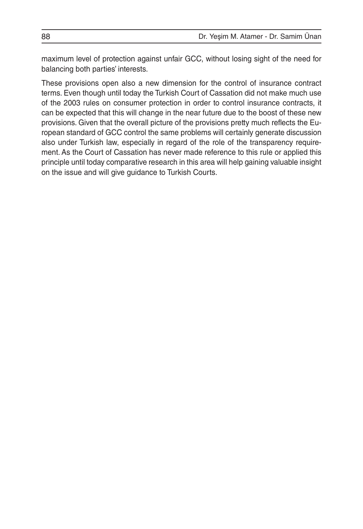maximum level of protection against unfair GCC, without losing sight of the need for balancing both parties' interests.

These provisions open also a new dimension for the control of insurance contract terms. Even though until today the Turkish Court of Cassation did not make much use of the 2003 rules on consumer protection in order to control insurance contracts, it can be expected that this will change in the near future due to the boost of these new provisions. Given that the overall picture of the provisions pretty much reflects the European standard of GCC control the same problems will certainly generate discussion also under Turkish law, especially in regard of the role of the transparency requirement. As the Court of Cassation has never made reference to this rule or applied this principle until today comparative research in this area will help gaining valuable insight on the issue and will give guidance to Turkish Courts.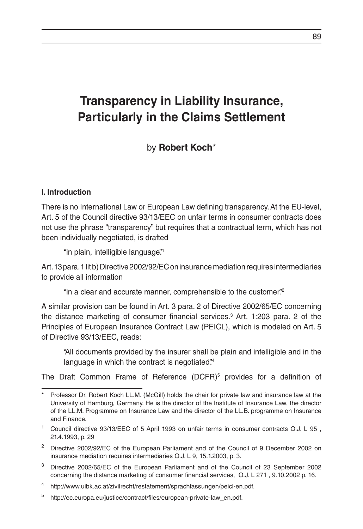# **Transparency in Liability Insurance, Particularly in the Claims Settlement**

by **Robert Koch**\*

#### **I. Introduction**

There is no International Law or European Law defining transparency. At the EU-level, Art. 5 of the Council directive 93/13/EEC on unfair terms in consumer contracts does not use the phrase "transparency" but requires that a contractual term, which has not been individually negotiated, is drafted

"in plain, intelligible language".<sup>1</sup>

Art. 13 para. 1 lit b) Directive 2002/92/EC on insurance mediation requires intermediaries to provide all information

"in a clear and accurate manner, comprehensible to the customer".2

A similar provision can be found in Art. 3 para. 2 of Directive 2002/65/EC concerning the distance marketing of consumer financial services.3 Art. 1:203 para. 2 of the Principles of European Insurance Contract Law (PEICL), which is modeled on Art. 5 of Directive 93/13/EEC, reads:

"All documents provided by the insurer shall be plain and intelligible and in the language in which the contract is negotiated.<sup>34</sup>

The Draft Common Frame of Reference (DCFR)<sup>5</sup> provides for a definition of

Professor Dr. Robert Koch LL.M. (McGill) holds the chair for private law and insurance law at the University of Hamburg, Germany. He is the director of the Institute of Insurance Law, the director of the LL.M. Programme on Insurance Law and the director of the LL.B. programme on Insurance and Finance.

<sup>1</sup> Council directive 93/13/EEC of 5 April 1993 on unfair terms in consumer contracts O.J. L 95 , 21.4.1993, p. 29

<sup>&</sup>lt;sup>2</sup> Directive 2002/92/EC of the European Parliament and of the Council of 9 December 2002 on insurance mediation requires intermediaries O.J. L 9, 15.1.2003, p. 3.

<sup>3</sup> Directive 2002/65/EC of the European Parliament and of the Council of 23 September 2002 concerning the distance marketing of consumer financial services, O.J. L 271 , 9.10.2002 p. 16.

<sup>4</sup> http://www.uibk.ac.at/zivilrecht/restatement/sprachfassungen/peicl-en.pdf.

<sup>5</sup> http://ec.europa.eu/justice/contract/files/european-private-law\_en.pdf.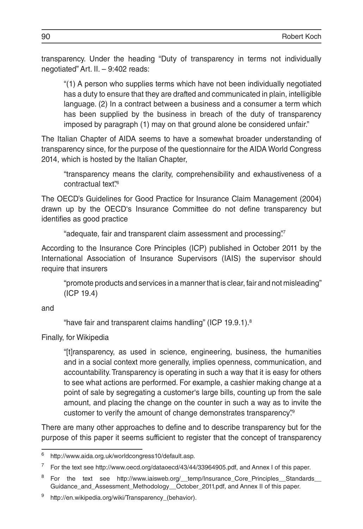transparency. Under the heading "Duty of transparency in terms not individually negotiated" Art. II. – 9:402 reads:

"(1) A person who supplies terms which have not been individually negotiated has a duty to ensure that they are drafted and communicated in plain, intelligible language. (2) In a contract between a business and a consumer a term which has been supplied by the business in breach of the duty of transparency imposed by paragraph (1) may on that ground alone be considered unfair."

The Italian Chapter of AIDA seems to have a somewhat broader understanding of transparency since, for the purpose of the questionnaire for the AIDA World Congress 2014, which is hosted by the Italian Chapter,

"transparency means the clarity, comprehensibility and exhaustiveness of a contractual text"<sup>6</sup>

The OECD's Guidelines for Good Practice for Insurance Claim Management (2004) drawn up by the OECD's Insurance Committee do not define transparency but identifies as good practice

"adequate, fair and transparent claim assessment and processing".7

According to the Insurance Core Principles (ICP) published in October 2011 by the International Association of Insurance Supervisors (IAIS) the supervisor should require that insurers

"promote products and services in a manner that is clear, fair and not misleading" (ICP 19.4)

and

"have fair and transparent claims handling" (ICP 19.9.1).8

Finally, for Wikipedia

"[t]ransparency, as used in science, engineering, business, the humanities and in a social context more generally, implies openness, communication, and accountability. Transparency is operating in such a way that it is easy for others to see what actions are performed. For example, a cashier making change at a point of sale by segregating a customer's large bills, counting up from the sale amount, and placing the change on the counter in such a way as to invite the customer to verify the amount of change demonstrates transparency.<sup>99</sup>

There are many other approaches to define and to describe transparency but for the purpose of this paper it seems sufficient to register that the concept of transparency

<sup>6</sup> http://www.aida.org.uk/worldcongress10/default.asp.

For the text see http://www.oecd.org/dataoecd/43/44/33964905.pdf, and Annex I of this paper.

<sup>&</sup>lt;sup>8</sup> For the text see http://www.iaisweb.org/\_\_temp/Insurance\_Core\_Principles\_Standards\_ Guidance\_and\_Assessment\_Methodology\_\_October\_2011.pdf, and Annex II of this paper.

http://en.wikipedia.org/wiki/Transparency\_(behavior).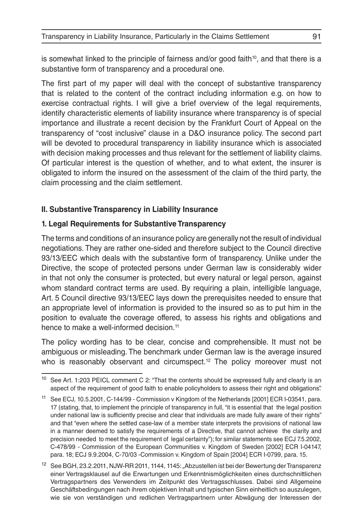is somewhat linked to the principle of fairness and/or good faith<sup>10</sup>, and that there is a substantive form of transparency and a procedural one.

The first part of my paper will deal with the concept of substantive transparency that is related to the content of the contract including information e.g. on how to exercise contractual rights. I will give a brief overview of the legal requirements, identify characteristic elements of liability insurance where transparency is of special importance and illustrate a recent decision by the Frankfurt Court of Appeal on the transparency of "cost inclusive" clause in a D&O insurance policy. The second part will be devoted to procedural transparency in liability insurance which is associated with decision making processes and thus relevant for the settlement of liability claims. Of particular interest is the question of whether, and to what extent, the insurer is obligated to inform the insured on the assessment of the claim of the third party, the claim processing and the claim settlement.

#### **II. Substantive Transparency in Liability Insurance**

#### **1. Legal Requirements for Substantive Transparency**

The terms and conditions of an insurance policy are generally not the result of individual negotiations. They are rather one-sided and therefore subject to the Council directive 93/13/EEC which deals with the substantive form of transparency. Unlike under the Directive, the scope of protected persons under German law is considerably wider in that not only the consumer is protected, but every natural or legal person, against whom standard contract terms are used. By requiring a plain, intelligible language, Art. 5 Council directive 93/13/EEC lays down the prerequisites needed to ensure that an appropriate level of information is provided to the insured so as to put him in the position to evaluate the coverage offered, to assess his rights and obligations and hence to make a well-informed decision.<sup>11</sup>

The policy wording has to be clear, concise and comprehensible. It must not be ambiguous or misleading. The benchmark under German law is the average insured who is reasonably observant and circumspect.<sup>12</sup> The policy moreover must not

 $10$  See Art. 1:203 PEICL comment C 2: "That the contents should be expressed fully and clearly is an aspect of the requirement of good faith to enable policyholders to assess their right and obligations".

<sup>11</sup> See ECJ, 10.5.2001, C-144/99 - Commission v Kingdom of the Netherlands [2001] ECR I-03541, para. 17 (stating, that, to implement the principle of transparency in full, "it is essential that the legal position under national law is sufficiently precise and clear that individuals are made fully aware of their rights" and that "even where the settled case-law of a member state interprets the provisions of national law in a manner deemed to satisfy the requirements of a Directive, that cannot achieve the clarity and precision needed to meet the requirement of legal certainty"); for similar statements see ECJ 7.5.2002, C-478/99 - Commission of the European Communities v. Kingdom of Sweden [2002] ECR I-04147, para. 18; ECJ 9.9.2004, C-70/03 -Commission v. Kingdom of Spain [2004] ECR I-0799, para. 15.

<sup>&</sup>lt;sup>12</sup> See BGH, 23.2.2011, NJW-RR 2011, 1144, 1145: "Abzustellen ist bei der Bewertung der Transparenz einer Vertragsklausel auf die Erwartungen und Erkenntnismöglichkeiten eines durchschnittlichen Vertragspartners des Verwenders im Zeitpunkt des Vertragsschlusses. Dabei sind Allgemeine Geschäftsbedingungen nach ihrem objektiven Inhalt und typischen Sinn einheitlich so auszulegen, wie sie von verständigen und redlichen Vertragspartnern unter Abwägung der Interessen der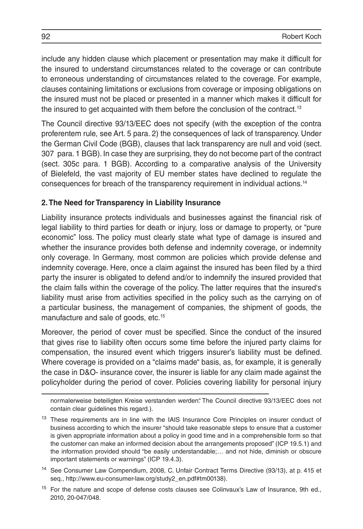include any hidden clause which placement or presentation may make it difficult for the insured to understand circumstances related to the coverage or can contribute to erroneous understanding of circumstances related to the coverage. For example, clauses containing limitations or exclusions from coverage or imposing obligations on the insured must not be placed or presented in a manner which makes it difficult for the insured to get acquainted with them before the conclusion of the contract.13

The Council directive 93/13/EEC does not specify (with the exception of the contra proferentem rule, see Art. 5 para. 2) the consequences of lack of transparency. Under the German Civil Code (BGB), clauses that lack transparency are null and void (sect. 307 para. 1 BGB). In case they are surprising, they do not become part of the contract (sect. 305c para. 1 BGB). According to a comparative analysis of the University of Bielefeld, the vast majority of EU member states have declined to regulate the consequences for breach of the transparency requirement in individual actions.14

#### **2. The Need for Transparency in Liability Insurance**

Liability insurance protects individuals and businesses against the financial risk of legal liability to third parties for death or injury, loss or damage to property, or "pure economic" loss. The policy must clearly state what type of damage is insured and whether the insurance provides both defense and indemnity coverage, or indemnity only coverage. In Germany, most common are policies which provide defense and indemnity coverage. Here, once a claim against the insured has been filed by a third party the insurer is obligated to defend and/or to indemnify the insured provided that the claim falls within the coverage of the policy. The latter requires that the insured's liability must arise from activities specified in the policy such as the carrying on of a particular business, the management of companies, the shipment of goods, the manufacture and sale of goods, etc.15

Moreover, the period of cover must be specified. Since the conduct of the insured that gives rise to liability often occurs some time before the injured party claims for compensation, the insured event which triggers insurer's liability must be defined. Where coverage is provided on a "claims made" basis, as, for example, it is generally the case in D&O- insurance cover, the insurer is liable for any claim made against the policyholder during the period of cover. Policies covering liability for personal injury

normalerweise beteiligten Kreise verstanden werden". The Council directive 93/13/EEC does not contain clear guidelines this regard.).

<sup>&</sup>lt;sup>13</sup> These requirements are in line with the IAIS Insurance Core Principles on insurer conduct of business according to which the insurer "should take reasonable steps to ensure that a customer is given appropriate information about a policy in good time and in a comprehensible form so that the customer can make an informed decision about the arrangements proposed" (ICP 19.5.1) and the information provided should "be easily understandable;… and not hide, diminish or obscure important statements or warnings" (ICP 19.4.3).

<sup>14</sup> See Consumer Law Compendium, 2008, C. Unfair Contract Terms Directive (93/13), at p. 415 et seq., http://www.eu-consumer-law.org/study2\_en.pdf#tm00138).

<sup>&</sup>lt;sup>15</sup> For the nature and scope of defense costs clauses see Colinvaux's Law of Insurance, 9th ed., 2010, 20-047/048.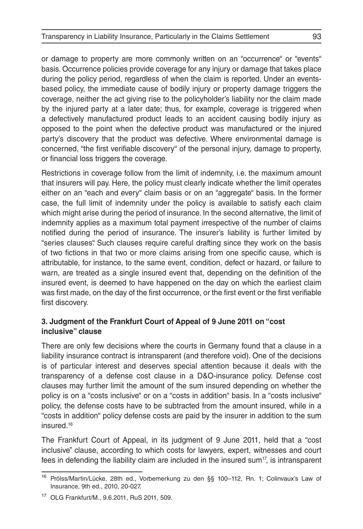or damage to property are more commonly written on an "occurrence" or "events" basis. Occurrence policies provide coverage for any injury or damage that takes place during the policy period, regardless of when the claim is reported. Under an eventsbased policy, the immediate cause of bodily injury or property damage triggers the coverage, neither the act giving rise to the policyholder's liability nor the claim made by the injured party at a later date; thus, for example, coverage is triggered when a defectively manufactured product leads to an accident causing bodily injury as opposed to the point when the defective product was manufactured or the injured party's discovery that the product was defective. Where environmental damage is concerned, "the first verifiable discovery" of the personal injury, damage to property, or financial loss triggers the coverage.

Restrictions in coverage follow from the limit of indemnity, i.e. the maximum amount that insurers will pay. Here, the policy must clearly indicate whether the limit operates either on an "each and every" claim basis or on an "aggregate" basis. In the former case, the full limit of indemnity under the policy is available to satisfy each claim which might arise during the period of insurance. In the second alternative, the limit of indemnity applies as a maximum total payment irrespective of the number of claims notified during the period of insurance. The insurer's liability is further limited by "series clauses". Such clauses require careful drafting since they work on the basis of two fictions in that two or more claims arising from one specific cause, which is attributable, for instance, to the same event, condition, defect or hazard, or failure to warn, are treated as a single insured event that, depending on the definition of the insured event, is deemed to have happened on the day on which the earliest claim was first made, on the day of the first occurrence, or the first event or the first verifiable first discovery.

### **3. Judgment of the Frankfurt Court of Appeal of 9 June 2011 on "cost inclusive" clause**

There are only few decisions where the courts in Germany found that a clause in a liability insurance contract is intransparent (and therefore void). One of the decisions is of particular interest and deserves special attention because it deals with the transparency of a defense cost clause in a D&O-insurance policy. Defense cost clauses may further limit the amount of the sum insured depending on whether the policy is on a "costs inclusive" or on a "costs in addition" basis. In a "costs inclusive" policy, the defense costs have to be subtracted from the amount insured, while in a "costs in addition" policy defense costs are paid by the insurer in addition to the sum insured.16

The Frankfurt Court of Appeal, in its judgment of 9 June 2011, held that a "cost inclusive" clause, according to which costs for lawyers, expert, witnesses and court fees in defending the liability claim are included in the insured sum<sup>17</sup>, is intransparent

<sup>16</sup> Prölss/Martin/Lücke, 28th ed., Vorbemerkung zu den §§ 100–112, Rn. 1; Colinvaux's Law of Insurance, 9th ed., 2010, 20-027.

<sup>17</sup> OLG Frankfurt/M., 9.6.2011, RuS 2011, 509.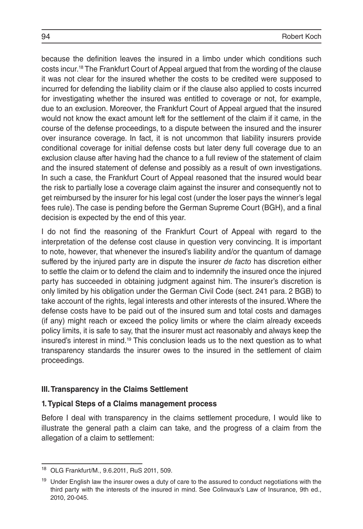because the definition leaves the insured in a limbo under which conditions such costs incur.18 The Frankfurt Court of Appeal argued that from the wording of the clause it was not clear for the insured whether the costs to be credited were supposed to incurred for defending the liability claim or if the clause also applied to costs incurred for investigating whether the insured was entitled to coverage or not, for example, due to an exclusion. Moreover, the Frankfurt Court of Appeal argued that the insured would not know the exact amount left for the settlement of the claim if it came, in the course of the defense proceedings, to a dispute between the insured and the insurer over insurance coverage. In fact, it is not uncommon that liability insurers provide conditional coverage for initial defense costs but later deny full coverage due to an exclusion clause after having had the chance to a full review of the statement of claim and the insured statement of defense and possibly as a result of own investigations. In such a case, the Frankfurt Court of Appeal reasoned that the insured would bear the risk to partially lose a coverage claim against the insurer and consequently not to get reimbursed by the insurer for his legal cost (under the loser pays the winner's legal fees rule). The case is pending before the German Supreme Court (BGH), and a final decision is expected by the end of this year.

I do not find the reasoning of the Frankfurt Court of Appeal with regard to the interpretation of the defense cost clause in question very convincing. It is important to note, however, that whenever the insured's liability and/or the quantum of damage suffered by the injured party are in dispute the insurer *de facto* has discretion either to settle the claim or to defend the claim and to indemnify the insured once the injured party has succeeded in obtaining judgment against him. The insurer's discretion is only limited by his obligation under the German Civil Code (sect. 241 para. 2 BGB) to take account of the rights, legal interests and other interests of the insured. Where the defense costs have to be paid out of the insured sum and total costs and damages (if any) might reach or exceed the policy limits or where the claim already exceeds policy limits, it is safe to say, that the insurer must act reasonably and always keep the insured's interest in mind.<sup>19</sup> This conclusion leads us to the next question as to what transparency standards the insurer owes to the insured in the settlement of claim proceedings.

### **III. Transparency in the Claims Settlement**

### **1. Typical Steps of a Claims management process**

Before I deal with transparency in the claims settlement procedure, I would like to illustrate the general path a claim can take, and the progress of a claim from the allegation of a claim to settlement:

<sup>18</sup> OLG Frankfurt/M., 9.6.2011, RuS 2011, 509.

<sup>&</sup>lt;sup>19</sup> Under English law the insurer owes a duty of care to the assured to conduct negotiations with the third party with the interests of the insured in mind. See Colinvaux's Law of Insurance, 9th ed., 2010, 20-045.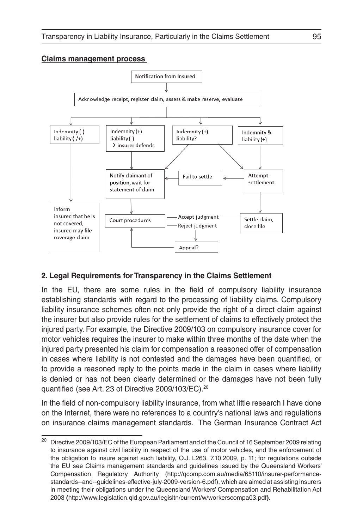#### **Claims management process**



### **2. Legal Requirements for Transparency in the Claims Settlement**

In the EU, there are some rules in the field of compulsory liability insurance establishing standards with regard to the processing of liability claims. Compulsory liability insurance schemes often not only provide the right of a direct claim against the insurer but also provide rules for the settlement of claims to effectively protect the injured party. For example, the Directive 2009/103 on compulsory insurance cover for motor vehicles requires the insurer to make within three months of the date when the injured party presented his claim for compensation a reasoned offer of compensation in cases where liability is not contested and the damages have been quantified, or to provide a reasoned reply to the points made in the claim in cases where liability is denied or has not been clearly determined or the damages have not been fully quantified (see Art. 23 of Directive 2009/103/EC).20

In the field of non-compulsory liability insurance, from what little research I have done on the Internet, there were no references to a country's national laws and regulations on insurance claims management standards. The German Insurance Contract Act

<sup>&</sup>lt;sup>20</sup> Directive 2009/103/EC of the European Parliament and of the Council of 16 September 2009 relating to insurance against civil liability in respect of the use of motor vehicles, and the enforcement of the obligation to insure against such liability, O.J. L263, 7.10.2009, p. 11; for regulations outside the EU see Claims management standards and guidelines issued by the Queensland Workers' Compensation Regulatory Authority (http://qcomp.com.au/media/65110/insurer-performancestandards--and--guidelines-effective-july-2009-version-6.pdf), which are aimed at assisting insurers in meeting their obligations under the Queensland Workers' Compensation and Rehabilitation Act 2003 **(**http://www.legislation.qld.gov.au/legisltn/current/w/workerscompa03.pdf**).**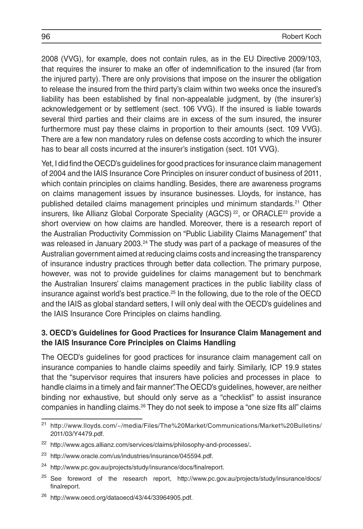2008 (VVG), for example, does not contain rules, as in the EU Directive 2009/103, that requires the insurer to make an offer of indemnification to the insured (far from the injured party). There are only provisions that impose on the insurer the obligation to release the insured from the third party's claim within two weeks once the insured's liability has been established by final non-appealable judgment, by (the insurer's) acknowledgement or by settlement (sect. 106 VVG). If the insured is liable towards several third parties and their claims are in excess of the sum insured, the insurer furthermore must pay these claims in proportion to their amounts (sect. 109 VVG). There are a few non mandatory rules on defense costs according to which the insurer has to bear all costs incurred at the insurer's instigation (sect. 101 VVG).

Yet, I did find the OECD's guidelines for good practices for insurance claim management of 2004 and the IAIS Insurance Core Principles on insurer conduct of business of 2011, which contain principles on claims handling. Besides, there are awareness programs on claims management issues by insurance businesses. Lloyds, for instance, has published detailed claims management principles und minimum standards.<sup>21</sup> Other insurers, like Allianz Global Corporate Speciality (AGCS)<sup>22</sup>, or ORACLE<sup>23</sup> provide a short overview on how claims are handled. Moreover, there is a research report of the Australian Productivity Commission on "Public Liability Claims Management" that was released in January 2003.<sup>24</sup> The study was part of a package of measures of the Australian government aimed at reducing claims costs and increasing the transparency of insurance industry practices through better data collection. The primary purpose, however, was not to provide guidelines for claims management but to benchmark the Australian Insurers' claims management practices in the public liability class of insurance against world's best practice. $25$  In the following, due to the role of the OECD and the IAIS as global standard setters, I will only deal with the OECD's guidelines and the IAIS Insurance Core Principles on claims handling.

#### **3. OECD's Guidelines for Good Practices for Insurance Claim Management and the IAIS Insurance Core Principles on Claims Handling**

The OECD's guidelines for good practices for insurance claim management call on insurance companies to handle claims speedily and fairly. Similarly, ICP 19.9 states that the "supervisor requires that insurers have policies and processes in place to handle claims in a timely and fair manner". The OECD's guidelines, however, are neither binding nor exhaustive, but should only serve as a "checklist" to assist insurance companies in handling claims.26 They do not seek to impose a "one size fits all" claims

<sup>21</sup> http://www.lloyds.com/~/media/Files/The%20Market/Communications/Market%20Bulletins/ 2011/03/Y4479.pdf.

<sup>22</sup> http://www.agcs.allianz.com/services/claims/philosophy-and-processes/**.**

<sup>23</sup> http://www.oracle.com/us/industries/insurance/045594.pdf.

<sup>24</sup> http://www.pc.gov.au/projects/study/insurance/docs/finalreport.

<sup>&</sup>lt;sup>25</sup> See foreword of the research report, http://www.pc.gov.au/projects/study/insurance/docs/ finalreport.

http://www.oecd.org/dataoecd/43/44/33964905.pdf.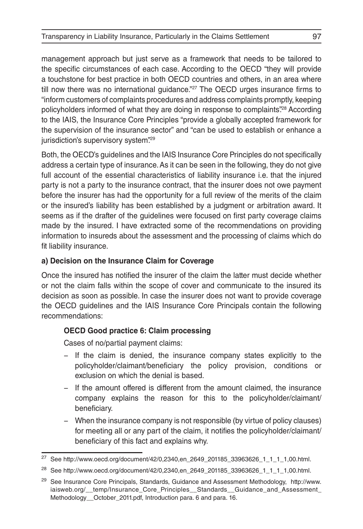management approach but just serve as a framework that needs to be tailored to the specific circumstances of each case. According to the OECD "they will provide a touchstone for best practice in both OECD countries and others, in an area where till now there was no international guidance."<sup>27</sup> The OECD urges insurance firms to "inform customers of complaints procedures and address complaints promptly, keeping policyholders informed of what they are doing in response to complaints.<sup>228</sup> According to the IAIS, the Insurance Core Principles "provide a globally accepted framework for the supervision of the insurance sector" and "can be used to establish or enhance a jurisdiction's supervisory system".<sup>29</sup>

Both, the OECD's guidelines and the IAIS Insurance Core Principles do not specifically address a certain type of insurance. As it can be seen in the following, they do not give full account of the essential characteristics of liability insurance i.e. that the injured party is not a party to the insurance contract, that the insurer does not owe payment before the insurer has had the opportunity for a full review of the merits of the claim or the insured's liability has been established by a judgment or arbitration award. It seems as if the drafter of the guidelines were focused on first party coverage claims made by the insured. I have extracted some of the recommendations on providing information to insureds about the assessment and the processing of claims which do fit liability insurance.

## **a) Decision on the Insurance Claim for Coverage**

Once the insured has notified the insurer of the claim the latter must decide whether or not the claim falls within the scope of cover and communicate to the insured its decision as soon as possible. In case the insurer does not want to provide coverage the OECD guidelines and the IAIS Insurance Core Principals contain the following recommendations:

## **OECD Good practice 6: Claim processing**

Cases of no/partial payment claims:

- − If the claim is denied, the insurance company states explicitly to the policyholder/claimant/beneficiary the policy provision, conditions or exclusion on which the denial is based.
- − If the amount offered is different from the amount claimed, the insurance company explains the reason for this to the policyholder/claimant/ beneficiary.
- − When the insurance company is not responsible (by virtue of policy clauses) for meeting all or any part of the claim, it notifies the policyholder/claimant/ beneficiary of this fact and explains why.

<sup>27</sup> See http://www.oecd.org/document/42/0,2340,en\_2649\_201185\_33963626\_1\_1\_1\_1,00.html.

<sup>&</sup>lt;sup>28</sup> See http://www.oecd.org/document/42/0,2340,en\_2649\_201185\_33963626\_1\_1\_1\_1,00.html.

<sup>&</sup>lt;sup>29</sup> See Insurance Core Principals, Standards, Guidance and Assessment Methodology, http://www. iaisweb.org/\_\_temp/Insurance\_Core\_Principles\_\_Standards\_\_Guidance\_and\_Assessment\_ Methodology\_\_October\_2011.pdf, Introduction para. 6 and para. 16.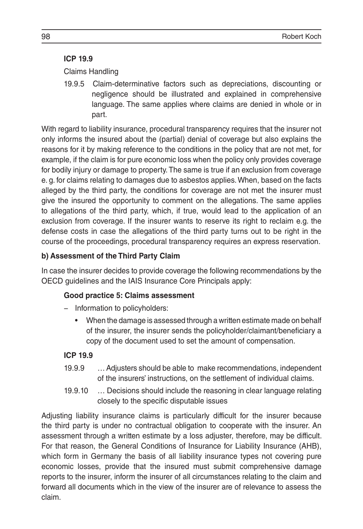## **ICP 19.9**

Claims Handling

19.9.5 Claim-determinative factors such as depreciations, discounting or negligence should be illustrated and explained in comprehensive language. The same applies where claims are denied in whole or in part.

With regard to liability insurance, procedural transparency requires that the insurer not only informs the insured about the (partial) denial of coverage but also explains the reasons for it by making reference to the conditions in the policy that are not met, for example, if the claim is for pure economic loss when the policy only provides coverage for bodily injury or damage to property. The same is true if an exclusion from coverage e. g. for claims relating to damages due to asbestos applies. When, based on the facts alleged by the third party, the conditions for coverage are not met the insurer must give the insured the opportunity to comment on the allegations. The same applies to allegations of the third party, which, if true, would lead to the application of an exclusion from coverage. If the insurer wants to reserve its right to reclaim e.g. the defense costs in case the allegations of the third party turns out to be right in the course of the proceedings, procedural transparency requires an express reservation.

## **b) Assessment of the Third Party Claim**

In case the insurer decides to provide coverage the following recommendations by the OECD guidelines and the IAIS Insurance Core Principals apply:

### **Good practice 5: Claims assessment**

- − Information to policyholders:
	- When the damage is assessed through a written estimate made on behalf of the insurer, the insurer sends the policyholder/claimant/beneficiary a copy of the document used to set the amount of compensation.

## **ICP 19.9**

- 19.9.9 … Adjusters should be able to make recommendations, independent of the insurers' instructions, on the settlement of individual claims.
- 19.9.10 … Decisions should include the reasoning in clear language relating closely to the specific disputable issues

Adjusting liability insurance claims is particularly difficult for the insurer because the third party is under no contractual obligation to cooperate with the insurer. An assessment through a written estimate by a loss adjuster, therefore, may be difficult. For that reason, the General Conditions of Insurance for Liability Insurance (AHB), which form in Germany the basis of all liability insurance types not covering pure economic losses, provide that the insured must submit comprehensive damage reports to the insurer, inform the insurer of all circumstances relating to the claim and forward all documents which in the view of the insurer are of relevance to assess the claim.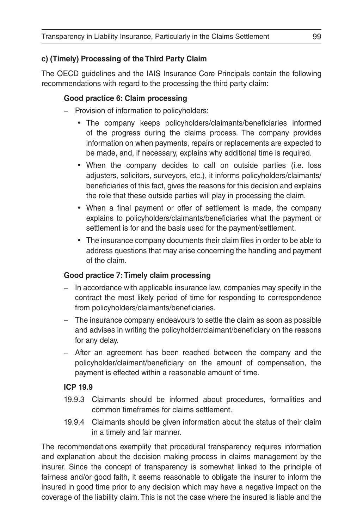## **c) (Timely) Processing of the Third Party Claim**

The OECD guidelines and the IAIS Insurance Core Principals contain the following recommendations with regard to the processing the third party claim:

## **Good practice 6: Claim processing**

- − Provision of information to policyholders:
	- The company keeps policyholders/claimants/beneficiaries informed of the progress during the claims process. The company provides information on when payments, repairs or replacements are expected to be made, and, if necessary, explains why additional time is required.
	- When the company decides to call on outside parties (i.e. loss adjusters, solicitors, surveyors, etc.), it informs policyholders/claimants/ beneficiaries of this fact, gives the reasons for this decision and explains the role that these outside parties will play in processing the claim.
	- When a final payment or offer of settlement is made, the company explains to policyholders/claimants/beneficiaries what the payment or settlement is for and the basis used for the payment/settlement.
	- The insurance company documents their claim files in order to be able to address questions that may arise concerning the handling and payment of the claim.

### **Good practice 7: Timely claim processing**

- − In accordance with applicable insurance law, companies may specify in the contract the most likely period of time for responding to correspondence from policyholders/claimants/beneficiaries.
- − The insurance company endeavours to settle the claim as soon as possible and advises in writing the policyholder/claimant/beneficiary on the reasons for any delay.
- − After an agreement has been reached between the company and the policyholder/claimant/beneficiary on the amount of compensation, the payment is effected within a reasonable amount of time.

### **ICP 19.9**

- 19.9.3 Claimants should be informed about procedures, formalities and common timeframes for claims settlement.
- 19.9.4 Claimants should be given information about the status of their claim in a timely and fair manner.

The recommendations exemplify that procedural transparency requires information and explanation about the decision making process in claims management by the insurer. Since the concept of transparency is somewhat linked to the principle of fairness and/or good faith, it seems reasonable to obligate the insurer to inform the insured in good time prior to any decision which may have a negative impact on the coverage of the liability claim. This is not the case where the insured is liable and the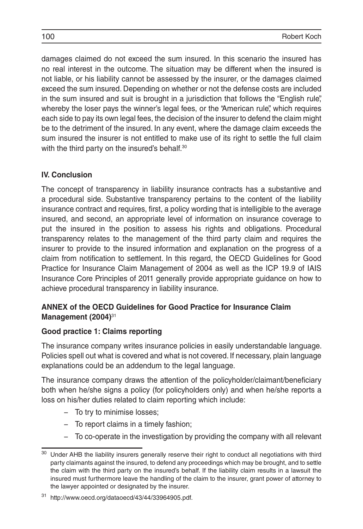damages claimed do not exceed the sum insured. In this scenario the insured has no real interest in the outcome. The situation may be different when the insured is not liable, or his liability cannot be assessed by the insurer, or the damages claimed exceed the sum insured. Depending on whether or not the defense costs are included in the sum insured and suit is brought in a jurisdiction that follows the "English rule", whereby the loser pays the winner's legal fees, or the "American rule", which requires each side to pay its own legal fees, the decision of the insurer to defend the claim might be to the detriment of the insured. In any event, where the damage claim exceeds the sum insured the insurer is not entitled to make use of its right to settle the full claim with the third party on the insured's behalf.<sup>30</sup>

### **IV. Conclusion**

The concept of transparency in liability insurance contracts has a substantive and a procedural side. Substantive transparency pertains to the content of the liability insurance contract and requires, first, a policy wording that is intelligible to the average insured, and second, an appropriate level of information on insurance coverage to put the insured in the position to assess his rights and obligations. Procedural transparency relates to the management of the third party claim and requires the insurer to provide to the insured information and explanation on the progress of a claim from notification to settlement. In this regard, the OECD Guidelines for Good Practice for Insurance Claim Management of 2004 as well as the ICP 19.9 of IAIS Insurance Core Principles of 2011 generally provide appropriate guidance on how to achieve procedural transparency in liability insurance.

#### **ANNEX of the OECD Guidelines for Good Practice for Insurance Claim Management (2004)**<sup>31</sup>

#### **Good practice 1: Claims reporting**

The insurance company writes insurance policies in easily understandable language. Policies spell out what is covered and what is not covered. If necessary, plain language explanations could be an addendum to the legal language.

The insurance company draws the attention of the policyholder/claimant/beneficiary both when he/she signs a policy (for policyholders only) and when he/she reports a loss on his/her duties related to claim reporting which include:

- − To try to minimise losses;
- − To report claims in a timely fashion;
- − To co-operate in the investigation by providing the company with all relevant

<sup>&</sup>lt;sup>30</sup> Under AHB the liability insurers generally reserve their right to conduct all negotiations with third party claimants against the insured, to defend any proceedings which may be brought, and to settle the claim with the third party on the insured's behalf. If the liability claim results in a lawsuit the insured must furthermore leave the handling of the claim to the insurer, grant power of attorney to the lawyer appointed or designated by the insurer.

<sup>31</sup> http://www.oecd.org/dataoecd/43/44/33964905.pdf.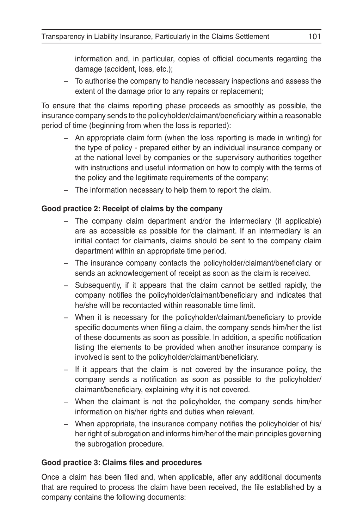information and, in particular, copies of official documents regarding the damage (accident, loss, etc.);

− To authorise the company to handle necessary inspections and assess the extent of the damage prior to any repairs or replacement;

To ensure that the claims reporting phase proceeds as smoothly as possible, the insurance company sends to the policyholder/claimant/beneficiary within a reasonable period of time (beginning from when the loss is reported):

- − An appropriate claim form (when the loss reporting is made in writing) for the type of policy - prepared either by an individual insurance company or at the national level by companies or the supervisory authorities together with instructions and useful information on how to comply with the terms of the policy and the legitimate requirements of the company;
- − The information necessary to help them to report the claim.

#### **Good practice 2: Receipt of claims by the company**

- − The company claim department and/or the intermediary (if applicable) are as accessible as possible for the claimant. If an intermediary is an initial contact for claimants, claims should be sent to the company claim department within an appropriate time period.
- − The insurance company contacts the policyholder/claimant/beneficiary or sends an acknowledgement of receipt as soon as the claim is received.
- − Subsequently, if it appears that the claim cannot be settled rapidly, the company notifies the policyholder/claimant/beneficiary and indicates that he/she will be recontacted within reasonable time limit.
- − When it is necessary for the policyholder/claimant/beneficiary to provide specific documents when filing a claim, the company sends him/her the list of these documents as soon as possible. In addition, a specific notification listing the elements to be provided when another insurance company is involved is sent to the policyholder/claimant/beneficiary.
- − If it appears that the claim is not covered by the insurance policy, the company sends a notification as soon as possible to the policyholder/ claimant/beneficiary, explaining why it is not covered.
- − When the claimant is not the policyholder, the company sends him/her information on his/her rights and duties when relevant.
- − When appropriate, the insurance company notifies the policyholder of his/ her right of subrogation and informs him/her of the main principles governing the subrogation procedure.

#### **Good practice 3: Claims files and procedures**

Once a claim has been filed and, when applicable, after any additional documents that are required to process the claim have been received, the file established by a company contains the following documents: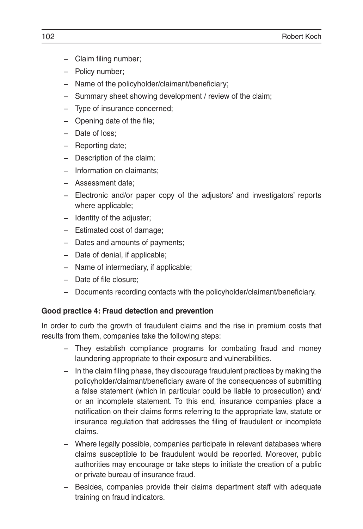- − Claim filing number;
- − Policy number;
- − Name of the policyholder/claimant/beneficiary;
- − Summary sheet showing development / review of the claim;
- − Type of insurance concerned;
- − Opening date of the file;
- − Date of loss;
- − Reporting date;
- − Description of the claim;
- − Information on claimants;
- − Assessment date;
- − Electronic and/or paper copy of the adjustors' and investigators' reports where applicable;
- − Identity of the adjuster;
- − Estimated cost of damage;
- − Dates and amounts of payments;
- − Date of denial, if applicable;
- − Name of intermediary, if applicable;
- − Date of file closure;
- − Documents recording contacts with the policyholder/claimant/beneficiary.

#### **Good practice 4: Fraud detection and prevention**

In order to curb the growth of fraudulent claims and the rise in premium costs that results from them, companies take the following steps:

- − They establish compliance programs for combating fraud and money laundering appropriate to their exposure and vulnerabilities.
- − In the claim filing phase, they discourage fraudulent practices by making the policyholder/claimant/beneficiary aware of the consequences of submitting a false statement (which in particular could be liable to prosecution) and/ or an incomplete statement. To this end, insurance companies place a notification on their claims forms referring to the appropriate law, statute or insurance regulation that addresses the filing of fraudulent or incomplete claims.
- − Where legally possible, companies participate in relevant databases where claims susceptible to be fraudulent would be reported. Moreover, public authorities may encourage or take steps to initiate the creation of a public or private bureau of insurance fraud.
- − Besides, companies provide their claims department staff with adequate training on fraud indicators.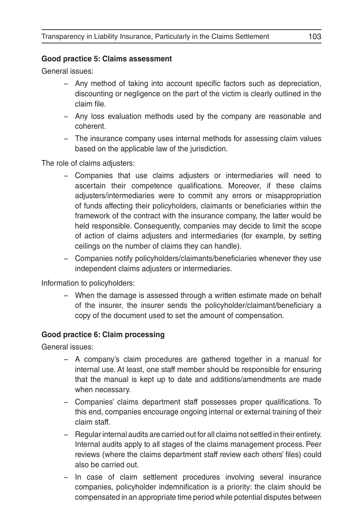#### **Good practice 5: Claims assessment**

General issues:

- − Any method of taking into account specific factors such as depreciation, discounting or negligence on the part of the victim is clearly outlined in the claim file.
- − Any loss evaluation methods used by the company are reasonable and coherent.
- − The insurance company uses internal methods for assessing claim values based on the applicable law of the jurisdiction.

The role of claims adjusters:

- − Companies that use claims adjusters or intermediaries will need to ascertain their competence qualifications. Moreover, if these claims adjusters/intermediaries were to commit any errors or misappropriation of funds affecting their policyholders, claimants or beneficiaries within the framework of the contract with the insurance company, the latter would be held responsible. Consequently, companies may decide to limit the scope of action of claims adjusters and intermediaries (for example, by setting ceilings on the number of claims they can handle).
- − Companies notify policyholders/claimants/beneficiaries whenever they use independent claims adjusters or intermediaries.

Information to policyholders:

– When the damage is assessed through a written estimate made on behalf of the insurer, the insurer sends the policyholder/claimant/beneficiary a copy of the document used to set the amount of compensation.

#### **Good practice 6: Claim processing**

General issues:

- A company's claim procedures are gathered together in a manual for internal use. At least, one staff member should be responsible for ensuring that the manual is kept up to date and additions/amendments are made when necessary.
- − Companies' claims department staff possesses proper qualifications. To this end, companies encourage ongoing internal or external training of their claim staff.
- − Regular internal audits are carried out for all claims not settled in their entirety. Internal audits apply to all stages of the claims management process. Peer reviews (where the claims department staff review each others' files) could also be carried out.
- − In case of claim settlement procedures involving several insurance companies, policyholder indemnification is a priority: the claim should be compensated in an appropriate time period while potential disputes between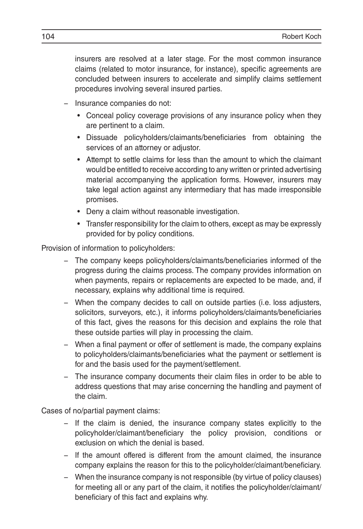insurers are resolved at a later stage. For the most common insurance claims (related to motor insurance, for instance), specific agreements are concluded between insurers to accelerate and simplify claims settlement procedures involving several insured parties.

- − Insurance companies do not:
	- Conceal policy coverage provisions of any insurance policy when they are pertinent to a claim.
	- Dissuade policyholders/claimants/beneficiaries from obtaining the services of an attorney or adjustor.
	- Attempt to settle claims for less than the amount to which the claimant would be entitled to receive according to any written or printed advertising material accompanying the application forms. However, insurers may take legal action against any intermediary that has made irresponsible promises.
	- Deny a claim without reasonable investigation.
	- Transfer responsibility for the claim to others, except as may be expressly provided for by policy conditions.

Provision of information to policyholders:

- − The company keeps policyholders/claimants/beneficiaries informed of the progress during the claims process. The company provides information on when payments, repairs or replacements are expected to be made, and, if necessary, explains why additional time is required.
- − When the company decides to call on outside parties (i.e. loss adjusters, solicitors, surveyors, etc.), it informs policyholders/claimants/beneficiaries of this fact, gives the reasons for this decision and explains the role that these outside parties will play in processing the claim.
- − When a final payment or offer of settlement is made, the company explains to policyholders/claimants/beneficiaries what the payment or settlement is for and the basis used for the payment/settlement.
- − The insurance company documents their claim files in order to be able to address questions that may arise concerning the handling and payment of the claim.

Cases of no/partial payment claims:

- − If the claim is denied, the insurance company states explicitly to the policyholder/claimant/beneficiary the policy provision, conditions or exclusion on which the denial is based.
- − If the amount offered is different from the amount claimed, the insurance company explains the reason for this to the policyholder/claimant/beneficiary.
- − When the insurance company is not responsible (by virtue of policy clauses) for meeting all or any part of the claim, it notifies the policyholder/claimant/ beneficiary of this fact and explains why.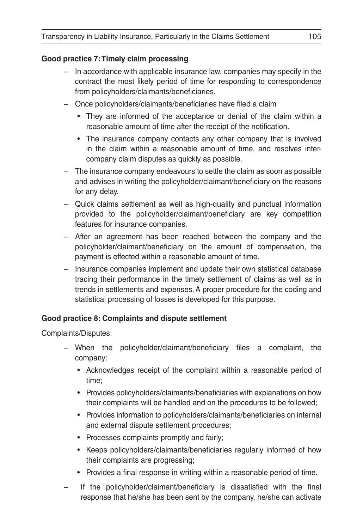#### **Good practice 7: Timely claim processing**

- − In accordance with applicable insurance law, companies may specify in the contract the most likely period of time for responding to correspondence from policyholders/claimants/beneficiaries.
- − Once policyholders/claimants/beneficiaries have filed a claim
	- They are informed of the acceptance or denial of the claim within a reasonable amount of time after the receipt of the notification.
	- The insurance company contacts any other company that is involved in the claim within a reasonable amount of time, and resolves intercompany claim disputes as quickly as possible.
- − The insurance company endeavours to settle the claim as soon as possible and advises in writing the policyholder/claimant/beneficiary on the reasons for any delay.
- − Quick claims settlement as well as high-quality and punctual information provided to the policyholder/claimant/beneficiary are key competition features for insurance companies.
- − After an agreement has been reached between the company and the policyholder/claimant/beneficiary on the amount of compensation, the payment is effected within a reasonable amount of time.
- − Insurance companies implement and update their own statistical database tracing their performance in the timely settlement of claims as well as in trends in settlements and expenses. A proper procedure for the coding and statistical processing of losses is developed for this purpose.

### **Good practice 8: Complaints and dispute settlement**

Complaints/Disputes:

- − When the policyholder/claimant/beneficiary files a complaint, the company:
	- Acknowledges receipt of the complaint within a reasonable period of time;
	- Provides policyholders/claimants/beneficiaries with explanations on how their complaints will be handled and on the procedures to be followed;
	- Provides information to policyholders/claimants/beneficiaries on internal and external dispute settlement procedures;
	- Processes complaints promptly and fairly;
	- Keeps policyholders/claimants/beneficiaries regularly informed of how their complaints are progressing;
	- Provides a final response in writing within a reasonable period of time.
- If the policyholder/claimant/beneficiary is dissatisfied with the final response that he/she has been sent by the company, he/she can activate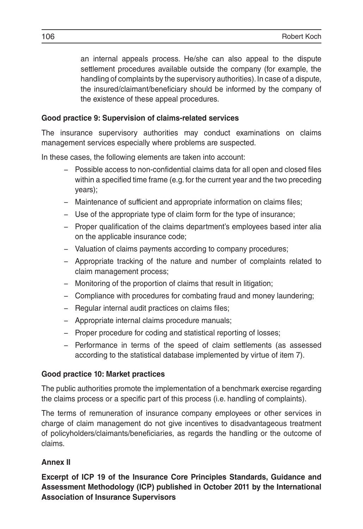an internal appeals process. He/she can also appeal to the dispute settlement procedures available outside the company (for example, the handling of complaints by the supervisory authorities). In case of a dispute, the insured/claimant/beneficiary should be informed by the company of the existence of these appeal procedures.

#### **Good practice 9: Supervision of claims-related services**

The insurance supervisory authorities may conduct examinations on claims management services especially where problems are suspected.

In these cases, the following elements are taken into account:

- − Possible access to non-confidential claims data for all open and closed files within a specified time frame (e.g. for the current year and the two preceding years);
- − Maintenance of sufficient and appropriate information on claims files;
- − Use of the appropriate type of claim form for the type of insurance;
- − Proper qualification of the claims department's employees based inter alia on the applicable insurance code;
- − Valuation of claims payments according to company procedures;
- − Appropriate tracking of the nature and number of complaints related to claim management process;
- − Monitoring of the proportion of claims that result in litigation;
- − Compliance with procedures for combating fraud and money laundering;
- − Regular internal audit practices on claims files;
- − Appropriate internal claims procedure manuals;
- − Proper procedure for coding and statistical reporting of losses;
- − Performance in terms of the speed of claim settlements (as assessed according to the statistical database implemented by virtue of item 7).

### **Good practice 10: Market practices**

The public authorities promote the implementation of a benchmark exercise regarding the claims process or a specific part of this process (i.e. handling of complaints).

The terms of remuneration of insurance company employees or other services in charge of claim management do not give incentives to disadvantageous treatment of policyholders/claimants/beneficiaries, as regards the handling or the outcome of claims.

## **Annex II**

**Excerpt of ICP 19 of the Insurance Core Principles Standards, Guidance and Assessment Methodology (ICP) published in October 2011 by the International Association of Insurance Supervisors**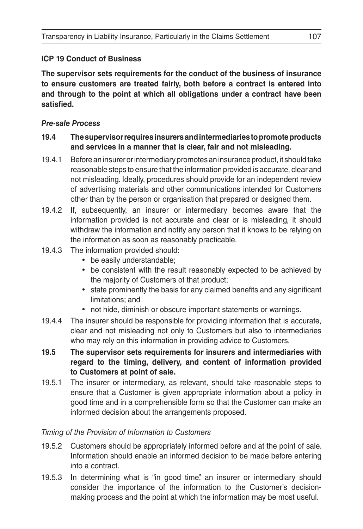### **ICP 19 Conduct of Business**

**The supervisor sets requirements for the conduct of the business of insurance to ensure customers are treated fairly, both before a contract is entered into and through to the point at which all obligations under a contract have been satisfied.**

#### *Pre-sale Process*

#### **19.4 The supervisor requires insurers and intermediaries to promote products and services in a manner that is clear, fair and not misleading.**

- 19.4.1 Before an insurer or intermediary promotes an insurance product, it should take reasonable steps to ensure that the information provided is accurate, clear and not misleading. Ideally, procedures should provide for an independent review of advertising materials and other communications intended for Customers other than by the person or organisation that prepared or designed them.
- 19.4.2 If, subsequently, an insurer or intermediary becomes aware that the information provided is not accurate and clear or is misleading, it should withdraw the information and notify any person that it knows to be relying on the information as soon as reasonably practicable.
- 19.4.3 The information provided should:
	- be easily understandable;
	- be consistent with the result reasonably expected to be achieved by the majority of Customers of that product;
	- state prominently the basis for any claimed benefits and any significant limitations; and
	- not hide, diminish or obscure important statements or warnings.
- 19.4.4 The insurer should be responsible for providing information that is accurate, clear and not misleading not only to Customers but also to intermediaries who may rely on this information in providing advice to Customers.
- **19.5 The supervisor sets requirements for insurers and intermediaries with regard to the timing, delivery, and content of information provided to Customers at point of sale.**
- 19.5.1 The insurer or intermediary, as relevant, should take reasonable steps to ensure that a Customer is given appropriate information about a policy in good time and in a comprehensible form so that the Customer can make an informed decision about the arrangements proposed.

#### *Timing of the Provision of Information to Customers*

- 19.5.2 Customers should be appropriately informed before and at the point of sale. Information should enable an informed decision to be made before entering into a contract.
- 19.5.3 In determining what is "in good time", an insurer or intermediary should consider the importance of the information to the Customer's decisionmaking process and the point at which the information may be most useful.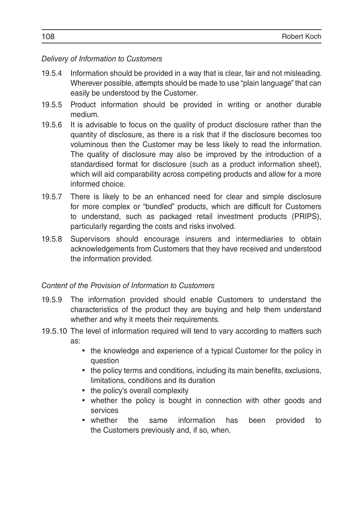#### *Delivery of Information to Customers*

- 19.5.4 Information should be provided in a way that is clear, fair and not misleading. Wherever possible, attempts should be made to use "plain language" that can easily be understood by the Customer.
- 19.5.5 Product information should be provided in writing or another durable medium.
- 19.5.6 It is advisable to focus on the quality of product disclosure rather than the quantity of disclosure, as there is a risk that if the disclosure becomes too voluminous then the Customer may be less likely to read the information. The quality of disclosure may also be improved by the introduction of a standardised format for disclosure (such as a product information sheet), which will aid comparability across competing products and allow for a more informed choice.
- 19.5.7 There is likely to be an enhanced need for clear and simple disclosure for more complex or "bundled" products, which are difficult for Customers to understand, such as packaged retail investment products (PRIPS), particularly regarding the costs and risks involved.
- 19.5.8 Supervisors should encourage insurers and intermediaries to obtain acknowledgements from Customers that they have received and understood the information provided.

#### *Content of the Provision of Information to Customers*

- 19.5.9 The information provided should enable Customers to understand the characteristics of the product they are buying and help them understand whether and why it meets their requirements.
- 19.5.10 The level of information required will tend to vary according to matters such as:
	- the knowledge and experience of a typical Customer for the policy in question
	- the policy terms and conditions, including its main benefits, exclusions, limitations, conditions and its duration
	- the policy's overall complexity
	- whether the policy is bought in connection with other goods and services
	- whether the same information has been provided to the Customers previously and, if so, when.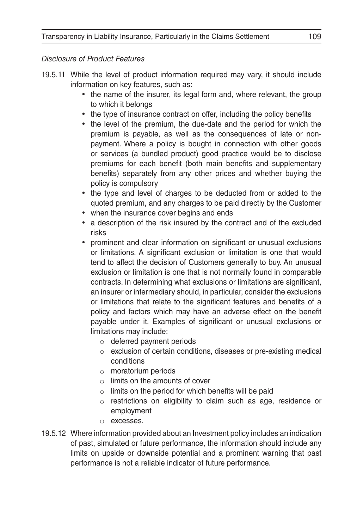#### *Disclosure of Product Features*

- 19.5.11 While the level of product information required may vary, it should include information on key features, such as:
	- the name of the insurer, its legal form and, where relevant, the group to which it belongs
	- the type of insurance contract on offer, including the policy benefits
	- the level of the premium, the due-date and the period for which the premium is payable, as well as the consequences of late or nonpayment. Where a policy is bought in connection with other goods or services (a bundled product) good practice would be to disclose premiums for each benefit (both main benefits and supplementary benefits) separately from any other prices and whether buying the policy is compulsory
	- the type and level of charges to be deducted from or added to the quoted premium, and any charges to be paid directly by the Customer
	- when the insurance cover begins and ends
	- a description of the risk insured by the contract and of the excluded risks
	- prominent and clear information on significant or unusual exclusions or limitations. A significant exclusion or limitation is one that would tend to affect the decision of Customers generally to buy. An unusual exclusion or limitation is one that is not normally found in comparable contracts. In determining what exclusions or limitations are significant, an insurer or intermediary should, in particular, consider the exclusions or limitations that relate to the significant features and benefits of a policy and factors which may have an adverse effect on the benefit payable under it. Examples of significant or unusual exclusions or limitations may include:
		- o deferred payment periods
		- o exclusion of certain conditions, diseases or pre-existing medical conditions
		- o moratorium periods
		- $\circ$  limits on the amounts of cover
		- $\circ$  limits on the period for which benefits will be paid
		- o restrictions on eligibility to claim such as age, residence or employment
		- o excesses.
- 19.5.12 Where information provided about an Investment policy includes an indication of past, simulated or future performance, the information should include any limits on upside or downside potential and a prominent warning that past performance is not a reliable indicator of future performance.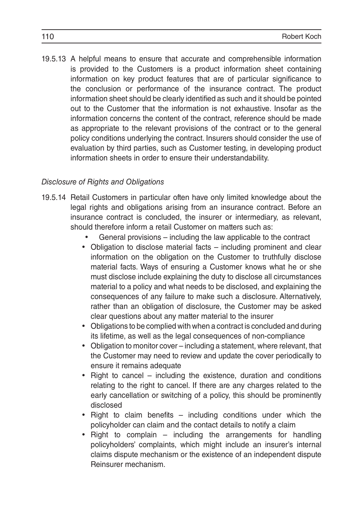19.5.13 A helpful means to ensure that accurate and comprehensible information is provided to the Customers is a product information sheet containing information on key product features that are of particular significance to the conclusion or performance of the insurance contract. The product information sheet should be clearly identified as such and it should be pointed out to the Customer that the information is not exhaustive. Insofar as the information concerns the content of the contract, reference should be made as appropriate to the relevant provisions of the contract or to the general policy conditions underlying the contract. Insurers should consider the use of evaluation by third parties, such as Customer testing, in developing product information sheets in order to ensure their understandability.

#### *Disclosure of Rights and Obligations*

- 19.5.14 Retail Customers in particular often have only limited knowledge about the legal rights and obligations arising from an insurance contract. Before an insurance contract is concluded, the insurer or intermediary, as relevant, should therefore inform a retail Customer on matters such as:
	- General provisions including the law applicable to the contract
	- Obligation to disclose material facts including prominent and clear information on the obligation on the Customer to truthfully disclose material facts. Ways of ensuring a Customer knows what he or she must disclose include explaining the duty to disclose all circumstances material to a policy and what needs to be disclosed, and explaining the consequences of any failure to make such a disclosure. Alternatively, rather than an obligation of disclosure, the Customer may be asked clear questions about any matter material to the insurer
	- Obligations to be complied with when a contract is concluded and during its lifetime, as well as the legal consequences of non-compliance
	- Obligation to monitor cover including a statement, where relevant, that the Customer may need to review and update the cover periodically to ensure it remains adequate
	- Right to cancel including the existence, duration and conditions relating to the right to cancel. If there are any charges related to the early cancellation or switching of a policy, this should be prominently disclosed
	- Right to claim benefits including conditions under which the policyholder can claim and the contact details to notify a claim
	- Right to complain  $-$  including the arrangements for handling policyholders' complaints, which might include an insurer's internal claims dispute mechanism or the existence of an independent dispute Reinsurer mechanism.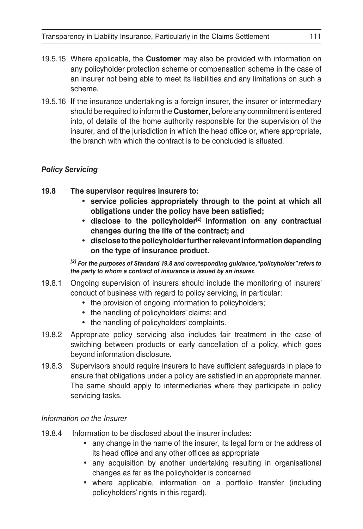- 19.5.15 Where applicable, the **Customer** may also be provided with information on any policyholder protection scheme or compensation scheme in the case of an insurer not being able to meet its liabilities and any limitations on such a scheme.
- 19.5.16 If the insurance undertaking is a foreign insurer, the insurer or intermediary should be required to inform the **Customer**, before any commitment is entered into, of details of the home authority responsible for the supervision of the insurer, and of the jurisdiction in which the head office or, where appropriate, the branch with which the contract is to be concluded is situated.

# *Policy Servicing*

- **19.8 The supervisor requires insurers to:**
	- • **service policies appropriately through to the point at which all obligations under the policy have been satisfied;**
	- • **disclose to the policyholder[2] information on any contractual changes during the life of the contract; and**
	- • **disclose to the policyholder further relevant information depending on the type of insurance product.**

*[2] For the purposes of Standard 19.8 and corresponding guidance, "policyholder" refers to the party to whom a contract of insurance is issued by an insurer.*

- 19.8.1 Ongoing supervision of insurers should include the monitoring of insurers' conduct of business with regard to policy servicing, in particular:
	- the provision of ongoing information to policyholders;
	- the handling of policyholders' claims; and
	- the handling of policyholders' complaints.
- 19.8.2 Appropriate policy servicing also includes fair treatment in the case of switching between products or early cancellation of a policy, which goes beyond information disclosure.
- 19.8.3 Supervisors should require insurers to have sufficient safeguards in place to ensure that obligations under a policy are satisfied in an appropriate manner. The same should apply to intermediaries where they participate in policy servicing tasks.

# *Information on the Insurer*

- 19.8.4 Information to be disclosed about the insurer includes:
	- any change in the name of the insurer, its legal form or the address of its head office and any other offices as appropriate
	- any acquisition by another undertaking resulting in organisational changes as far as the policyholder is concerned
	- where applicable, information on a portfolio transfer (including policyholders' rights in this regard).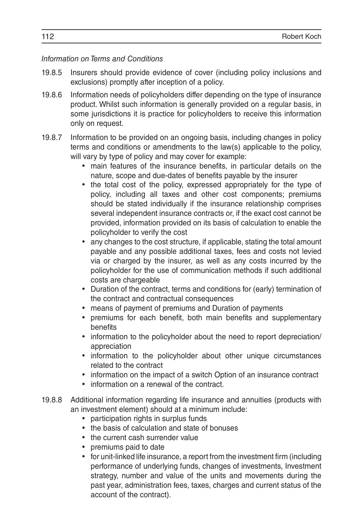#### *Information on Terms and Conditions*

- 19.8.5 Insurers should provide evidence of cover (including policy inclusions and exclusions) promptly after inception of a policy.
- 19.8.6 Information needs of policyholders differ depending on the type of insurance product. Whilst such information is generally provided on a regular basis, in some jurisdictions it is practice for policyholders to receive this information only on request.
- 19.8.7 Information to be provided on an ongoing basis, including changes in policy terms and conditions or amendments to the law(s) applicable to the policy, will vary by type of policy and may cover for example:
	- main features of the insurance benefits, in particular details on the nature, scope and due-dates of benefits payable by the insurer
	- the total cost of the policy, expressed appropriately for the type of policy, including all taxes and other cost components; premiums should be stated individually if the insurance relationship comprises several independent insurance contracts or, if the exact cost cannot be provided, information provided on its basis of calculation to enable the policyholder to verify the cost
	- any changes to the cost structure, if applicable, stating the total amount payable and any possible additional taxes, fees and costs not levied via or charged by the insurer, as well as any costs incurred by the policyholder for the use of communication methods if such additional costs are chargeable
	- • Duration of the contract, terms and conditions for (early) termination of the contract and contractual consequences
	- means of payment of premiums and Duration of payments
	- premiums for each benefit, both main benefits and supplementary benefits
	- information to the policyholder about the need to report depreciation/ appreciation
	- information to the policyholder about other unique circumstances related to the contract
	- information on the impact of a switch Option of an insurance contract
	- information on a renewal of the contract.
- 19.8.8 Additional information regarding life insurance and annuities (products with an investment element) should at a minimum include:
	- participation rights in surplus funds
	- the basis of calculation and state of bonuses
	- the current cash surrender value
	- premiums paid to date
	- for unit-linked life insurance, a report from the investment firm (including performance of underlying funds, changes of investments, Investment strategy, number and value of the units and movements during the past year, administration fees, taxes, charges and current status of the account of the contract).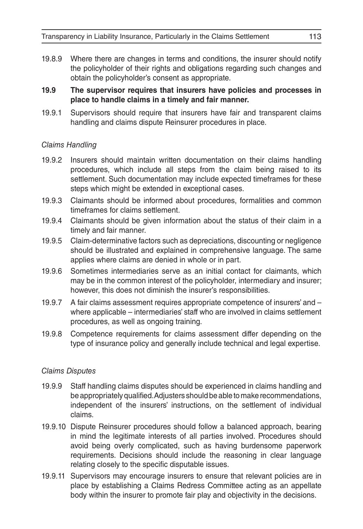19.8.9 Where there are changes in terms and conditions, the insurer should notify the policyholder of their rights and obligations regarding such changes and obtain the policyholder's consent as appropriate.

#### **19.9 The supervisor requires that insurers have policies and processes in place to handle claims in a timely and fair manner.**

19.9.1 Supervisors should require that insurers have fair and transparent claims handling and claims dispute Reinsurer procedures in place.

#### *Claims Handling*

- 19.9.2 Insurers should maintain written documentation on their claims handling procedures, which include all steps from the claim being raised to its settlement. Such documentation may include expected timeframes for these steps which might be extended in exceptional cases.
- 19.9.3 Claimants should be informed about procedures, formalities and common timeframes for claims settlement.
- 19.9.4 Claimants should be given information about the status of their claim in a timely and fair manner.
- 19.9.5 Claim-determinative factors such as depreciations, discounting or negligence should be illustrated and explained in comprehensive language. The same applies where claims are denied in whole or in part.
- 19.9.6 Sometimes intermediaries serve as an initial contact for claimants, which may be in the common interest of the policyholder, intermediary and insurer; however, this does not diminish the insurer's responsibilities.
- 19.9.7 A fair claims assessment requires appropriate competence of insurers' and where applicable – intermediaries' staff who are involved in claims settlement procedures, as well as ongoing training.
- 19.9.8 Competence requirements for claims assessment differ depending on the type of insurance policy and generally include technical and legal expertise.

#### *Claims Disputes*

- 19.9.9 Staff handling claims disputes should be experienced in claims handling and be appropriately qualified. Adjusters should be able to make recommendations, independent of the insurers' instructions, on the settlement of individual claims.
- 19.9.10 Dispute Reinsurer procedures should follow a balanced approach, bearing in mind the legitimate interests of all parties involved. Procedures should avoid being overly complicated, such as having burdensome paperwork requirements. Decisions should include the reasoning in clear language relating closely to the specific disputable issues.
- 19.9.11 Supervisors may encourage insurers to ensure that relevant policies are in place by establishing a Claims Redress Committee acting as an appellate body within the insurer to promote fair play and objectivity in the decisions.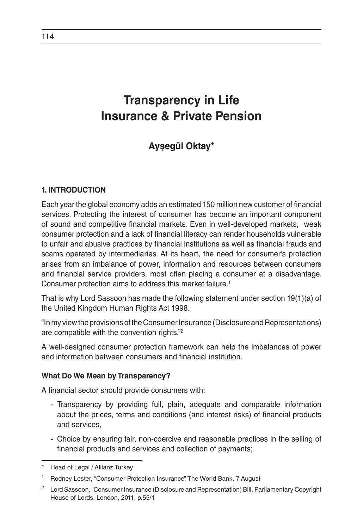# **Transparency in Life Insurance & Private Pension**

# **Ayşegül Oktay\***

# **1. INTRODUCTION**

Each year the global economy adds an estimated 150 million new customer of financial services. Protecting the interest of consumer has become an important component of sound and competitive financial markets. Even in well-developed markets, weak consumer protection and a lack of financial literacy can render households vulnerable to unfair and abusive practices by financial institutions as well as financial frauds and scams operated by intermediaries. At its heart, the need for consumer's protection arises from an imbalance of power, information and resources between consumers and financial service providers, most often placing a consumer at a disadvantage. Consumer protection aims to address this market failure.<sup>1</sup>

That is why Lord Sassoon has made the following statement under section 19(1)(a) of the United Kingdom Human Rights Act 1998.

"In my view the provisions of the Consumer Insurance (Disclosure and Representations) are compatible with the convention rights."2

A well-designed consumer protection framework can help the imbalances of power and information between consumers and financial institution.

#### **What Do We Mean by Transparency?**

A financial sector should provide consumers with:

- Transparency by providing full, plain, adequate and comparable information about the prices, terms and conditions (and interest risks) of financial products and services,
- Choice by ensuring fair, non-coercive and reasonable practices in the selling of financial products and services and collection of payments;

Head of Legal / Allianz Turkey

<sup>1</sup> Rodney Lester, "Consumer Protection Insurance", The World Bank, 7 August

<sup>&</sup>lt;sup>2</sup> Lord Sassoon, "Consumer Insurance (Disclosure and Representation) Bill, Parliamentary Copyright House of Lords, London, 2011, p.55/1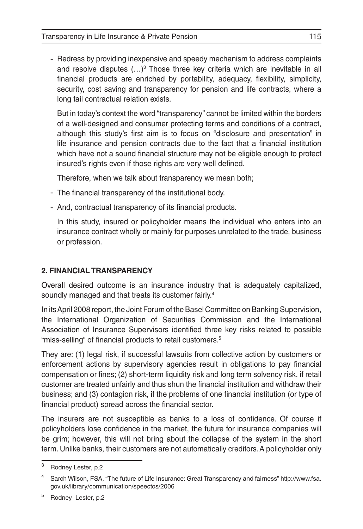- Redress by providing inexpensive and speedy mechanism to address complaints and resolve disputes (...)<sup>3</sup> Those three key criteria which are inevitable in all financial products are enriched by portability, adequacy, flexibility, simplicity, security, cost saving and transparency for pension and life contracts, where a long tail contractual relation exists.

But in today's context the word "transparency" cannot be limited within the borders of a well-designed and consumer protecting terms and conditions of a contract, although this study's first aim is to focus on "disclosure and presentation" in life insurance and pension contracts due to the fact that a financial institution which have not a sound financial structure may not be eligible enough to protect insured's rights even if those rights are very well defined.

Therefore, when we talk about transparency we mean both;

- The financial transparency of the institutional body.
- And, contractual transparency of its financial products.

In this study, insured or policyholder means the individual who enters into an insurance contract wholly or mainly for purposes unrelated to the trade, business or profession.

# **2. FINANCIAL TRANSPARENCY**

Overall desired outcome is an insurance industry that is adequately capitalized, soundly managed and that treats its customer fairly.<sup>4</sup>

In its April 2008 report, the Joint Forum of the Basel Committee on Banking Supervision, the International Organization of Securities Commission and the International Association of Insurance Supervisors identified three key risks related to possible "miss-selling" of financial products to retail customers.<sup>5</sup>

They are: (1) legal risk, if successful lawsuits from collective action by customers or enforcement actions by supervisory agencies result in obligations to pay financial compensation or fines; (2) short-term liquidity risk and long term solvency risk, if retail customer are treated unfairly and thus shun the financial institution and withdraw their business; and (3) contagion risk, if the problems of one financial institution (or type of financial product) spread across the financial sector.

The insurers are not susceptible as banks to a loss of confidence. Of course if policyholders lose confidence in the market, the future for insurance companies will be grim; however, this will not bring about the collapse of the system in the short term. Unlike banks, their customers are not automatically creditors. A policyholder only

<sup>3</sup> Rodney Lester, p.2

<sup>4</sup> Sarch Wilson, FSA, "The future of Life Insurance: Great Transparency and fairness" http://www.fsa. gov.uk/library/communication/speectos/2006

<sup>5</sup> Rodney Lester, p.2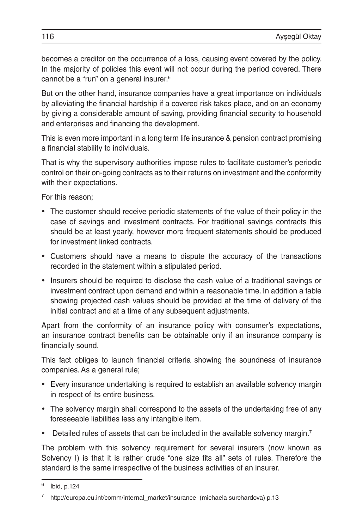becomes a creditor on the occurrence of a loss, causing event covered by the policy. In the majority of policies this event will not occur during the period covered. There cannot be a "run" on a general insurer.<sup>6</sup>

But on the other hand, insurance companies have a great importance on individuals by alleviating the financial hardship if a covered risk takes place, and on an economy by giving a considerable amount of saving, providing financial security to household and enterprises and financing the development.

This is even more important in a long term life insurance & pension contract promising a financial stability to individuals.

That is why the supervisory authorities impose rules to facilitate customer's periodic control on their on-going contracts as to their returns on investment and the conformity with their expectations.

For this reason;

- The customer should receive periodic statements of the value of their policy in the case of savings and investment contracts. For traditional savings contracts this should be at least yearly, however more frequent statements should be produced for investment linked contracts.
- • Customers should have a means to dispute the accuracy of the transactions recorded in the statement within a stipulated period.
- Insurers should be required to disclose the cash value of a traditional savings or investment contract upon demand and within a reasonable time. In addition a table showing projected cash values should be provided at the time of delivery of the initial contract and at a time of any subsequent adjustments.

Apart from the conformity of an insurance policy with consumer's expectations, an insurance contract benefits can be obtainable only if an insurance company is financially sound.

This fact obliges to launch financial criteria showing the soundness of insurance companies. As a general rule;

- Every insurance undertaking is required to establish an available solvency margin in respect of its entire business.
- The solvency margin shall correspond to the assets of the undertaking free of any foreseeable liabilities less any intangible item.
- Detailed rules of assets that can be included in the available solvency margin.<sup>7</sup>

The problem with this solvency requirement for several insurers (now known as Solvency I) is that it is rather crude "one size fits all" sets of rules. Therefore the standard is the same irrespective of the business activities of an insurer.

<sup>6</sup> İbid, p.124

<sup>7</sup> http://europa.eu.int/comm/internal\_market/insurance (michaela surchardova) p.13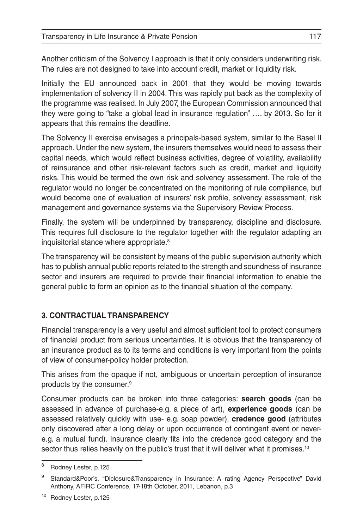Another criticism of the Solvency I approach is that it only considers underwriting risk. The rules are not designed to take into account credit, market or liquidity risk.

Initially the EU announced back in 2001 that they would be moving towards implementation of solvency II in 2004. This was rapidly put back as the complexity of the programme was realised. In July 2007, the European Commission announced that they were going to "take a global lead in insurance regulation" …. by 2013. So for it appears that this remains the deadline.

The Solvency II exercise envisages a principals-based system, similar to the Basel II approach. Under the new system, the insurers themselves would need to assess their capital needs, which would reflect business activities, degree of volatility, availability of reinsurance and other risk-relevant factors such as credit, market and liquidity risks. This would be termed the own risk and solvency assessment. The role of the regulator would no longer be concentrated on the monitoring of rule compliance, but would become one of evaluation of insurers' risk profile, solvency assessment, risk management and governance systems via the Supervisory Review Process.

Finally, the system will be underpinned by transparency, discipline and disclosure. This requires full disclosure to the regulator together with the regulator adapting an inquisitorial stance where appropriate.<sup>8</sup>

The transparency will be consistent by means of the public supervision authority which has to publish annual public reports related to the strength and soundness of insurance sector and insurers are required to provide their financial information to enable the general public to form an opinion as to the financial situation of the company.

# **3. CONTRACTUAL TRANSPARENCY**

Financial transparency is a very useful and almost sufficient tool to protect consumers of financial product from serious uncertainties. It is obvious that the transparency of an insurance product as to its terms and conditions is very important from the points of view of consumer-policy holder protection.

This arises from the opaque if not, ambiguous or uncertain perception of insurance products by the consumer.9

Consumer products can be broken into three categories: **search goods** (can be assessed in advance of purchase-e.g. a piece of art), **experience goods** (can be assessed relatively quickly with use- e.g. soap powder), **credence good** (attributes only discovered after a long delay or upon occurrence of contingent event or nevere.g. a mutual fund). Insurance clearly fits into the credence good category and the sector thus relies heavily on the public's trust that it will deliver what it promises.<sup>10</sup>

<sup>8</sup> Rodney Lester, p.125

<sup>9</sup> Standard&Poor's, "Diclosure&Transparency in Insurance: A rating Agency Perspective" David Anthony, AFIRC Conference, 17-18th October, 2011, Lebanon, p.3

<sup>10</sup> Rodney Lester, p.125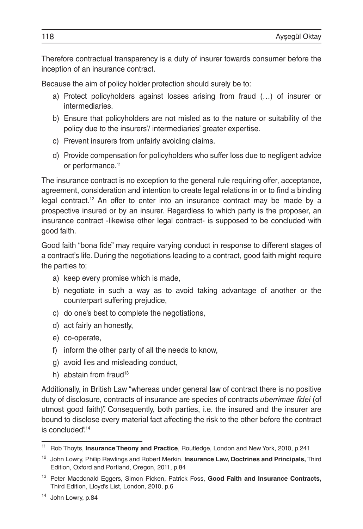Therefore contractual transparency is a duty of insurer towards consumer before the inception of an insurance contract.

Because the aim of policy holder protection should surely be to:

- a) Protect policyholders against losses arising from fraud (…) of insurer or intermediaries.
- b) Ensure that policyholders are not misled as to the nature or suitability of the policy due to the insurers'/ intermediaries' greater expertise.
- c) Prevent insurers from unfairly avoiding claims.
- d) Provide compensation for policyholders who suffer loss due to negligent advice or performance.<sup>11</sup>

The insurance contract is no exception to the general rule requiring offer, acceptance, agreement, consideration and intention to create legal relations in or to find a binding legal contract.<sup>12</sup> An offer to enter into an insurance contract may be made by a prospective insured or by an insurer. Regardless to which party is the proposer, an insurance contract -likewise other legal contract- is supposed to be concluded with good faith.

Good faith "bona fide" may require varying conduct in response to different stages of a contract's life. During the negotiations leading to a contract, good faith might require the parties to;

- a) keep every promise which is made,
- b) negotiate in such a way as to avoid taking advantage of another or the counterpart suffering prejudice,
- c) do one's best to complete the negotiations,
- d) act fairly an honestly,
- e) co-operate,
- f) inform the other party of all the needs to know,
- g) avoid lies and misleading conduct,
- h) abstain from fraud $13$

Additionally, in British Law "whereas under general law of contract there is no positive duty of disclosure, contracts of insurance are species of contracts *uberrimae fidei* (of utmost good faith)". Consequently, both parties, i.e. the insured and the insurer are bound to disclose every material fact affecting the risk to the other before the contract is concluded".<sup>14</sup>

<sup>11</sup> Rob Thoyts, **Insurance Theony and Practice**, Routledge, London and New York, 2010, p.241

<sup>12</sup> John Lowry, Philip Rawlings and Robert Merkin, **Insurance Law, Doctrines and Principals,** Third Edition, Oxford and Portland, Oregon, 2011, p.84

<sup>13</sup> Peter Macdonald Eggers, Simon Picken, Patrick Foss, **Good Faith and Insurance Contracts,** Third Edition, Lloyd's List, London, 2010, p.6

<sup>14</sup> John Lowry, p.84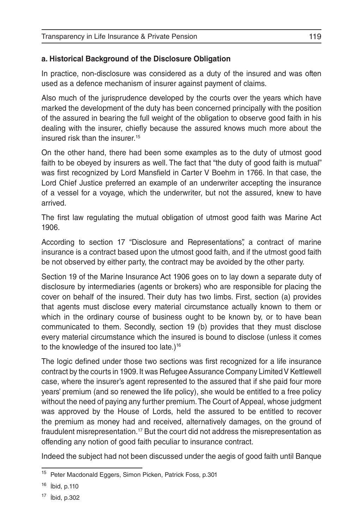# **a. Historical Background of the Disclosure Obligation**

In practice, non-disclosure was considered as a duty of the insured and was often used as a defence mechanism of insurer against payment of claims.

Also much of the jurisprudence developed by the courts over the years which have marked the development of the duty has been concerned principally with the position of the assured in bearing the full weight of the obligation to observe good faith in his dealing with the insurer, chiefly because the assured knows much more about the insured risk than the insurer.<sup>15</sup>

On the other hand, there had been some examples as to the duty of utmost good faith to be obeyed by insurers as well. The fact that "the duty of good faith is mutual" was first recognized by Lord Mansfield in Carter V Boehm in 1766. In that case, the Lord Chief Justice preferred an example of an underwriter accepting the insurance of a vessel for a voyage, which the underwriter, but not the assured, knew to have arrived.

The first law regulating the mutual obligation of utmost good faith was Marine Act 1906.

According to section 17 "Disclosure and Representations", a contract of marine insurance is a contract based upon the utmost good faith, and if the utmost good faith be not observed by either party, the contract may be avoided by the other party.

Section 19 of the Marine Insurance Act 1906 goes on to lay down a separate duty of disclosure by intermediaries (agents or brokers) who are responsible for placing the cover on behalf of the insured. Their duty has two limbs. First, section (a) provides that agents must disclose every material circumstance actually known to them or which in the ordinary course of business ought to be known by, or to have bean communicated to them. Secondly, section 19 (b) provides that they must disclose every material circumstance which the insured is bound to disclose (unless it comes to the knowledge of the insured too late.)<sup>16</sup>

The logic defined under those two sections was first recognized for a life insurance contract by the courts in 1909. It was Refugee Assurance Company Limited V Kettlewell case, where the insurer's agent represented to the assured that if she paid four more years' premium (and so renewed the life policy), she would be entitled to a free policy without the need of paying any further premium. The Court of Appeal, whose judgment was approved by the House of Lords, held the assured to be entitled to recover the premium as money had and received, alternatively damages, on the ground of fraudulent misrepresentation.17 But the court did not address the misrepresentation as offending any notion of good faith peculiar to insurance contract.

Indeed the subject had not been discussed under the aegis of good faith until Banque

<sup>&</sup>lt;sup>15</sup> Peter Macdonald Eggers, Simon Picken, Patrick Foss, p.301

<sup>16</sup> İbid, p.110

<sup>17</sup> İbid, p.302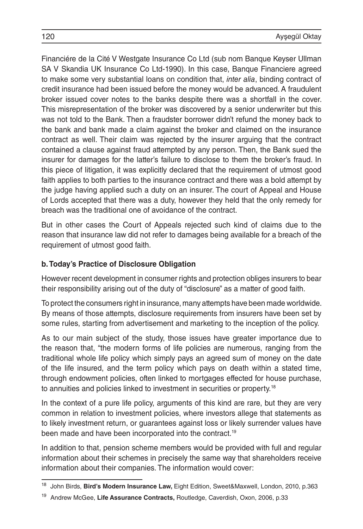Financiére de la Cité V Westgate Insurance Co Ltd (sub nom Banque Keyser Ullman SA V Skandia UK Insurance Co Ltd-1990). In this case, Banque Financiere agreed to make some very substantial loans on condition that, *inter alia*, binding contract of credit insurance had been issued before the money would be advanced. A fraudulent broker issued cover notes to the banks despite there was a shortfall in the cover. This misrepresentation of the broker was discovered by a senior underwriter but this was not told to the Bank. Then a fraudster borrower didn't refund the money back to the bank and bank made a claim against the broker and claimed on the insurance contract as well. Their claim was rejected by the insurer arguing that the contract contained a clause against fraud attempted by any person. Then, the Bank sued the insurer for damages for the latter's failure to disclose to them the broker's fraud. In this piece of litigation, it was explicitly declared that the requirement of utmost good faith applies to both parties to the insurance contract and there was a bold attempt by the judge having applied such a duty on an insurer. The court of Appeal and House of Lords accepted that there was a duty, however they held that the only remedy for breach was the traditional one of avoidance of the contract.

But in other cases the Court of Appeals rejected such kind of claims due to the reason that insurance law did not refer to damages being available for a breach of the requirement of utmost good faith.

### **b. Today's Practice of Disclosure Obligation**

However recent development in consumer rights and protection obliges insurers to bear their responsibility arising out of the duty of "disclosure" as a matter of good faith.

To protect the consumers right in insurance, many attempts have been made worldwide. By means of those attempts, disclosure requirements from insurers have been set by some rules, starting from advertisement and marketing to the inception of the policy.

As to our main subject of the study, those issues have greater importance due to the reason that, "the modern forms of life policies are numerous, ranging from the traditional whole life policy which simply pays an agreed sum of money on the date of the life insured, and the term policy which pays on death within a stated time, through endowment policies, often linked to mortgages effected for house purchase, to annuities and policies linked to investment in securities or property.18

In the context of a pure life policy, arguments of this kind are rare, but they are very common in relation to investment policies, where investors allege that statements as to likely investment return, or guarantees against loss or likely surrender values have been made and have been incorporated into the contract.<sup>19</sup>

In addition to that, pension scheme members would be provided with full and regular information about their schemes in precisely the same way that shareholders receive information about their companies. The information would cover:

<sup>18</sup> John Birds, **Bird's Modern Insurance Law,** Eight Edition, Sweet&Maxwell, London, 2010, p.363

<sup>19</sup> Andrew McGee, **Life Assurance Contracts,** Routledge, Caverdish, Oxon, 2006, p.33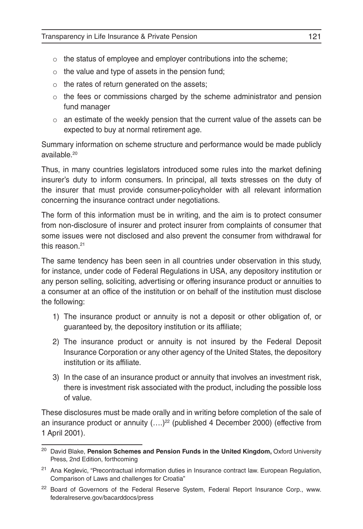- o the status of employee and employer contributions into the scheme;
- $\circ$  the value and type of assets in the pension fund;
- $\circ$  the rates of return generated on the assets;
- $\circ$  the fees or commissions charged by the scheme administrator and pension fund manager
- $\circ$  an estimate of the weekly pension that the current value of the assets can be expected to buy at normal retirement age.

Summary information on scheme structure and performance would be made publicly available.20

Thus, in many countries legislators introduced some rules into the market defining insurer's duty to inform consumers. In principal, all texts stresses on the duty of the insurer that must provide consumer-policyholder with all relevant information concerning the insurance contract under negotiations.

The form of this information must be in writing, and the aim is to protect consumer from non-disclosure of insurer and protect insurer from complaints of consumer that some issues were not disclosed and also prevent the consumer from withdrawal for this reason $21$ 

The same tendency has been seen in all countries under observation in this study, for instance, under code of Federal Regulations in USA, any depository institution or any person selling, soliciting, advertising or offering insurance product or annuities to a consumer at an office of the institution or on behalf of the institution must disclose the following:

- 1) The insurance product or annuity is not a deposit or other obligation of, or guaranteed by, the depository institution or its affiliate;
- 2) The insurance product or annuity is not insured by the Federal Deposit Insurance Corporation or any other agency of the United States, the depository institution or its affiliate.
- 3) In the case of an insurance product or annuity that involves an investment risk, there is investment risk associated with the product, including the possible loss of value.

These disclosures must be made orally and in writing before completion of the sale of an insurance product or annuity  $(...)^{22}$  (published 4 December 2000) (effective from 1 April 2001).

<sup>&</sup>lt;sup>20</sup> David Blake, Pension Schemes and Pension Funds in the United Kingdom, Oxford University Press, 2nd Edition, forthcoming

<sup>&</sup>lt;sup>21</sup> Ana Keglevic, "Precontractual information duties in Insurance contract law. European Regulation, Comparison of Laws and challenges for Croatia"

<sup>&</sup>lt;sup>22</sup> Board of Governors of the Federal Reserve System, Federal Report Insurance Corp., www. federalreserve.gov/bacarddocs/press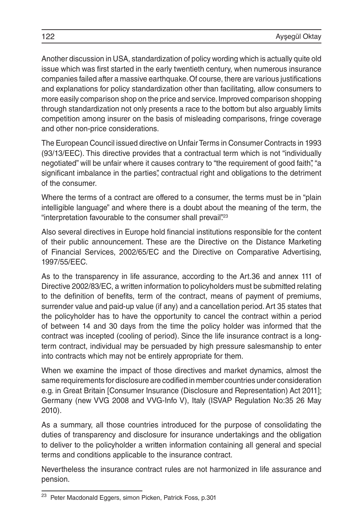Another discussion in USA, standardization of policy wording which is actually quite old issue which was first started in the early twentieth century, when numerous insurance companies failed after a massive earthquake. Of course, there are various justifications and explanations for policy standardization other than facilitating, allow consumers to more easily comparison shop on the price and service. Improved comparison shopping through standardization not only presents a race to the bottom but also arguably limits competition among insurer on the basis of misleading comparisons, fringe coverage and other non-price considerations.

The European Council issued directive on Unfair Terms in Consumer Contracts in 1993 (93/13/EEC). This directive provides that a contractual term which is not "individually negotiated" will be unfair where it causes contrary to "the requirement of good faith", "a significant imbalance in the parties", contractual right and obligations to the detriment of the consumer.

Where the terms of a contract are offered to a consumer, the terms must be in "plain intelligible language" and where there is a doubt about the meaning of the term, the "interpretation favourable to the consumer shall prevail".<sup>23</sup>

Also several directives in Europe hold financial institutions responsible for the content of their public announcement. These are the Directive on the Distance Marketing of Financial Services, 2002/65/EC and the Directive on Comparative Advertising, 1997/55/EEC.

As to the transparency in life assurance, according to the Art.36 and annex 111 of Directive 2002/83/EC, a written information to policyholders must be submitted relating to the definition of benefits, term of the contract, means of payment of premiums, surrender value and paid-up value (if any) and a cancellation period. Art 35 states that the policyholder has to have the opportunity to cancel the contract within a period of between 14 and 30 days from the time the policy holder was informed that the contract was incepted (cooling of period). Since the life insurance contract is a longterm contract, individual may be persuaded by high pressure salesmanship to enter into contracts which may not be entirely appropriate for them.

When we examine the impact of those directives and market dynamics, almost the same requirements for disclosure are codified in member countries under consideration e.g. in Great Britain [Consumer Insurance (Disclosure and Representation) Act 2011]; Germany (new VVG 2008 and VVG-Info V), Italy (ISVAP Regulation No:35 26 May 2010).

As a summary, all those countries introduced for the purpose of consolidating the duties of transparency and disclosure for insurance undertakings and the obligation to deliver to the policyholder a written information containing all general and special terms and conditions applicable to the insurance contract.

Nevertheless the insurance contract rules are not harmonized in life assurance and pension.

<sup>23</sup> Peter Macdonald Eggers, simon Picken, Patrick Foss, p.301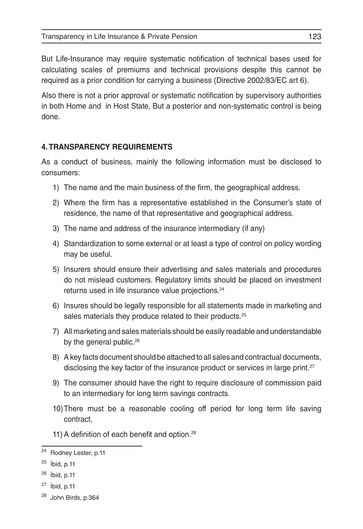Transparency in Life Insurance & Private Pension 123

But Life-Insurance may require systematic notification of technical bases used for calculating scales of premiums and technical provisions despite this cannot be required as a prior condition for carrying a business (Directive 2002/83/EC art 6).

Also there is not a prior approval or systematic notification by supervisory authorities in both Home and in Host State, But a posterior and non-systematic control is being done.

# **4. TRANSPARENCY REQUIREMENTS**

As a conduct of business, mainly the following information must be disclosed to consumers:

- 1) The name and the main business of the firm, the geographical address.
- 2) Where the firm has a representative established in the Consumer's state of residence, the name of that representative and geographical address.
- 3) The name and address of the insurance intermediary (if any)
- 4) Standardization to some external or at least a type of control on policy wording may be useful.
- 5) Insurers should ensure their advertising and sales materials and procedures do not mislead customers. Regulatory limits should be placed on investment returns used in life insurance value projections.<sup>24</sup>
- 6) Insures should be legally responsible for all statements made in marketing and sales materials they produce related to their products.<sup>25</sup>
- 7) All marketing and sales materials should be easily readable and understandable by the general public.<sup>26</sup>
- 8) A key facts document should be attached to all sales and contractual documents, disclosing the key factor of the insurance product or services in large print.<sup>27</sup>
- 9) The consumer should have the right to require disclosure of commission paid to an intermediary for long term savings contracts.
- 10)There must be a reasonable cooling off period for long term life saving contract,
- 11) A definition of each benefit and option.<sup>28</sup>

<sup>24</sup> Rodney Lester, p.11

 $25$  ibid, p.11

 $26$  ibid, p.11

 $27$  ibid, p.11

<sup>28</sup> John Birds, p.364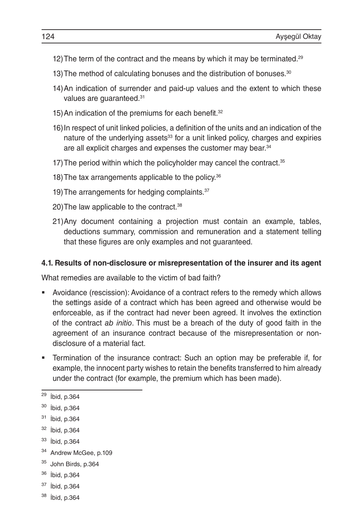- 12) The term of the contract and the means by which it may be terminated.<sup>29</sup>
- 13) The method of calculating bonuses and the distribution of bonuses.<sup>30</sup>
- 14)An indication of surrender and paid-up values and the extent to which these values are guaranteed.<sup>31</sup>
- 15) An indication of the premiums for each benefit.<sup>32</sup>
- 16)In respect of unit linked policies, a definition of the units and an indication of the nature of the underlying assets<sup>33</sup> for a unit linked policy, charges and expiries are all explicit charges and expenses the customer may bear.<sup>34</sup>
- 17) The period within which the policyholder may cancel the contract.<sup>35</sup>
- 18) The tax arrangements applicable to the policy.<sup>36</sup>
- 19) The arrangements for hedging complaints.<sup>37</sup>
- 20) The law applicable to the contract.<sup>38</sup>
- 21)Any document containing a projection must contain an example, tables, deductions summary, commission and remuneration and a statement telling that these figures are only examples and not guaranteed.

#### **4.1. Results of non-disclosure or misrepresentation of the insurer and its agent**

What remedies are available to the victim of bad faith?

- Avoidance (rescission): Avoidance of a contract refers to the remedy which allows the settings aside of a contract which has been agreed and otherwise would be enforceable, as if the contract had never been agreed. It involves the extinction of the contract *ab initio*. This must be a breach of the duty of good faith in the agreement of an insurance contract because of the misrepresentation or nondisclosure of a material fact.
- Termination of the insurance contract: Such an option may be preferable if, for example, the innocent party wishes to retain the benefits transferred to him already under the contract (for example, the premium which has been made).

- <sup>36</sup> İbid, p.364
- <sup>37</sup> İbid, p.364
- <sup>38</sup> İbid, p.364

<sup>29</sup> İbid, p.364

<sup>30</sup> İbid, p.364

<sup>31</sup> İbid, p.364

<sup>32</sup> İbid, p.364

<sup>33</sup> İbid, p.364

<sup>&</sup>lt;sup>34</sup> Andrew McGee, p.109

<sup>35</sup> John Birds, p.364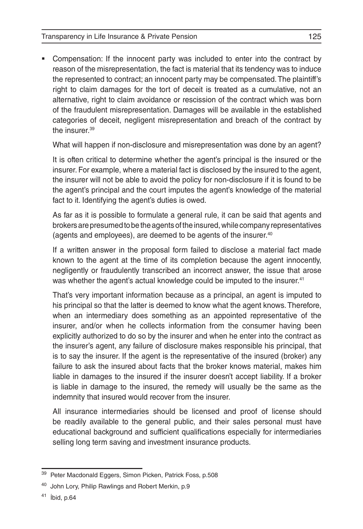Compensation: If the innocent party was included to enter into the contract by reason of the misrepresentation, the fact is material that its tendency was to induce the represented to contract; an innocent party may be compensated. The plaintiff's right to claim damages for the tort of deceit is treated as a cumulative, not an alternative, right to claim avoidance or rescission of the contract which was born of the fraudulent misrepresentation. Damages will be available in the established categories of deceit, negligent misrepresentation and breach of the contract by the insurer.39

What will happen if non-disclosure and misrepresentation was done by an agent?

It is often critical to determine whether the agent's principal is the insured or the insurer. For example, where a material fact is disclosed by the insured to the agent, the insurer will not be able to avoid the policy for non-disclosure if it is found to be the agent's principal and the court imputes the agent's knowledge of the material fact to it. Identifying the agent's duties is owed.

As far as it is possible to formulate a general rule, it can be said that agents and brokers are presumed to be the agents of the insured, while company representatives (agents and employees), are deemed to be agents of the insurer.40

If a written answer in the proposal form failed to disclose a material fact made known to the agent at the time of its completion because the agent innocently, negligently or fraudulently transcribed an incorrect answer, the issue that arose was whether the agent's actual knowledge could be imputed to the insurer.<sup>41</sup>

That's very important information because as a principal, an agent is imputed to his principal so that the latter is deemed to know what the agent knows. Therefore, when an intermediary does something as an appointed representative of the insurer, and/or when he collects information from the consumer having been explicitly authorized to do so by the insurer and when he enter into the contract as the insurer's agent, any failure of disclosure makes responsible his principal, that is to say the insurer. If the agent is the representative of the insured (broker) any failure to ask the insured about facts that the broker knows material, makes him liable in damages to the insured if the insurer doesn't accept liability. If a broker is liable in damage to the insured, the remedy will usually be the same as the indemnity that insured would recover from the insurer.

All insurance intermediaries should be licensed and proof of license should be readily available to the general public, and their sales personal must have educational background and sufficient qualifications especially for intermediaries selling long term saving and investment insurance products.

<sup>&</sup>lt;sup>39</sup> Peter Macdonald Eggers, Simon Picken, Patrick Foss, p.508

<sup>&</sup>lt;sup>40</sup> John Lory, Philip Rawlings and Robert Merkin, p.9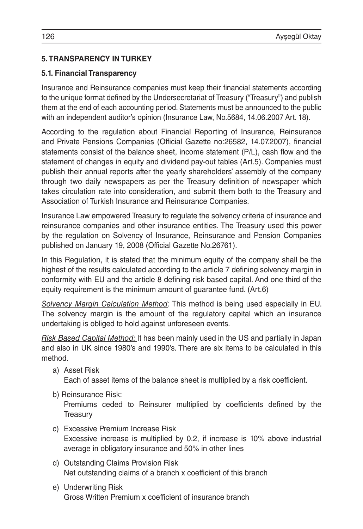# **5. TRANSPARENCY IN TURKEY**

# **5.1. Financial Transparency**

Insurance and Reinsurance companies must keep their financial statements according to the unique format defined by the Undersecretariat of Treasury ("Treasury") and publish them at the end of each accounting period. Statements must be announced to the public with an independent auditor's opinion (Insurance Law, No.5684, 14.06.2007 Art. 18).

According to the regulation about Financial Reporting of Insurance, Reinsurance and Private Pensions Companies (Official Gazette no:26582, 14.07.2007), financial statements consist of the balance sheet, income statement (P/L), cash flow and the statement of changes in equity and dividend pay-out tables (Art.5). Companies must publish their annual reports after the yearly shareholders' assembly of the company through two daily newspapers as per the Treasury definition of newspaper which takes circulation rate into consideration, and submit them both to the Treasury and Association of Turkish Insurance and Reinsurance Companies.

Insurance Law empowered Treasury to regulate the solvency criteria of insurance and reinsurance companies and other insurance entities. The Treasury used this power by the regulation on Solvency of Insurance, Reinsurance and Pension Companies published on January 19, 2008 (Official Gazette No.26761).

In this Regulation, it is stated that the minimum equity of the company shall be the highest of the results calculated according to the article 7 defining solvency margin in conformity with EU and the article 8 defining risk based capital. And one third of the equity requirement is the minimum amount of guarantee fund. (Art.6)

*Solvency Margin Calculation Method*: This method is being used especially in EU. The solvency margin is the amount of the regulatory capital which an insurance undertaking is obliged to hold against unforeseen events.

*Risk Based Capital Method:* It has been mainly used in the US and partially in Japan and also in UK since 1980's and 1990's. There are six items to be calculated in this method.

a) Asset Risk

Each of asset items of the balance sheet is multiplied by a risk coefficient.

b) Reinsurance Risk:

Premiums ceded to Reinsurer multiplied by coefficients defined by the **Treasury** 

- c) Excessive Premium Increase Risk Excessive increase is multiplied by 0.2, if increase is 10% above industrial average in obligatory insurance and 50% in other lines
- d) Outstanding Claims Provision Risk Net outstanding claims of a branch x coefficient of this branch
- e) Underwriting Risk Gross Written Premium x coefficient of insurance branch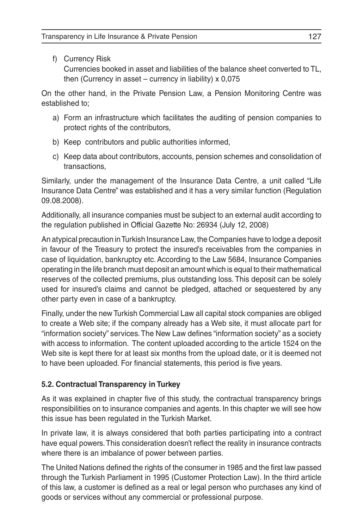f) Currency Risk

Currencies booked in asset and liabilities of the balance sheet converted to TL, then (Currency in asset – currency in liability)  $x$  0,075

On the other hand, in the Private Pension Law, a Pension Monitoring Centre was established to;

- a) Form an infrastructure which facilitates the auditing of pension companies to protect rights of the contributors,
- b) Keep contributors and public authorities informed,
- c) Keep data about contributors, accounts, pension schemes and consolidation of transactions,

Similarly, under the management of the Insurance Data Centre, a unit called "Life Insurance Data Centre" was established and it has a very similar function (Regulation 09.08.2008).

Additionally, all insurance companies must be subject to an external audit according to the regulation published in Official Gazette No: 26934 (July 12, 2008)

An atypical precaution in Turkish Insurance Law, the Companies have to lodge a deposit in favour of the Treasury to protect the insured's receivables from the companies in case of liquidation, bankruptcy etc. According to the Law 5684, Insurance Companies operating in the life branch must deposit an amount which is equal to their mathematical reserves of the collected premiums, plus outstanding loss. This deposit can be solely used for insured's claims and cannot be pledged, attached or sequestered by any other party even in case of a bankruptcy.

Finally, under the new Turkish Commercial Law all capital stock companies are obliged to create a Web site; if the company already has a Web site, it must allocate part for "information society" services. The New Law defines "information society" as a society with access to information. The content uploaded according to the article 1524 on the Web site is kept there for at least six months from the upload date, or it is deemed not to have been uploaded. For financial statements, this period is five years.

# **5.2. Contractual Transparency in Turkey**

As it was explained in chapter five of this study, the contractual transparency brings responsibilities on to insurance companies and agents. In this chapter we will see how this issue has been regulated in the Turkish Market.

In private law, it is always considered that both parties participating into a contract have equal powers. This consideration doesn't reflect the reality in insurance contracts where there is an imbalance of power between parties.

The United Nations defined the rights of the consumer in 1985 and the first law passed through the Turkish Parliament in 1995 (Customer Protection Law). In the third article of this law, a customer is defined as a real or legal person who purchases any kind of goods or services without any commercial or professional purpose.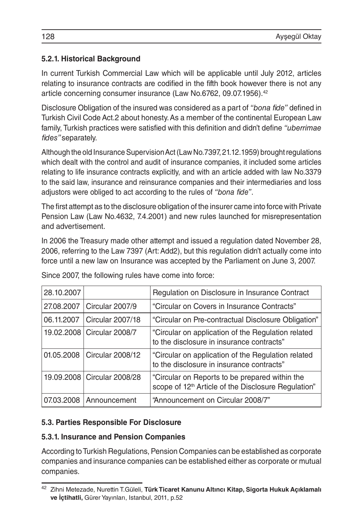# **5.2.1. Historical Background**

In current Turkish Commercial Law which will be applicable until July 2012, articles relating to insurance contracts are codified in the fifth book however there is not any article concerning consumer insurance (Law No.6762, 09.07.1956).<sup>42</sup>

Disclosure Obligation of the insured was considered as a part of *"bona fide"* defined in Turkish Civil Code Act.2 about honesty. As a member of the continental European Law family, Turkish practices were satisfied with this definition and didn't define *"uberrimae fides"* separately.

Although the old Insurance Supervision Act (Law No.7397, 21.12.1959) brought regulations which dealt with the control and audit of insurance companies, it included some articles relating to life insurance contracts explicitly, and with an article added with law No.3379 to the said law, insurance and reinsurance companies and their intermediaries and loss adjustors were obliged to act according to the rules of *"bona fide"*.

The first attempt as to the disclosure obligation of the insurer came into force with Private Pension Law (Law No.4632, 7.4.2001) and new rules launched for misrepresentation and advertisement.

In 2006 the Treasury made other attempt and issued a regulation dated November 28, 2006, referring to the Law 7397 (Art: Add2), but this regulation didn't actually come into force until a new law on Insurance was accepted by the Parliament on June 3, 2007.

| 28.10.2007 |                               | Regulation on Disclosure in Insurance Contract                                                                    |
|------------|-------------------------------|-------------------------------------------------------------------------------------------------------------------|
| 27.08.2007 | Circular 2007/9               | "Circular on Covers in Insurance Contracts"                                                                       |
| 06.11.2007 | Circular 2007/18              | "Circular on Pre-contractual Disclosure Obligation"                                                               |
|            | 19.02.2008   Circular 2008/7  | "Circular on application of the Regulation related<br>to the disclosure in insurance contracts"                   |
| 01.05.2008 | Circular 2008/12              | "Circular on application of the Regulation related<br>to the disclosure in insurance contracts"                   |
|            | 19.09.2008   Circular 2008/28 | "Circular on Reports to be prepared within the<br>scope of 12 <sup>th</sup> Article of the Disclosure Regulation" |
| 07.03.2008 | Announcement                  | "Announcement on Circular 2008/7"                                                                                 |

Since 2007, the following rules have come into force:

### **5.3. Parties Responsible For Disclosure**

### **5.3.1. Insurance and Pension Companies**

According to Turkish Regulations, Pension Companies can be established as corporate companies and insurance companies can be established either as corporate or mutual companies.

<sup>42</sup> Zihni Metezade, Nurettin T.Güleli, **Türk Ticaret Kanunu Altıncı Kitap, Sigorta Hukuk Açıklamalı ve İçtihatli,** Gürer Yayınları, Istanbul, 2011, p.52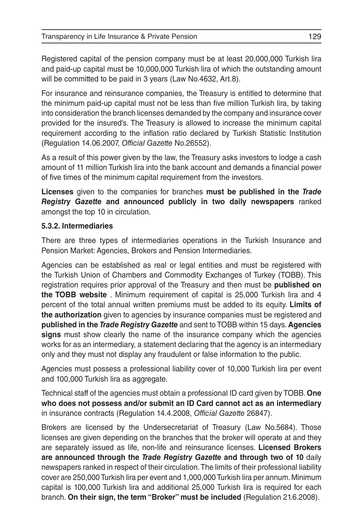Registered capital of the pension company must be at least 20,000,000 Turkish lira and paid-up capital must be 10,000,000 Turkish lira of which the outstanding amount will be committed to be paid in 3 years (Law No.4632, Art.8).

For insurance and reinsurance companies, the Treasury is entitled to determine that the minimum paid-up capital must not be less than five million Turkish lira, by taking into consideration the branch licenses demanded by the company and insurance cover provided for the insured's. The Treasury is allowed to increase the minimum capital requirement according to the inflation ratio declared by Turkish Statistic Institution (Regulation 14.06.2007, *Official Gazette* No.26552).

As a result of this power given by the law, the Treasury asks investors to lodge a cash amount of 11 million Turkish lira into the bank account and demands a financial power of five times of the minimum capital requirement from the investors.

**Licenses** given to the companies for branches **must be published in the** *Trade Registry Gazette* **and announced publicly in two daily newspapers** ranked amongst the top 10 in circulation.

#### **5.3.2. Intermediaries**

There are three types of intermediaries operations in the Turkish Insurance and Pension Market: Agencies, Brokers and Pension Intermediaries.

Agencies can be established as real or legal entities and must be registered with the Turkish Union of Chambers and Commodity Exchanges of Turkey (TOBB). This registration requires prior approval of the Treasury and then must be **published on the TOBB website** . Minimum requirement of capital is 25,000 Turkish lira and 4 percent of the total annual written premiums must be added to its equity. **Limits of the authorization** given to agencies by insurance companies must be registered and **published in the** *Trade Registry Gazette* and sent to TOBB within 15 days. **Agencies signs** must show clearly the name of the insurance company which the agencies works for as an intermediary, a statement declaring that the agency is an intermediary only and they must not display any fraudulent or false information to the public.

Agencies must possess a professional liability cover of 10,000 Turkish lira per event and 100,000 Turkish lira as aggregate.

Technical staff of the agencies must obtain a professional ID card given by TOBB. **One who does not possess and/or submit an ID Card cannot act as an intermediary** in insurance contracts (Regulation 14.4.2008, *Official Gazette* 26847).

Brokers are licensed by the Undersecretariat of Treasury (Law No.5684). Those licenses are given depending on the branches that the broker will operate at and they are separately issued as life, non-life and reinsurance licenses. **Licensed Brokers are announced through the** *Trade Registry Gazette* **and through two of 10** daily newspapers ranked in respect of their circulation. The limits of their professional liability cover are 250,000 Turkish lira per event and 1,000,000 Turkish lira per annum. Minimum capital is 100,000 Turkish lira and additional 25,000 Turkish lira is required for each branch. **On their sign, the term "Broker" must be included** (Regulation 21.6.2008).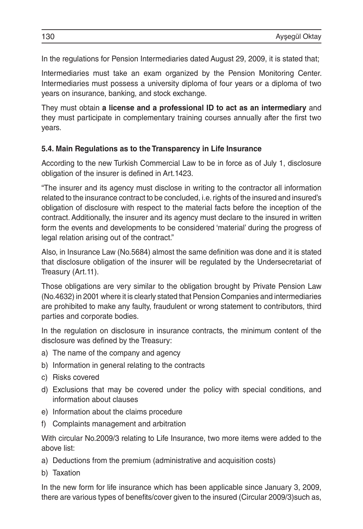In the regulations for Pension Intermediaries dated August 29, 2009, it is stated that;

Intermediaries must take an exam organized by the Pension Monitoring Center. Intermediaries must possess a university diploma of four years or a diploma of two years on insurance, banking, and stock exchange.

They must obtain **a license and a professional ID to act as an intermediary** and they must participate in complementary training courses annually after the first two years.

#### **5.4. Main Regulations as to the Transparency in Life Insurance**

According to the new Turkish Commercial Law to be in force as of July 1, disclosure obligation of the insurer is defined in Art.1423.

"The insurer and its agency must disclose in writing to the contractor all information related to the insurance contract to be concluded, i.e. rights of the insured and insured's obligation of disclosure with respect to the material facts before the inception of the contract. Additionally, the insurer and its agency must declare to the insured in written form the events and developments to be considered 'material' during the progress of legal relation arising out of the contract."

Also, in Insurance Law (No.5684) almost the same definition was done and it is stated that disclosure obligation of the insurer will be regulated by the Undersecretariat of Treasury (Art.11).

Those obligations are very similar to the obligation brought by Private Pension Law (No.4632) in 2001 where it is clearly stated that Pension Companies and intermediaries are prohibited to make any faulty, fraudulent or wrong statement to contributors, third parties and corporate bodies.

In the regulation on disclosure in insurance contracts, the minimum content of the disclosure was defined by the Treasury:

- a) The name of the company and agency
- b) Information in general relating to the contracts
- c) Risks covered
- d) Exclusions that may be covered under the policy with special conditions, and information about clauses
- e) Information about the claims procedure
- f) Complaints management and arbitration

With circular No.2009/3 relating to Life Insurance, two more items were added to the above list:

- a) Deductions from the premium (administrative and acquisition costs)
- b) Taxation

In the new form for life insurance which has been applicable since January 3, 2009, there are various types of benefits/cover given to the insured (Circular 2009/3)such as,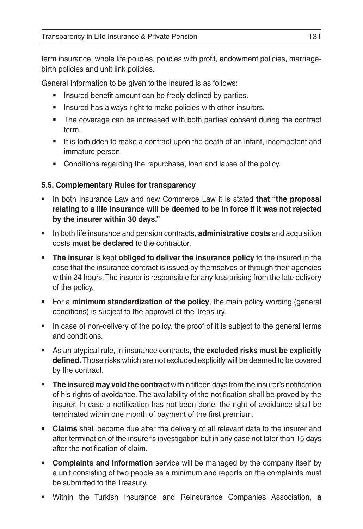term insurance, whole life policies, policies with profit, endowment policies, marriagebirth policies and unit link policies.

General Information to be given to the insured is as follows:

- **Insured benefit amount can be freely defined by parties.**
- **Insured has always right to make policies with other insurers.**
- The coverage can be increased with both parties' consent during the contract term.
- It is forbidden to make a contract upon the death of an infant, incompetent and immature person.
- Conditions regarding the repurchase, loan and lapse of the policy.

### **5.5. Complementary Rules for transparency**

- In both Insurance Law and new Commerce Law it is stated **that "the proposal relating to a life insurance will be deemed to be in force if it was not rejected by the insurer within 30 days."**
- In both life insurance and pension contracts, **administrative costs** and acquisition costs **must be declared** to the contractor.
- **The insurer** is kept **obliged to deliver the insurance policy** to the insured in the case that the insurance contract is issued by themselves or through their agencies within 24 hours. The insurer is responsible for any loss arising from the late delivery of the policy.
- **For a minimum standardization of the policy**, the main policy wording (general conditions) is subject to the approval of the Treasury.
- In case of non-delivery of the policy, the proof of it is subject to the general terms and conditions.
- As an atypical rule, in insurance contracts, **the excluded risks must be explicitly defined.** Those risks which are not excluded explicitly will be deemed to be covered by the contract.
- **The insured may void the contract** within fifteen days from the insurer's notification of his rights of avoidance. The availability of the notification shall be proved by the insurer. In case a notification has not been done, the right of avoidance shall be terminated within one month of payment of the first premium.
- **Claims** shall become due after the delivery of all relevant data to the insurer and after termination of the insurer's investigation but in any case not later than 15 days after the notification of claim.
- **Complaints and information** service will be managed by the company itself by a unit consisting of two people as a minimum and reports on the complaints must be submitted to the Treasury.
- Within the Turkish Insurance and Reinsurance Companies Association, **a**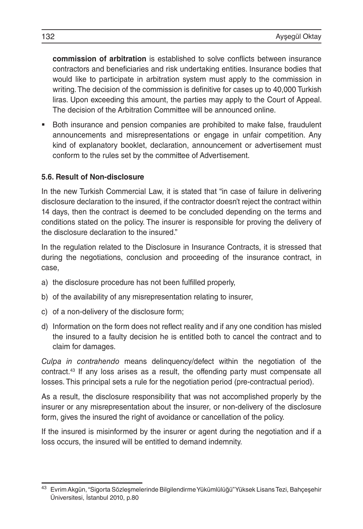**commission of arbitration** is established to solve conflicts between insurance contractors and beneficiaries and risk undertaking entities. Insurance bodies that would like to participate in arbitration system must apply to the commission in writing. The decision of the commission is definitive for cases up to 40,000 Turkish liras. Upon exceeding this amount, the parties may apply to the Court of Appeal. The decision of the Arbitration Committee will be announced online.

 Both insurance and pension companies are prohibited to make false, fraudulent announcements and misrepresentations or engage in unfair competition. Any kind of explanatory booklet, declaration, announcement or advertisement must conform to the rules set by the committee of Advertisement.

#### **5.6. Result of Non-disclosure**

In the new Turkish Commercial Law, it is stated that "in case of failure in delivering disclosure declaration to the insured, if the contractor doesn't reject the contract within 14 days, then the contract is deemed to be concluded depending on the terms and conditions stated on the policy. The insurer is responsible for proving the delivery of the disclosure declaration to the insured."

In the regulation related to the Disclosure in Insurance Contracts, it is stressed that during the negotiations, conclusion and proceeding of the insurance contract, in case,

- a) the disclosure procedure has not been fulfilled properly,
- b) of the availability of any misrepresentation relating to insurer,
- c) of a non-delivery of the disclosure form;
- d) Information on the form does not reflect reality and if any one condition has misled the insured to a faulty decision he is entitled both to cancel the contract and to claim for damages.

*Culpa in contrahendo* means delinquency/defect within the negotiation of the contract.43 If any loss arises as a result, the offending party must compensate all losses. This principal sets a rule for the negotiation period (pre-contractual period).

As a result, the disclosure responsibility that was not accomplished properly by the insurer or any misrepresentation about the insurer, or non-delivery of the disclosure form, gives the insured the right of avoidance or cancellation of the policy.

If the insured is misinformed by the insurer or agent during the negotiation and if a loss occurs, the insured will be entitled to demand indemnity.

<sup>43</sup> Evrim Akgün, "Sigorta Sözleşmelerinde Bilgilendirme Yükümlülüğü" Yüksek Lisans Tezi, Bahçeşehir Üniversitesi, İstanbul 2010, p.80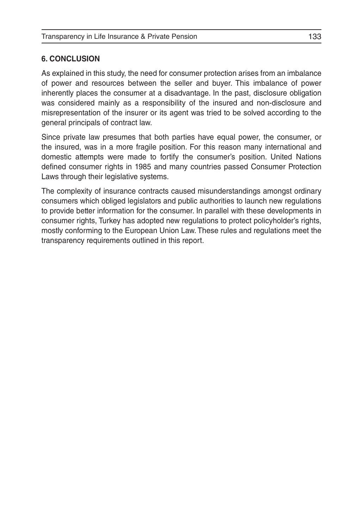#### **6. CONCLUSION**

As explained in this study, the need for consumer protection arises from an imbalance of power and resources between the seller and buyer. This imbalance of power inherently places the consumer at a disadvantage. In the past, disclosure obligation was considered mainly as a responsibility of the insured and non-disclosure and misrepresentation of the insurer or its agent was tried to be solved according to the general principals of contract law.

Since private law presumes that both parties have equal power, the consumer, or the insured, was in a more fragile position. For this reason many international and domestic attempts were made to fortify the consumer's position. United Nations defined consumer rights in 1985 and many countries passed Consumer Protection Laws through their legislative systems.

The complexity of insurance contracts caused misunderstandings amongst ordinary consumers which obliged legislators and public authorities to launch new regulations to provide better information for the consumer. In parallel with these developments in consumer rights, Turkey has adopted new regulations to protect policyholder's rights, mostly conforming to the European Union Law. These rules and regulations meet the transparency requirements outlined in this report.